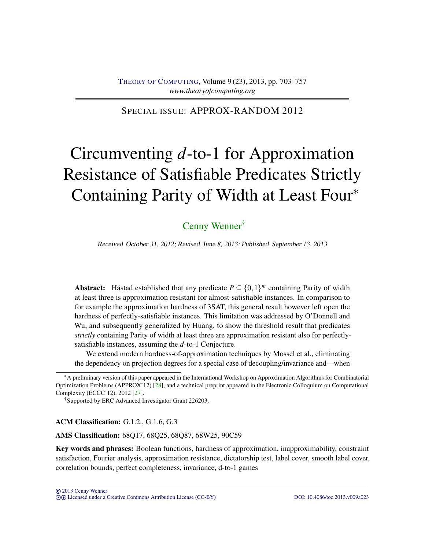### <span id="page-0-0"></span>SPECIAL ISSUE: APPROX-RANDOM 2012

# Circumventing *d*-to-1 for Approximation Resistance of Satisfiable Predicates Strictly Containing Parity of Width at Least Four<sup>∗</sup>

# [Cenny Wenner](#page-54-0)†

Received October 31, 2012; Revised June 8, 2013; Published September 13, 2013

Abstract: Håstad established that any predicate  $P \subseteq \{0,1\}^m$  containing Parity of width at least three is approximation resistant for almost-satisfiable instances. In comparison to for example the approximation hardness of 3SAT, this general result however left open the hardness of perfectly-satisfiable instances. This limitation was addressed by O'Donnell and Wu, and subsequently generalized by Huang, to show the threshold result that predicates *strictly* containing Parity of width at least three are approximation resistant also for perfectlysatisfiable instances, assuming the *d*-to-1 Conjecture.

We extend modern hardness-of-approximation techniques by Mossel et al., eliminating the dependency on projection degrees for a special case of decoupling/invariance and—when

†Supported by ERC Advanced Investigator Grant 226203.

ACM Classification: G.1.2., G.1.6, G.3

AMS Classification: 68Q17, 68Q25, 68Q87, 68W25, 90C59

Key words and phrases: Boolean functions, hardness of approximation, inapproximability, constraint satisfaction, Fourier analysis, approximation resistance, dictatorship test, label cover, smooth label cover, correlation bounds, perfect completeness, invariance, d-to-1 games

<sup>∗</sup>A preliminary version of this paper appeared in the International Workshop on Approximation Algorithms for Combinatorial Optimization Problems (APPROX'12) [\[28\]](#page-54-1), and a technical preprint appeared in the Electronic Colloquium on Computational Complexity (ECCC'12), 2012 [\[27\]](#page-54-2).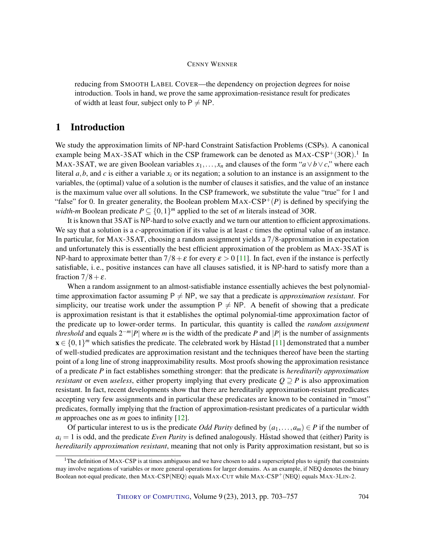<span id="page-1-0"></span>reducing from SMOOTH LABEL COVER—the dependency on projection degrees for noise introduction. Tools in hand, we prove the same approximation-resistance result for predicates of width at least four, subject only to  $P \neq NP$ .

### 1 Introduction

We study the approximation limits of NP-hard Constraint Satisfaction Problems (CSPs). A canonical example being MAX-3SAT which in the CSP framework can be denoted as  $MAX\text{-}CSP^+(3OR)$ .<sup>1</sup> In MAX-3SAT, we are given Boolean variables  $x_1, \ldots, x_n$  and clauses of the form " $a \lor b \lor c$ ," where each literal  $a, b$ , and  $c$  is either a variable  $x_i$  or its negation; a solution to an instance is an assignment to the variables, the (optimal) value of a solution is the number of clauses it satisfies, and the value of an instance is the maximum value over all solutions. In the CSP framework, we substitute the value "true" for 1 and "false" for 0. In greater generality, the Boolean problem  $MAX-CSP^+(P)$  is defined by specifying the *width-m* Boolean predicate  $P \subseteq \{0,1\}^m$  applied to the set of *m* literals instead of 3OR.

It is known that 3SAT is NP-hard to solve exactly and we turn our attention to efficient approximations. We say that a solution is a *c*-approximation if its value is at least *c* times the optimal value of an instance. In particular, for MAX-3SAT, choosing a random assignment yields a 7/8-approximation in expectation and unfortunately this is essentially the best efficient approximation of the problem as MAX-3SAT is NP-hard to approximate better than  $7/8 + \varepsilon$  for every  $\varepsilon > 0$  [\[11\]](#page-52-0). In fact, even if the instance is perfectly satisfiable, i. e., positive instances can have all clauses satisfied, it is NP-hard to satisfy more than a fraction  $7/8 + \varepsilon$ .

When a random assignment to an almost-satisfiable instance essentially achieves the best polynomialtime approximation factor assuming  $P \neq NP$ , we say that a predicate is *approximation resistant*. For simplicity, our treatise work under the assumption  $P \neq NP$ . A benefit of showing that a predicate is approximation resistant is that it establishes the optimal polynomial-time approximation factor of the predicate up to lower-order terms. In particular, this quantity is called the *random assignment threshold* and equals  $2^{-m}|P|$  where *m* is the width of the predicate *P* and |*P*| is the number of assignments  $\mathbf{x} \in \{0,1\}^m$  which satisfies the predicate. The celebrated work by Håstad [\[11\]](#page-52-0) demonstrated that a number of well-studied predicates are approximation resistant and the techniques thereof have been the starting point of a long line of strong inapproximability results. Most proofs showing the approximation resistance of a predicate *P* in fact establishes something stronger: that the predicate is *hereditarily approximation resistant* or even *useless*, either property implying that every predicate  $Q \supseteq P$  is also approximation resistant. In fact, recent developments show that there are hereditarily approximation-resistant predicates accepting very few assignments and in particular these predicates are known to be contained in "most" predicates, formally implying that the fraction of approximation-resistant predicates of a particular width *m* approaches one as *m* goes to infinity [\[12\]](#page-52-1).

Of particular interest to us is the predicate *Odd Parity* defined by  $(a_1, \ldots, a_m) \in P$  if the number of  $a_i = 1$  is odd, and the predicate *Even Parity* is defined analogously. Håstad showed that (either) Parity is *hereditarily approximation resistant*, meaning that not only is Parity approximation resistant, but so is

 $1$ The definition of MAX-CSP is at times ambiguous and we have chosen to add a superscripted plus to signify that constraints may involve negations of variables or more general operations for larger domains. As an example, if NEQ denotes the binary Boolean not-equal predicate, then MAX-CSP(NEQ) equals MAX-CUT while MAX-CSP+(NEQ) equals MAX-3LIN-2.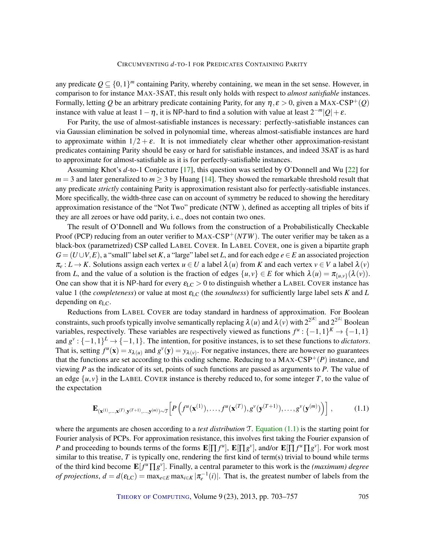<span id="page-2-1"></span>any predicate  $Q \subseteq \{0,1\}^m$  containing Parity, whereby containing, we mean in the set sense. However, in comparison to for instance MAX-3SAT, this result only holds with respect to *almost satisfiable* instances. Formally, letting Q be an arbitrary predicate containing Parity, for any  $\eta$ ,  $\varepsilon > 0$ , given a MAX-CSP<sup>+</sup>(Q) instance with value at least  $1 - \eta$ , it is NP-hard to find a solution with value at least  $2^{-m}|Q| + \varepsilon$ .

For Parity, the use of almost-satisfiable instances is necessary: perfectly-satisfiable instances can via Gaussian elimination be solved in polynomial time, whereas almost-satisfiable instances are hard to approximate within  $1/2 + \varepsilon$ . It is not immediately clear whether other approximation-resistant predicates containing Parity should be easy or hard for satisfiable instances, and indeed 3SAT is as hard to approximate for almost-satisfiable as it is for perfectly-satisfiable instances.

Assuming Khot's *d*-to-1 Conjecture [\[17\]](#page-53-0), this question was settled by O'Donnell and Wu [\[22\]](#page-53-1) for  $m = 3$  and later generalized to  $m \ge 3$  by Huang [\[14\]](#page-53-2). They showed the remarkable threshold result that any predicate *strictly* containing Parity is approximation resistant also for perfectly-satisfiable instances. More specifically, the width-three case can on account of symmetry be reduced to showing the hereditary approximation resistance of the "Not Two" predicate (NTW ), defined as accepting all triples of bits if they are all zeroes or have odd parity, i. e., does not contain two ones.

The result of O'Donnell and Wu follows from the construction of a Probabilistically Checkable Proof (PCP) reducing from an outer verifier to MAX-CSP<sup>+</sup>(NTW). The outer verifier may be taken as a black-box (parametrized) CSP called LABEL COVER. In LABEL COVER, one is given a bipartite graph  $G = (U \cup V, E)$ , a "small" label set *K*, a "large" label set *L*, and for each edge  $e \in E$  an associated projection  $\pi_e: L \to K$ . Solutions assign each vertex  $u \in U$  a label  $\lambda(u)$  from K and each vertex  $v \in V$  a label  $\lambda(v)$ from *L*, and the value of a solution is the fraction of edges  $\{u, v\} \in E$  for which  $\lambda(u) = \pi_{\{u, v\}}(\lambda(v))$ . One can show that it is NP-hard for every  $\epsilon_{LC} > 0$  to distinguish whether a LABEL COVER instance has value 1 (the *completeness*) or value at most εLC (the *soundness*) for sufficiently large label sets *K* and *L* depending on  $\varepsilon_{\text{LC}}$ .

Reductions from LABEL COVER are today standard in hardness of approximation. For Boolean constraints, such proofs typically involve semantically replacing  $\lambda(u)$  and  $\lambda(v)$  with  $2^{2^{|K|}}$  and  $2^{2^{|L|}}$  Boolean variables, respectively. These variables are respectively viewed as functions  $f^u: \{-1,1\}^K \to \{-1,1\}$ and  $g^{\nu}$ : {-1,1}<sup>L</sup> → {-1,1}. The intention, for positive instances, is to set these functions to *dictators*. That is, setting  $f^u$ (**x**) =  $x_{\lambda(u)}$  and  $g^v$ (**y**) =  $y_{\lambda(v)}$ . For negative instances, there are however no guarantees that the functions are set according to this coding scheme. Reducing to a  $MAX-CSP^+(P)$  instance, and viewing *P* as the indicator of its set, points of such functions are passed as arguments to *P*. The value of an edge  $\{u, v\}$  in the LABEL COVER instance is thereby reduced to, for some integer *T*, to the value of the expectation

<span id="page-2-0"></span>
$$
\mathbf{E}_{(\mathbf{x}^{(1)},\ldots,\mathbf{x}^{(T)},\mathbf{y}^{(T+1)},\ldots,\mathbf{y}^{(m)})\sim\mathcal{T}}\!\left[P\left(f^u(\mathbf{x}^{(1)}),\ldots,f^u(\mathbf{x}^{(T)}),g^v(\mathbf{y}^{(T+1)}),\ldots,g^v(\mathbf{y}^{(m)})\right)\right],\tag{1.1}
$$

where the arguments are chosen according to a *test distribution* T. [Equation \(1.1\)](#page-2-0) is the starting point for Fourier analysis of PCPs. For approximation resistance, this involves first taking the Fourier expansion of *P* and proceeding to bounds terms of the forms  $\mathbf{E}[\prod f^u], \mathbf{E}[\prod g^v],$  and/or  $\mathbf{E}[\prod f^u \prod g^v].$  For work most similar to this treatise,  $T$  is typically one, rendering the first kind of term(s) trivial to bound while terms of the third kind become  $\mathbf{E}[f^u \prod g^v]$ . Finally, a central parameter to this work is the *(maximum) degree of projections*,  $d = d(\epsilon_{LC}) = \max_{e \in E} \max_{i \in K} |\pi_e^{-1}(i)|$ . That is, the greatest number of labels from the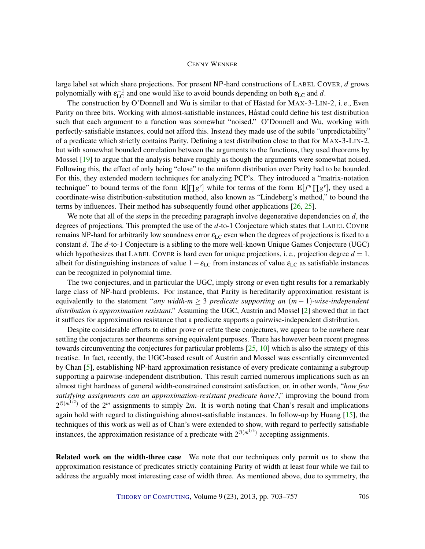<span id="page-3-0"></span>large label set which share projections. For present NP-hard constructions of LABEL COVER, *d* grows polynomially with  $\varepsilon_{\text{LC}}^{-1}$  and one would like to avoid bounds depending on both  $\varepsilon_{\text{LC}}$  and d.

The construction by O'Donnell and Wu is similar to that of Håstad for MAX-3-LIN-2, i. e., Even Parity on three bits. Working with almost-satisfiable instances, Håstad could define his test distribution such that each argument to a function was somewhat "noised." O'Donnell and Wu, working with perfectly-satisfiable instances, could not afford this. Instead they made use of the subtle "unpredictability" of a predicate which strictly contains Parity. Defining a test distribution close to that for MAX-3-LIN-2, but with somewhat bounded correlation between the arguments to the functions, they used theorems by Mossel [\[19\]](#page-53-3) to argue that the analysis behave roughly as though the arguments were somewhat noised. Following this, the effect of only being "close" to the uniform distribution over Parity had to be bounded. For this, they extended modern techniques for analyzing PCP's. They introduced a "matrix-notation technique" to bound terms of the form  $\mathbf{E}[\Pi g^{\nu}]$  while for terms of the form  $\mathbf{E}[f^{\mu}\Pi g^{\nu}]$ , they used a coordinate-wise distribution-substitution method, also known as "Lindeberg's method," to bound the terms by influences. Their method has subsequently found other applications [\[26,](#page-54-3) [25\]](#page-53-4).

We note that all of the steps in the preceding paragraph involve degenerative dependencies on *d*, the degrees of projections. This prompted the use of the *d*-to-1 Conjecture which states that LABEL COVER remains NP-hard for arbitrarily low soundness error  $\varepsilon_{LC}$  even when the degrees of projections is fixed to a constant *d*. The *d*-to-1 Conjecture is a sibling to the more well-known Unique Games Conjecture (UGC) which hypothesizes that LABEL COVER is hard even for unique projections, i. e., projection degree  $d = 1$ , albeit for distinguishing instances of value  $1-\epsilon_{\rm LC}$  from instances of value  $\epsilon_{\rm LC}$  as satisfiable instances can be recognized in polynomial time.

The two conjectures, and in particular the UGC, imply strong or even tight results for a remarkably large class of NP-hard problems. For instance, that Parity is hereditarily approximation resistant is equivalently to the statement "*any width-m* ≥ 3 *predicate supporting an* (*m* − 1)*-wise-independent distribution is approximation resistant*." Assuming the UGC, Austrin and Mossel [\[2\]](#page-52-2) showed that in fact it suffices for approximation resistance that a predicate supports a pairwise-independent distribution.

Despite considerable efforts to either prove or refute these conjectures, we appear to be nowhere near settling the conjectures nor theorems serving equivalent purposes. There has however been recent progress towards circumventing the conjectures for particular problems  $[25, 10]$  $[25, 10]$  $[25, 10]$  which is also the strategy of this treatise. In fact, recently, the UGC-based result of Austrin and Mossel was essentially circumvented by Chan [\[5\]](#page-52-4), establishing NP-hard approximation resistance of every predicate containing a subgroup supporting a pairwise-independent distribution. This result carried numerous implications such as an almost tight hardness of general width-constrained constraint satisfaction, or, in other words, "*how few satisfying assignments can an approximation-resistant predicate have?*," improving the bound from  $2^{\mathcal{O}(m^{1/2})}$  of the  $2^m$  assignments to simply  $2m$ . It is worth noting that Chan's result and implications again hold with regard to distinguishing almost-satisfiable instances. In follow-up by Huang [\[15\]](#page-53-5), the techniques of this work as well as of Chan's were extended to show, with regard to perfectly satisfiable instances, the approximation resistance of a predicate with  $2^{\mathcal{O}(m^{1/3})}$  accepting assignments.

Related work on the width-three case We note that our techniques only permit us to show the approximation resistance of predicates strictly containing Parity of width at least four while we fail to address the arguably most interesting case of width three. As mentioned above, due to symmetry, the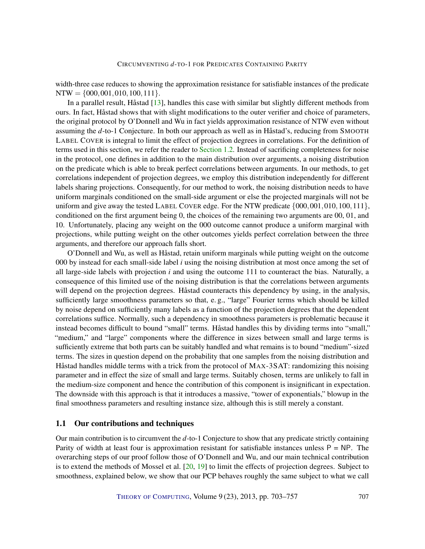<span id="page-4-0"></span>width-three case reduces to showing the approximation resistance for satisfiable instances of the predicate  $NTW = \{000, 001, 010, 100, 111\}.$ 

In a parallel result, Håstad [\[13\]](#page-53-6), handles this case with similar but slightly different methods from ours. In fact, Håstad shows that with slight modifications to the outer verifier and choice of parameters, the original protocol by O'Donnell and Wu in fact yields approximation resistance of NTW even without assuming the *d*-to-1 Conjecture. In both our approach as well as in Håstad's, reducing from SMOOTH LABEL COVER is integral to limit the effect of projection degrees in correlations. For the definition of terms used in this section, we refer the reader to [Section 1.2.](#page-6-0) Instead of sacrificing completeness for noise in the protocol, one defines in addition to the main distribution over arguments, a noising distribution on the predicate which is able to break perfect correlations between arguments. In our methods, to get correlations independent of projection degrees, we employ this distribution independently for different labels sharing projections. Consequently, for our method to work, the noising distribution needs to have uniform marginals conditioned on the small-side argument or else the projected marginals will not be uniform and give away the tested LABEL COVER edge. For the NTW predicate  $\{000, 001, 010, 100, 111\}$ , conditioned on the first argument being 0, the choices of the remaining two arguments are 00, 01, and 10. Unfortunately, placing any weight on the 000 outcome cannot produce a uniform marginal with projections, while putting weight on the other outcomes yields perfect correlation between the three arguments, and therefore our approach falls short.

O'Donnell and Wu, as well as Håstad, retain uniform marginals while putting weight on the outcome 000 by instead for each small-side label *i* using the noising distribution at most once among the set of all large-side labels with projection *i* and using the outcome 111 to counteract the bias. Naturally, a consequence of this limited use of the noising distribution is that the correlations between arguments will depend on the projection degrees. Håstad counteracts this dependency by using, in the analysis, sufficiently large smoothness parameters so that, e. g., "large" Fourier terms which should be killed by noise depend on sufficiently many labels as a function of the projection degrees that the dependent correlations suffice. Normally, such a dependency in smoothness parameters is problematic because it instead becomes difficult to bound "small" terms. Håstad handles this by dividing terms into "small," "medium," and "large" components where the difference in sizes between small and large terms is sufficiently extreme that both parts can be suitably handled and what remains is to bound "medium"-sized terms. The sizes in question depend on the probability that one samples from the noising distribution and Håstad handles middle terms with a trick from the protocol of MAX-3SAT: randomizing this noising parameter and in effect the size of small and large terms. Suitably chosen, terms are unlikely to fall in the medium-size component and hence the contribution of this component is insignificant in expectation. The downside with this approach is that it introduces a massive, "tower of exponentials," blowup in the final smoothness parameters and resulting instance size, although this is still merely a constant.

#### 1.1 Our contributions and techniques

Our main contribution is to circumvent the *d*-to-1 Conjecture to show that any predicate strictly containing Parity of width at least four is approximation resistant for satisfiable instances unless  $P = NP$ . The overarching steps of our proof follow those of O'Donnell and Wu, and our main technical contribution is to extend the methods of Mossel et al.  $[20, 19]$  $[20, 19]$  $[20, 19]$  to limit the effects of projection degrees. Subject to smoothness, explained below, we show that our PCP behaves roughly the same subject to what we call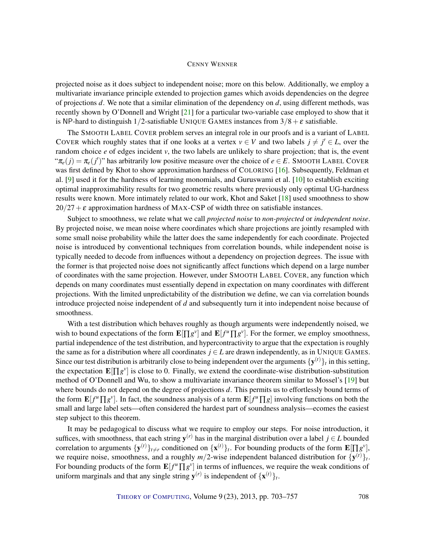<span id="page-5-0"></span>projected noise as it does subject to independent noise; more on this below. Additionally, we employ a multivariate invariance principle extended to projection games which avoids dependencies on the degree of projections *d*. We note that a similar elimination of the dependency on *d*, using different methods, was recently shown by O'Donnell and Wright [\[21\]](#page-53-8) for a particular two-variable case employed to show that it is NP-hard to distinguish 1/2-satisfiable UNIQUE GAMES instances from  $3/8 + \varepsilon$  satisfiable.

The SMOOTH LABEL COVER problem serves an integral role in our proofs and is a variant of LABEL COVER which roughly states that if one looks at a vertex  $v \in V$  and two labels  $j \neq j' \in L$ , over the random choice *e* of edges incident *v*, the two labels are unlikely to share projection; that is, the event " $\pi_e(j) = \pi_e(j')$ " has arbitrarily low positive measure over the choice of  $e \in E$ . SMOOTH LABEL COVER was first defined by Khot to show approximation hardness of COLORING [\[16\]](#page-53-9). Subsequently, Feldman et al. [\[9\]](#page-52-5) used it for the hardness of learning monomials, and Guruswami et al. [\[10\]](#page-52-3) to establish exciting optimal inapproximability results for two geometric results where previously only optimal UG-hardness results were known. More intimately related to our work, Khot and Saket [\[18\]](#page-53-10) used smoothness to show  $20/27+\epsilon$  approximation hardness of MAX-CSP of width three on satisfiable instances.

Subject to smoothness, we relate what we call *projected noise* to *non-projected* or *independent noise*. By projected noise, we mean noise where coordinates which share projections are jointly resampled with some small noise probability while the latter does the same independently for each coordinate. Projected noise is introduced by conventional techniques from correlation bounds, while independent noise is typically needed to decode from influences without a dependency on projection degrees. The issue with the former is that projected noise does not significantly affect functions which depend on a large number of coordinates with the same projection. However, under SMOOTH LABEL COVER, any function which depends on many coordinates must essentially depend in expectation on many coordinates with different projections. With the limited unpredictability of the distribution we define, we can via correlation bounds introduce projected noise independent of *d* and subsequently turn it into independent noise because of smoothness.

With a test distribution which behaves roughly as though arguments were independently noised, we wish to bound expectations of the form  $\mathbf{E}[\Pi g^{\nu}]$  and  $\mathbf{E}[f^{\mu}\Pi g^{\nu}]$ . For the former, we employ smoothness, partial independence of the test distribution, and hypercontractivity to argue that the expectation is roughly the same as for a distribution where all coordinates  $j \in L$  are drawn independently, as in UNIQUE GAMES. Since our test distribution is arbitrarily close to being independent over the arguments  $\{y^{(t)}\}_t$  in this setting, the expectation  $\mathbf{E}[\Pi g^{\nu}]$  is close to 0. Finally, we extend the coordinate-wise distribution-substitution method of O'Donnell and Wu, to show a multivariate invariance theorem similar to Mossel's [\[19\]](#page-53-3) but where bounds do not depend on the degree of projections *d*. This permits us to effortlessly bound terms of the form  $\mathbf{E}[f^u \prod g^v]$ . In fact, the soundness analysis of a term  $\mathbf{E}[f^u \prod g]$  involving functions on both the small and large label sets—often considered the hardest part of soundness analysis—ecomes the easiest step subject to this theorem.

It may be pedagogical to discuss what we require to employ our steps. For noise introduction, it suffices, with smoothness, that each string  $y^{(r)}$  has in the marginal distribution over a label  $j \in L$  bounded correlation to arguments  $\{y^{(t)}\}_{t\neq r}$  conditioned on  $\{x^{(t)}\}_t$ . For bounding products of the form  $\mathbf{E}[\Pi g^{\nu}]$ , we require noise, smoothness, and a roughly  $m/2$ -wise independent balanced distribution for  ${\bf \{y}}^{(t)}\}_t$ . For bounding products of the form  $\mathbf{E}[f^u \prod g^v]$  in terms of influences, we require the weak conditions of uniform marginals and that any single string  $y^{(r)}$  is independent of  ${x^{(t)}}_t$ .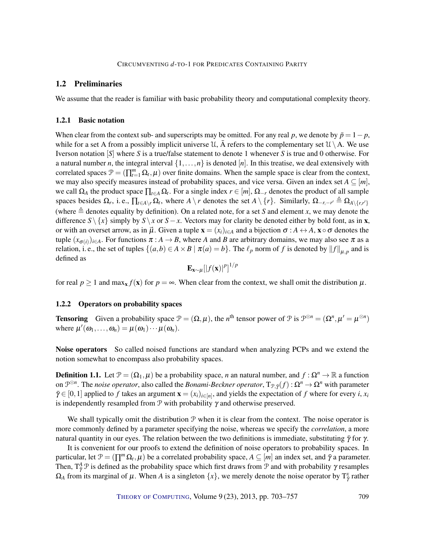#### <span id="page-6-0"></span>1.2 Preliminaries

We assume that the reader is familiar with basic probability theory and computational complexity theory.

#### 1.2.1 Basic notation

When clear from the context sub- and superscripts may be omitted. For any real *p*, we denote by  $\bar{p} = 1 - p$ , while for a set A from a possibly implicit universe  $\mathcal{U}, \overline{A}$  refers to the complementary set  $\mathcal{U}\setminus A$ . We use Iverson notation [*S*] where *S* is a true/false statement to denote 1 whenever *S* is true and 0 otherwise. For a natural number *n*, the integral interval  $\{1,\ldots,n\}$  is denoted [*n*]. In this treatise, we deal extensively with correlated spaces  $\mathcal{P} = (\prod_{t=1}^{m} \Omega_t, \mu)$  over finite domains. When the sample space is clear from the context, we may also specify measures instead of probability spaces, and vice versa. Given an index set  $A \subseteq [m]$ , we call  $\Omega_A$  the product space  $\prod_{t\in A}\Omega_t$ . For a single index  $r\in[m], \Omega_{-r}$  denotes the product of all sample spaces besides  $\Omega_r$ , i.e.,  $\prod_{t \in A \setminus r} \Omega_t$ , where  $A \setminus r$  denotes the set  $A \setminus \{r\}$ . Similarly,  $\Omega_{-r,-r'} \triangleq \Omega_{A \setminus \{r,r'\}}$ (where  $\triangleq$  denotes equality by definition). On a related note, for a set *S* and element *x*, we may denote the difference  $S \setminus \{x\}$  simply by  $S \setminus x$  or  $S - x$ . Vectors may for clarity be denoted either by bold font, as in **x**, or with an overset arrow, as in  $\vec{\mu}$ . Given a tuple  $\mathbf{x} = (x_i)_{i \in A}$  and a bijection  $\sigma : A \leftrightarrow A$ ,  $\mathbf{x} \circ \sigma$  denotes the tuple  $(x_{\sigma(i)})_{i\in A}$ . For functions  $\pi: A\to B$ , where *A* and *B* are arbitrary domains, we may also see  $\pi$  as a relation, i.e., the set of tuples  $\{(a,b) \in A \times B \mid \pi(a) = b\}$ . The  $\ell_p$  norm of *f* is denoted by  $||f||_{\mu,p}$  and is defined as

$$
\mathbf{E}_{\mathbf{x} \sim \mu} [|f(\mathbf{x})|^p]^{1/p}
$$

for real  $p \ge 1$  and  $\max_x f(x)$  for  $p = \infty$ . When clear from the context, we shall omit the distribution  $\mu$ .

#### 1.2.2 Operators on probability spaces

**Tensoring** Given a probability space  $\mathcal{P} = (\Omega, \mu)$ , the *n*<sup>th</sup> tensor power of  $\mathcal{P}$  is  $\mathcal{P}^{\otimes n} = (\Omega^n, \mu' = \mu^{\otimes n})$ where  $\mu'(\omega_1,\ldots,\omega_n) = \mu(\omega_1)\cdots\mu(\omega_n)$ .

Noise operators So called noised functions are standard when analyzing PCPs and we extend the notion somewhat to encompass also probability spaces.

**Definition 1.1.** Let  $\mathcal{P} = (\Omega_1, \mu)$  be a probability space, *n* an natural number, and  $f : \Omega^n \to \mathbb{R}$  a function on  $\mathcal{P}^{\otimes n}$ . The *noise operator*, also called the *Bonami-Beckner operator*,  $T_{\mathcal{P},\tilde{\gamma}}(f):\Omega^n\to\Omega^n$  with parameter  $\bar{\gamma} \in [0,1]$  applied to *f* takes an argument  $\mathbf{x} = (x_i)_{i \in [n]}$ , and yields the expectation of *f* where for every *i*,  $x_i$ is independently resampled from  $P$  with probability  $\gamma$  and otherwise preserved.

We shall typically omit the distribution  $P$  when it is clear from the context. The noise operator is more commonly defined by a parameter specifying the noise, whereas we specify the *correlation*, a more natural quantity in our eyes. The relation between the two definitions is immediate, substituting  $\bar{\gamma}$  for γ.

It is convenient for our proofs to extend the definition of noise operators to probability spaces. In particular, let  $\mathcal{P} = (\prod^m \Omega_t, \mu)$  be a correlated probability space,  $A \subseteq [m]$  an index set, and  $\bar{\gamma}$  a parameter. Then,  $T^A_{\bar{\gamma}}$  P is defined as the probability space which first draws from P and with probability  $\gamma$  resamples  $\Omega_A$  from its marginal of  $\mu$ . When *A* is a singleton  $\{x\}$ , we merely denote the noise operator by  $T^x_{\bar{\gamma}}$  rather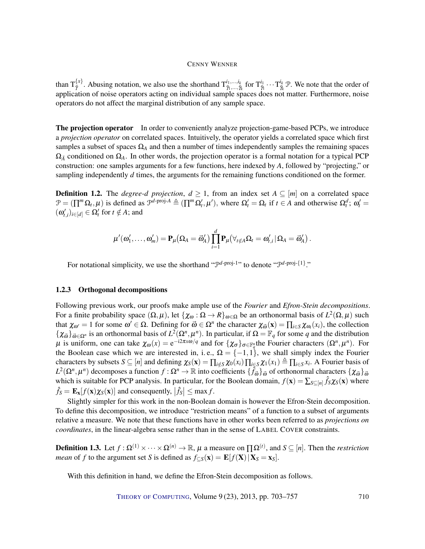than  $T_{\bar{v}}^{\{x\}}$  $\{\vec{r}\}\times\vec{r}$ . Abusing notation, we also use the shorthand  $T_{\vec{p}_1,\dots,\vec{p}_k}^{i_1,\dots,i_k}$  $\frac{i_1,...,i_k}{\tilde{\gamma}_1,...,\tilde{\gamma}_k}$  for  $\mathrm{T}_{\tilde{\gamma}_1}^{i_1}\cdots\mathrm{T}_{\tilde{\gamma}_l}^{i_k}$  $\frac{u_k}{\bar{\gamma}_k}$  P. We note that the order of application of noise operators acting on individual sample spaces does not matter. Furthermore, noise operators do not affect the marginal distribution of any sample space.

The projection operator In order to conveniently analyze projection-game-based PCPs, we introduce a *projection operator* on correlated spaces. Intuitively, the operator yields a correlated space which first samples a subset of spaces  $\Omega_A$  and then a number of times independently samples the remaining spaces  $\Omega_{\bar{A}}$  conditioned on  $\Omega_A$ . In other words, the projection operator is a formal notation for a typical PCP construction: one samples arguments for a few functions, here indexed by *A*, followed by "projecting," or sampling independently *d* times, the arguments for the remaining functions conditioned on the former.

**Definition 1.2.** The *degree-d projection*,  $d \ge 1$ , from an index set  $A \subseteq [m]$  on a correlated space  $\mathcal{P} = (\prod^{m} \Omega_{t}, \mu)$  is defined as  $\mathcal{P}^{d\text{-proj-}A} \triangleq (\prod^{m} \Omega_{t}', \mu')$ , where  $\Omega_{t}' = \Omega_{t}$  if  $t \in A$  and otherwise  $\Omega_{t}'$ ,  $\omega_{t}' = \Omega_{t}'$  $(\omega'_{t,i})_{i \in [d]} \in \Omega'_t$  for  $t \notin A$ ; and

$$
\mu'(\omega'_1,\ldots,\omega'_m) = \mathbf{P}_{\mu}(\Omega_A = \vec{\omega}'_A) \prod_{i=1}^d \mathbf{P}_{\mu}(\forall_{t \notin A} \Omega_t = \omega'_{t,i} \, | \, \Omega_A = \vec{\omega}'_A) \, .
$$

For notational simplicity, we use the shorthand " $\mathcal{P}^{d\text{-proj-1}}$ " to denote " $\mathcal{P}^{d\text{-proj-1}}$ "

#### 1.2.3 Orthogonal decompositions

Following previous work, our proofs make ample use of the *Fourier* and *Efron-Stein decompositions*. For a finite probability space  $(\Omega, \mu)$ , let  $\{\chi_{\omega} : \Omega \to R\}_{\omega \in \Omega}$  be an orthonormal basis of  $L^2(\Omega, \mu)$  such that  $\chi_{\omega'} = 1$  for some  $\omega' \in \Omega$ . Defining for  $\vec{\omega} \in \Omega^n$  the character  $\chi_{\vec{\omega}}(x) = \prod_{i \in S} \chi_{\omega_i}(x_i)$ , the collection  $\{\chi_{\vec{\omega}}\}_{\vec{\omega}\in\Omega^n}$  is an orthonormal basis of  $L^2(\Omega^n, \mu^n)$ . In particular, if  $\Omega = \mathbb{F}_q$  for some *q* and the distribution  $\mu$  is uniform, one can take  $\chi_{\omega}(x) = e^{-i2\pi x \omega/q}$  and for  $\{\chi_{\sigma}\}_{\sigma \in \mathbb{F}_q^n}$  the Fourier characters  $(\Omega^n, \mu^n)$ . For the Boolean case which we are interested in, i.e.,  $\Omega = \{-1, 1\}$ , we shall simply index the Fourier characters by subsets  $S \subseteq [n]$  and defining  $\chi_S(\mathbf{x}) = \prod_{i \notin S} \chi_0(x_i) \prod_{i \in S} \chi_1(x_1) \triangleq \prod_{i \in S} x_i$ . A Fourier basis of  $L^2(\Omega^n, μ^n)$  decomposes a function *f* : Ω<sup>*n*</sup> → ℝ into coefficients  $\{\hat{f}_{\vec{\omega}}\}_{\vec{\omega}}$  of orthonormal characters  $\{\chi_{\vec{\omega}}\}_{\vec{\omega}}$ which is suitable for PCP analysis. In particular, for the Boolean domain,  $f(\mathbf{x}) = \sum_{S \subseteq [n]} \hat{f}_S \chi_S(\mathbf{x})$  where  $\hat{f}_S = \mathbf{E_x}[f(\mathbf{x})\chi_S(\mathbf{x})]$  and consequently,  $|\hat{f}_S| \le \max f$ .

Slightly simpler for this work in the non-Boolean domain is however the Efron-Stein decomposition. To define this decomposition, we introduce "restriction means" of a function to a subset of arguments relative a measure. We note that these functions have in other works been referred to as *projections on coordinates*, in the linear-algebra sense rather than in the sense of LABEL COVER constraints.

**Definition 1.3.** Let  $f : \Omega^{(1)} \times \cdots \times \Omega^{(n)} \to \mathbb{R}$ ,  $\mu$  a measure on  $\Pi^{\Omega^{(t)}}$ , and  $S \subseteq [n]$ . Then the *restriction mean* of *f* to the argument set *S* is defined as  $f_{\subset S}(\mathbf{x}) = \mathbf{E}[f(\mathbf{X}) | \mathbf{X}_S = \mathbf{x}_S].$ 

With this definition in hand, we define the Efron-Stein decomposition as follows.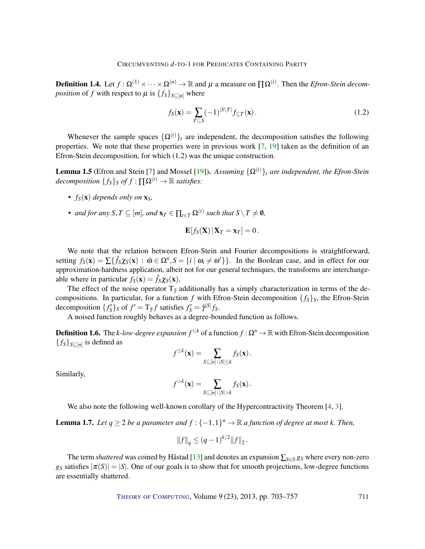<span id="page-8-2"></span>**Definition 1.4.** Let  $f: \Omega^{(1)} \times \cdots \times \Omega^{(n)} \to \mathbb{R}$  and  $\mu$  a measure on  $\Pi\Omega^{(t)}$ . Then the *Efron-Stein decomposition* of *f* with respect to  $\mu$  is  $\{f_s\}_{s \in [n]}$  where

$$
f_S(\mathbf{x}) = \sum_{T \subseteq S} (-1)^{|S \setminus T|} f_{\subseteq T}(\mathbf{x}). \tag{1.2}
$$

Whenever the sample spaces  $\{\Omega^{(t)}\}_t$  are independent, the decomposition satisfies the following properties. We note that these properties were in previous work [\[7,](#page-52-6) [19\]](#page-53-3) taken as the definition of an Efron-Stein decomposition, for which (1.2) was the unique construction.

<span id="page-8-0"></span>**Lemma 1.5** (Efron and Stein [\[7\]](#page-52-6) and Mossel [\[19\]](#page-53-3)). *Assuming*  $\{\Omega^{(t)}\}_t$  *are independent, the Efron-Stein decomposition*  ${f_s}_s$  *of*  $f : \Pi \Omega^{(t)} \to \mathbb{R}$  *satisfies:* 

- $f_S(\mathbf{x})$  *depends only on*  $\mathbf{x}_S$ *,*
- *and for any*  $S, T \subseteq [m]$ *, and*  $\mathbf{x}_T \in \prod_{t \in T} \Omega^{(t)}$  such that  $S \setminus T \neq \emptyset$ *,*

$$
\mathbf{E}[f_{\mathcal{S}}(\mathbf{X}) | \mathbf{X}_T = \mathbf{x}_T] = 0.
$$

We note that the relation between Efron-Stein and Fourier decompositions is straightforward, setting  $f_S(\mathbf{x}) = \sum {\hat{f}_S \chi_S(\mathbf{x})}$  :  $\bar{\omega} \in \Omega^n$ ,  $S = {i | \omega_i \neq \omega'}$ . In the Boolean case, and in effect for our approximation-hardness application, albeit not for our general techniques, the transforms are interchangeable where in particular  $f_S(\mathbf{x}) = \hat{f}_S \chi_S(\mathbf{x})$ .

The effect of the noise operator  $T_{\bar{y}}$  additionally has a simply characterization in terms of the decompositions. In particular, for a function  $f$  with Efron-Stein decomposition  $\{f_S\}_S$ , the Efron-Stein decomposition  $\{f'_{S}\}_S$  of  $f' = T_{\bar{\gamma}}f$  satisfies  $f'_{S} = \bar{\gamma}^{|S|}f_{S}$ .

A noised function roughly behaves as a degree-bounded function as follows.

**Definition 1.6.** The *k-low-degree expansion*  $f^{\leq k}$  of a function  $f$  : Ω<sup>*n*</sup> → ℝ with Efron-Stein decomposition  ${f_S}_{S \subseteq [n]}$  is defined as

$$
f^{\leq k}(\mathbf{x}) = \sum_{S \subseteq [n] : |S| \leq k} f_S(\mathbf{x}).
$$

Similarly,

$$
f^{>k}(\mathbf{x}) = \sum_{S \subseteq [n]:|S|>k} f_S(\mathbf{x}).
$$

We also note the following well-known corollary of the Hypercontractivity Theorem [\[4,](#page-52-7) [3\]](#page-52-8).

<span id="page-8-1"></span>**Lemma 1.7.** Let  $q \ge 2$  be a parameter and  $f : \{-1,1\}^n \to \mathbb{R}$  a function of degree at most k. Then,

$$
||f||_q \le (q-1)^{k/2} ||f||_2.
$$

The term *shattered* was coined by Håstad [\[13\]](#page-53-6) and denotes an expansion ∑<sub>*S*∈S</sub> *g<sub>S</sub>* where every non-zero *g*<sub>S</sub> satisfies  $|\pi(S)| = |S|$ . One of our goals is to show that for smooth projections, low-degree functions are essentially shattered.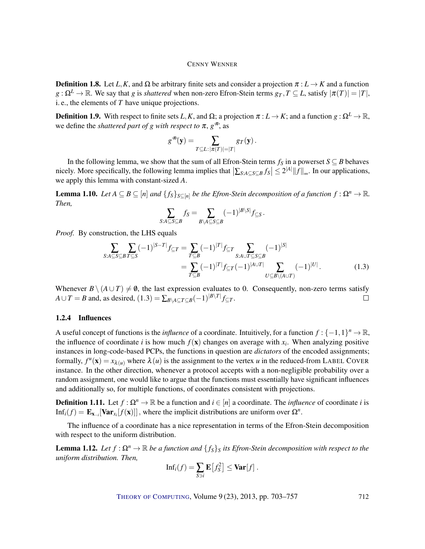**Definition 1.8.** Let *L*, *K*, and  $\Omega$  be arbitrary finite sets and consider a projection  $\pi : L \to K$  and a function  $g: \Omega^L \to \mathbb{R}$ . We say that *g* is *shattered* when non-zero Efron-Stein terms  $g_T, T \subseteq L$ , satisfy  $|\pi(T)| = |T|$ , i. e., the elements of *T* have unique projections.

**Definition 1.9.** With respect to finite sets *L*, *K*, and  $\Omega$ ; a projection  $\pi : L \to K$ ; and a function  $g : \Omega^L \to \mathbb{R}$ , we define the *shattered part of g with respect to*  $\pi$ ,  $g^{\pi}$ , as

$$
g^{\mathcal{F}}(\mathbf{y}) = \sum_{T \subseteq L: |\pi(T)| = |T|} gr(\mathbf{y}).
$$

In the following lemma, we show that the sum of all Efron-Stein terms  $f_S$  in a powerset  $S \subseteq B$  behaves nicely. More specifically, the following lemma implies that  $\left|\sum_{S:A\subseteq S\subseteq B} f_S\right| \leq 2^{|A|} \|f\|_{\infty}$ . In our applications, we apply this lemma with constant-sized *A*.

<span id="page-9-0"></span>**Lemma 1.10.** *Let*  $A \subseteq B \subseteq [n]$  *and*  $\{f_S\}_{S \subseteq [n]}$  *be the Efron-Stein decomposition of a function*  $f : \Omega^n \to \mathbb{R}$ *. Then,*

$$
\sum_{S:A\subseteq S\subseteq B} f_S = \sum_{B\setminus A\subseteq S\subseteq B} (-1)^{|B\setminus S|} f_{\subseteq S}.
$$

*Proof.* By construction, the LHS equals

$$
\sum_{S:A \subseteq S \subseteq B} \sum_{T \subseteq S} (-1)^{|S-T|} f_{\subseteq T} = \sum_{T \subseteq B} (-1)^{|T|} f_{\subseteq T} \sum_{S:A \cup T \subseteq S \subseteq B} (-1)^{|S|} \\
= \sum_{T \subseteq B} (-1)^{|T|} f_{\subseteq T} (-1)^{|A \cup T|} \sum_{U \subseteq B \setminus (A \cup T)} (-1)^{|U|}.
$$
\n(1.3)

Whenever  $B \setminus (A \cup T) \neq \emptyset$ , the last expression evaluates to 0. Consequently, non-zero terms satisfy *A*  $\cup$  *T* = *B* and, as desired, (1.3) =  $\sum_{B\setminus A \subseteq T \subseteq B}(-1)^{|B\setminus T|}f_{\subseteq T}$ .  $\Box$ 

#### 1.2.4 Influences

A useful concept of functions is the *influence* of a coordinate. Intuitively, for a function  $f: \{-1,1\}^n \to \mathbb{R}$ , the influence of coordinate *i* is how much  $f(\mathbf{x})$  changes on average with  $x_i$ . When analyzing positive instances in long-code-based PCPs, the functions in question are *dictators* of the encoded assignments; formally,  $f^u$ (**x**) =  $x_{\lambda(u)}$  where  $\lambda(u)$  is the assignment to the vertex *u* in the reduced-from LABEL COVER instance. In the other direction, whenever a protocol accepts with a non-negligible probability over a random assignment, one would like to argue that the functions must essentially have significant influences and additionally so, for multiple functions, of coordinates consistent with projections.

**Definition 1.11.** Let  $f : \Omega^n \to \mathbb{R}$  be a function and  $i \in [n]$  a coordinate. The *influence* of coordinate *i* is  $\text{Inf}_i(f) = \mathbf{E}_{\mathbf{x}_{-i}}[\text{Var}_{x_i}[f(\mathbf{x})]]$ , where the implicit distributions are uniform over  $\Omega^n$ .

The influence of a coordinate has a nice representation in terms of the Efron-Stein decomposition with respect to the uniform distribution.

**Lemma 1.12.** *Let*  $f : \Omega^n \to \mathbb{R}$  *be a function and*  $\{f_s\}$ *s its Efron-Stein decomposition with respect to the uniform distribution. Then,*

$$
\mathrm{Inf}_i(f) = \sum_{S \ni i} \mathbf{E}\left[f_S^2\right] \leq \mathbf{Var}[f].
$$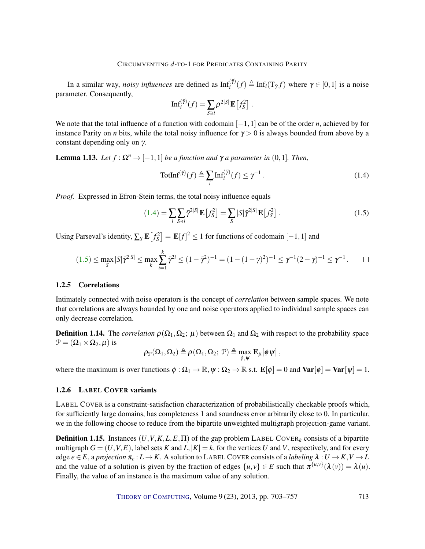In a similar way, *noisy influences* are defined as  $Inf_i^{(\gamma)}(f) \triangleq Inf_i(T_{\bar{\gamma}}f)$  where  $\gamma \in [0,1]$  is a noise parameter. Consequently,

$$
\mathrm{Inf}_i^{(\bar{\gamma})}(f)=\sum_{S\ni i}\rho^{2|S|}\,\mathbf{E}\left[f_S^2\right]\,.
$$

We note that the total influence of a function with codomain [−1,1] can be of the order *n*, achieved by for instance Parity on *n* bits, while the total noisy influence for  $\gamma > 0$  is always bounded from above by a constant depending only on γ.

<span id="page-10-2"></span>**Lemma 1.13.** *Let*  $f : \Omega^n \to [-1,1]$  *be a function and*  $\gamma$  *a parameter in* (0,1)*. Then,* 

<span id="page-10-1"></span><span id="page-10-0"></span>
$$
\text{TotInf}^{(\bar{\gamma})}(f) \triangleq \sum_{i} \text{Inf}_{i}^{(\bar{\gamma})}(f) \leq \gamma^{-1}.
$$
 (1.4)

*Proof.* Expressed in Efron-Stein terms, the total noisy influence equals

$$
(1.4) = \sum_{i} \sum_{S \ni i} \bar{\gamma}^{2|S|} \mathbf{E} \left[ f_S^2 \right] = \sum_{S} |S| \bar{\gamma}^{2|S|} \mathbf{E} \left[ f_S^2 \right]. \tag{1.5}
$$

Using Parseval's identity,  $\sum_{S} \mathbf{E}[f_S^2] = \mathbf{E}[f]^2 \le 1$  for functions of codomain  $[-1,1]$  and

$$
(1.5) \le \max_{S} |S|\bar{\gamma}^{2|S|} \le \max_{k} \sum_{i=1}^{k} \bar{\gamma}^{2i} \le (1 - \bar{\gamma}^{2})^{-1} = (1 - (1 - \gamma)^{2})^{-1} \le \gamma^{-1}(2 - \gamma)^{-1} \le \gamma^{-1}.
$$

#### 1.2.5 Correlations

Intimately connected with noise operators is the concept of *correlation* between sample spaces. We note that correlations are always bounded by one and noise operators applied to individual sample spaces can only decrease correlation.

**Definition 1.14.** The *correlation*  $\rho(\Omega_1, \Omega_2; \mu)$  between  $\Omega_1$  and  $\Omega_2$  with respect to the probability space  $\mathcal{P} = (\Omega_1 \times \Omega_2, \mu)$  is

$$
\rho_{\mathcal{P}}(\Omega_1,\Omega_2) \triangleq \rho\left(\Omega_1,\Omega_2;\ \mathcal{P}\right) \triangleq \max_{\phi,\psi} \mathbf{E}_{\mu}[\phi\,\psi]\;,
$$

where the maximum is over functions  $\phi : \Omega_1 \to \mathbb{R}, \psi : \Omega_2 \to \mathbb{R}$  s.t.  $\mathbf{E}[\phi] = 0$  and  $\text{Var}[\phi] = \text{Var}[\psi] = 1$ .

#### 1.2.6 LABEL COVER variants

LABEL COVER is a constraint-satisfaction characterization of probabilistically checkable proofs which, for sufficiently large domains, has completeness 1 and soundness error arbitrarily close to 0. In particular, we in the following choose to reduce from the bipartite unweighted multigraph projection-game variant.

**Definition 1.15.** Instances  $(U, V, K, L, E, \Pi)$  of the gap problem LABEL COVER<sub>k</sub> consists of a bipartite multigraph  $G = (U, V, E)$ , label sets *K* and *L*,  $|K| = k$ , for the vertices *U* and *V*, respectively, and for every edge  $e \in E$ , a projection  $\pi_e: L \to K$ . A solution to LABEL COVER consists of a *labeling*  $\lambda: U \to K$ ,  $V \to L$ and the value of a solution is given by the fraction of edges  $\{u, v\} \in E$  such that  $\pi^{\{u, v\}}(\lambda(v)) = \lambda(u)$ . Finally, the value of an instance is the maximum value of any solution.

THEORY OF C[OMPUTING](http://dx.doi.org/10.4086/toc), Volume 9 (23), 2013, pp. 703–757 713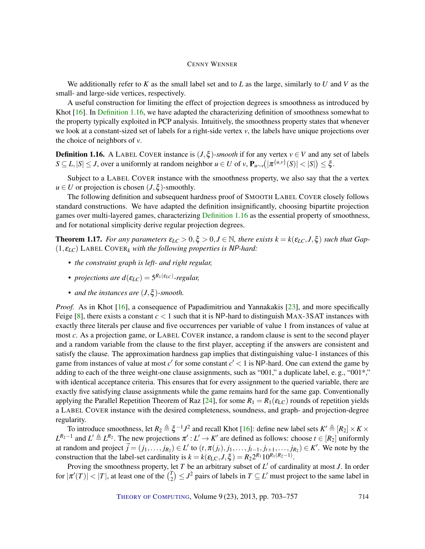<span id="page-11-2"></span>We additionally refer to *K* as the small label set and to *L* as the large, similarly to *U* and *V* as the small- and large-side vertices, respectively.

A useful construction for limiting the effect of projection degrees is smoothness as introduced by Khot [\[16\]](#page-53-9). In [Definition 1.16,](#page-11-0) we have adapted the characterizing definition of smoothness somewhat to the property typically exploited in PCP analysis. Intuitively, the smoothness property states that whenever we look at a constant-sized set of labels for a right-side vertex *v*, the labels have unique projections over the choice of neighbors of *v*.

<span id="page-11-0"></span>**Definition 1.16.** A LABEL COVER instance is  $(J, \xi)$ -smooth if for any vertex  $v \in V$  and any set of labels  $S \subseteq L, |S| \le J$ , over a uniformly at random neighbor  $u \in U$  of  $v$ ,  $\mathbf{P}_{u \sim v}(|\pi^{\{u, v\}}(S)| < |S|) \le \xi$ .

Subject to a LABEL COVER instance with the smoothness property, we also say that the a vertex  $u \in U$  or projection is chosen  $(J, \xi)$ -smoothly.

The following definition and subsequent hardness proof of SMOOTH LABEL COVER closely follows standard constructions. We have adapted the definition insignificantly, choosing bipartite projection games over multi-layered games, characterizing [Definition 1.16](#page-11-0) as the essential property of smoothness, and for notational simplicity derive regular projection degrees.

<span id="page-11-1"></span>**Theorem 1.17.** *For any parameters*  $\varepsilon_{LC} > 0, \xi > 0, J \in \mathbb{N}$ , there exists  $k = k(\varepsilon_{LC}, J, \xi)$  such that Gap- $(1, \varepsilon_{LC})$  LABEL COVER<sub>k</sub> with the following properties is NP-hard:

- *• the constraint graph is left- and right regular,*
- *projections are*  $d(\varepsilon_{LC}) = 5^{R_1(\varepsilon_{LC})}$ *-regular,*
- *• and the instances are* (*J*,ξ )*-smooth.*

*Proof.* As in Khot [\[16\]](#page-53-9), a consequence of Papadimitriou and Yannakakis [\[23\]](#page-53-11), and more specifically Feige  $[8]$ , there exists a constant  $c < 1$  such that it is NP-hard to distinguish MAX-3SAT instances with exactly three literals per clause and five occurrences per variable of value 1 from instances of value at most *c*. As a projection game, or LABEL COVER instance, a random clause is sent to the second player and a random variable from the clause to the first player, accepting if the answers are consistent and satisfy the clause. The approximation hardness gap implies that distinguishing value-1 instances of this game from instances of value at most  $c'$  for some constant  $c' < 1$  is NP-hard. One can extend the game by adding to each of the three weight-one clause assignments, such as "001," a duplicate label, e. g., "001\*," with identical acceptance criteria. This ensures that for every assignment to the queried variable, there are exactly five satisfying clause assignments while the game remains hard for the same gap. Conventionally applying the Parallel Repetition Theorem of Raz [\[24\]](#page-53-12), for some  $R_1 = R_1(\epsilon_{\text{LC}})$  rounds of repetition yields a LABEL COVER instance with the desired completeness, soundness, and graph- and projection-degree regularity.

To introduce smoothness, let  $R_2 \triangleq \xi^{-1}J^2$  and recall Khot [\[16\]](#page-53-9): define new label sets  $K' \triangleq [R_2] \times K \times$  $L^{R_2-1}$  and  $L' \triangleq L^{R_2}$ . The new projections  $\pi': L' \to K'$  are defined as follows: choose  $t \in [R_2]$  uniformly at random and project  $\vec{j}=(j_1,\ldots,j_{R_2})\in L'$  to  $(t,\pi(j_t),j_1,\ldots,j_{t-1},j_{t+1},\ldots,j_{R_2})\in K'.$  We note by the construction that the label-set cardinality is  $k = k(\varepsilon_{\text{LC}}, J, \xi) = R_2 2^{R_1} 10^{R_1(R_2 - 1)}$ .

Proving the smoothness property, let *T* be an arbitrary subset of *L'* of cardinality at most *J*. In order for  $|\pi'(T)| < |T|$ , at least one of the  $\binom{T}{2}$  $\binom{T}{2} \leq J^2$  pairs of labels in  $T \subseteq L'$  must project to the same label in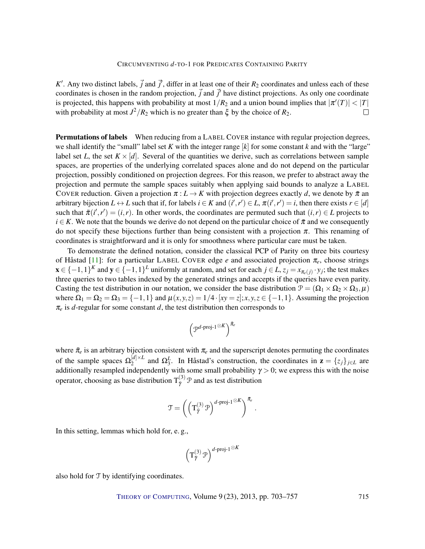<span id="page-12-0"></span>*K*<sup> $\prime$ </sup>. Any two distinct labels,  $\vec{j}$  and  $\vec{j}'$ , differ in at least one of their  $R_2$  coordinates and unless each of these coordinates is chosen in the random projection,  $\vec{j}$  and  $\vec{j}'$  have distinct projections. As only one coordinate is projected, this happens with probability at most  $1/R_2$  and a union bound implies that  $|\pi'(T)| < |T|$ with probability at most  $J^2/R_2$  which is no greater than  $\xi$  by the choice of  $R_2$ .  $\Box$ 

Permutations of labels When reducing from a LABEL COVER instance with regular projection degrees, we shall identify the "small" label set *K* with the integer range [*k*] for some constant *k* and with the "large" label set *L*, the set  $K \times [d]$ . Several of the quantities we derive, such as correlations between sample spaces, are properties of the underlying correlated spaces alone and do not depend on the particular projection, possibly conditioned on projection degrees. For this reason, we prefer to abstract away the projection and permute the sample spaces suitably when applying said bounds to analyze a LABEL COVER reduction. Given a projection  $\pi : L \to K$  with projection degrees exactly *d*, we denote by  $\bar{\pi}$  and arbitrary bijection  $L \leftrightarrow L$  such that if, for labels  $i \in K$  and  $(i', r') \in L$ ,  $\pi(i', r') = i$ , then there exists  $r \in [d]$ such that  $\bar{\pi}(i',r') = (i,r)$ . In other words, the coordinates are permuted such that  $(i,r) \in L$  projects to  $i \in K$ . We note that the bounds we derive do not depend on the particular choice of  $\bar{\pi}$  and we consequently do not specify these bijections further than being consistent with a projection  $\pi$ . This renaming of coordinates is straightforward and it is only for smoothness where particular care must be taken.

To demonstrate the defined notation, consider the classical PCP of Parity on three bits courtesy of Håstad [\[11\]](#page-52-0): for a particular LABEL COVER edge *e* and associated projection π*e*, choose strings  $\mathbf{x} \in \{-1,1\}^K$  and  $\mathbf{y} \in \{-1,1\}^L$  uniformly at random, and set for each  $j \in L$ ,  $z_j = x_{\pi_e(j)} \cdot y_j$ ; the test makes three queries to two tables indexed by the generated strings and accepts if the queries have even parity. Casting the test distribution in our notation, we consider the base distribution  $\mathcal{P} = (\Omega_1 \times \Omega_2 \times \Omega_3, \mu)$ where  $\Omega_1 = \Omega_2 = \Omega_3 = \{-1, 1\}$  and  $\mu(x, y, z) = 1/4 \cdot [xy = z]$ ;  $x, y, z \in \{-1, 1\}$ . Assuming the projection  $\pi_e$  is *d*-regular for some constant *d*, the test distribution then corresponds to

$$
\bigg(\mathcal{P}^{d\text{-}\mathrm{proj}\text{-}1\,\otimes K}\bigg)^{\bar{\pi}_e}
$$

where  $\bar{\pi}_e$  is an arbitrary bijection consistent with  $\pi_e$  and the superscript denotes permuting the coordinates of the sample spaces  $\Omega_2^{[d] \times L}$  and  $\Omega_3^L$ . In Håstad's construction, the coordinates in  $\mathbf{z} = \{z_j\}_{j \in L}$  are of the sample spaces  $\frac{2}{2}$  and  $\frac{2}{3}$ . In Trastad s construction, the coordinates in  $\mathbf{z} = \frac{2}{j} f j \in L$  are additionally resampled independently with some small probability  $\gamma > 0$ ; we express this with the nois operator, choosing as base distribution  $T_{\tilde{\gamma}}^{(3)}$   $\mathcal{P}$  and as test distribution

$$
\mathfrak{T}=\left(\left(\mathbf{T}^{(3)}_{\tilde{\gamma}} \,\mathfrak{P}\right)^{d\text{-proj-1}\,\otimes K}\right)^{\bar{\pi}_e}.
$$

In this setting, lemmas which hold for, e. g.,

$$
\left(\mathbf{T}^{(3)}_{\bar{\gamma}} \, \mathbf{P} \right)^{d\text{-proj-1}\, \otimes K}
$$

also hold for T by identifying coordinates.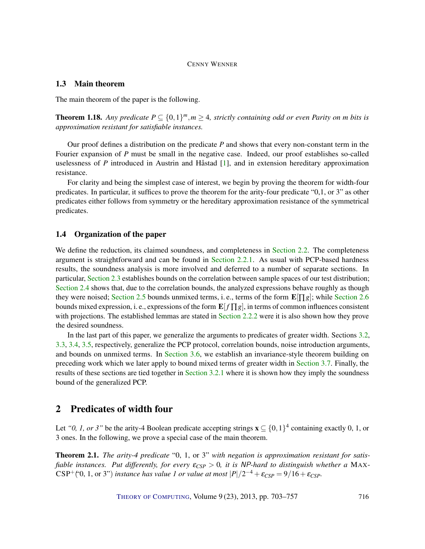#### <span id="page-13-1"></span>1.3 Main theorem

The main theorem of the paper is the following.

**Theorem 1.18.** Any predicate  $P \subseteq \{0,1\}^m$ ,  $m \geq 4$ , strictly containing odd or even Parity on *m* bits is *approximation resistant for satisfiable instances.*

Our proof defines a distribution on the predicate *P* and shows that every non-constant term in the Fourier expansion of *P* must be small in the negative case. Indeed, our proof establishes so-called uselessness of *P* introduced in Austrin and Håstad [\[1\]](#page-52-10), and in extension hereditary approximation resistance.

For clarity and being the simplest case of interest, we begin by proving the theorem for width-four predicates. In particular, it suffices to prove the theorem for the arity-four predicate "0,1, or 3" as other predicates either follows from symmetry or the hereditary approximation resistance of the symmetrical predicates.

#### 1.4 Organization of the paper

We define the reduction, its claimed soundness, and completeness in [Section 2.2.](#page-14-0) The completeness argument is straightforward and can be found in [Section 2.2.1.](#page-15-0) As usual with PCP-based hardness results, the soundness analysis is more involved and deferred to a number of separate sections. In particular, [Section 2.3](#page-19-0) establishes bounds on the correlation between sample spaces of our test distribution; [Section 2.4](#page-23-0) shows that, due to the correlation bounds, the analyzed expressions behave roughly as though they were noised; [Section 2.5](#page-29-0) bounds unmixed terms, i. e., terms of the form  $\mathbf{E}[\Pi g]$ ; while [Section 2.6](#page-32-0) bounds mixed expression, i. e., expressions of the form  $\mathbf{E}[f \Pi g]$ , in terms of common influences consistent with projections. The established lemmas are stated in [Section 2.2.2](#page-16-0) were it is also shown how they prove the desired soundness.

In the last part of this paper, we generalize the arguments to predicates of greater width. Sections [3.2,](#page-38-0) [3.3,](#page-40-0) [3.4,](#page-42-0) [3.5,](#page-44-0) respectively, generalize the PCP protocol, correlation bounds, noise introduction arguments, and bounds on unmixed terms. In [Section 3.6,](#page-47-0) we establish an invariance-style theorem building on preceding work which we later apply to bound mixed terms of greater width in [Section 3.7.](#page-51-0) Finally, the results of these sections are tied together in [Section 3.2.1](#page-39-0) where it is shown how they imply the soundness bound of the generalized PCP.

### 2 Predicates of width four

Let "0, 1, or 3" be the arity-4 Boolean predicate accepting strings  $\mathbf{x} \subseteq \{0,1\}^4$  containing exactly 0, 1, or 3 ones. In the following, we prove a special case of the main theorem.

<span id="page-13-0"></span>Theorem 2.1. *The arity-4 predicate* "0, 1, or 3" *with negation is approximation resistant for satisfiable instances. Put differently, for every* ε*CSP* > 0*, it is* NP*-hard to distinguish whether a* MAX- $CSP^+(0, 1, \text{or } 3")$  *instance has value 1 or value at most*  $|P|/2^{-4} + \varepsilon_{CSP} = 9/16 + \varepsilon_{CSP}$ *.*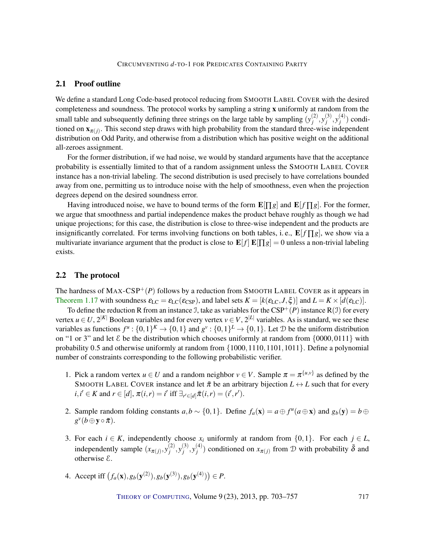#### 2.1 Proof outline

We define a standard Long Code-based protocol reducing from SMOOTH LABEL COVER with the desired completeness and soundness. The protocol works by sampling a string x uniformly at random from the small table and subsequently defining three strings on the large table by sampling  $(y_i^{(2)})$  $j^{(2)}, y_j^{(3)}$  $j^{(3)}, y_j^{(4)}$  $j^{(4)}$ ) conditioned on  $\mathbf{x}_{\pi(j)}$ . This second step draws with high probability from the standard three-wise independent distribution on Odd Parity, and otherwise from a distribution which has positive weight on the additional all-zeroes assignment.

For the former distribution, if we had noise, we would by standard arguments have that the acceptance probability is essentially limited to that of a random assignment unless the SMOOTH LABEL COVER instance has a non-trivial labeling. The second distribution is used precisely to have correlations bounded away from one, permitting us to introduce noise with the help of smoothness, even when the projection degrees depend on the desired soundness error.

Having introduced noise, we have to bound terms of the form  $\mathbf{E}[\Pi g]$  and  $\mathbf{E}[f \Pi g]$ . For the former, we argue that smoothness and partial independence makes the product behave roughly as though we had unique projections; for this case, the distribution is close to three-wise independent and the products are insignificantly correlated. For terms involving functions on both tables, i.e.,  $\mathbf{E}[f \bigcap g]$ , we show via a multivariate invariance argument that the product is close to  $\mathbf{E}[f] \mathbf{E}[\Pi g] = 0$  unless a non-trivial labeling exists.

#### <span id="page-14-0"></span>2.2 The protocol

The hardness of  $MAX-CSP^+(P)$  follows by a reduction from SMOOTH LABEL COVER as it appears in [Theorem 1.17](#page-11-1) with soundness  $\varepsilon_{LC} = \varepsilon_{LC}(\varepsilon_{CSP})$ , and label sets  $K = [k(\varepsilon_{LC}, J, \xi)]$  and  $L = K \times [d(\varepsilon_{LC})]$ .

To define the reduction R from an instance J, take as variables for the  $CSP^+(P)$  instance R(J) for every vertex  $u \in U$ ,  $2^{|K|}$  Boolean variables and for every vertex  $v \in V$ ,  $2^{|L|}$  variables. As is standard, we see these variables as functions  $f^u: \{0,1\}^K \to \{0,1\}$  and  $g^v: \{0,1\}^L \to \{0,1\}$ . Let  $\mathcal D$  be the uniform distribution on "1 or 3" and let  $\&$  be the distribution which chooses uniformly at random from  $\{0000, 0111\}$  with probability 0.5 and otherwise uniformly at random from {1000,1110,1101,1011}. Define a polynomial number of constraints corresponding to the following probabilistic verifier.

- 1. Pick a random vertex  $u \in U$  and a random neighbor  $v \in V$ . Sample  $\pi = \pi^{\{u,v\}}$  as defined by the SMOOTH LABEL COVER instance and let  $\bar{\pi}$  be an arbitrary bijection  $L \leftrightarrow L$  such that for every  $i, i' \in K$  and  $r \in [d]$ ,  $\pi(i, r) = i'$  iff  $\exists_{r' \in [d]} \bar{\pi}(i, r) = (i', r')$ .
- 2. Sample random folding constants  $a, b \sim \{0, 1\}$ . Define  $f_a(\mathbf{x}) = a \oplus f^u(a \oplus \mathbf{x})$  and  $g_b(\mathbf{y}) = b \oplus f^u(a \oplus \mathbf{x})$  $g^{\nu}(b \oplus \mathbf{y} \circ \bar{\pi}).$
- 3. For each  $i \in K$ , independently choose  $x_i$  uniformly at random from  $\{0,1\}$ . For each  $j \in L$ , independently sample  $(x_{\pi(j)}, y_j^{(2)})$  $j^{(2)}, y_j^{(3)}$  $j^{(3)}, y_j^{(4)}$  $g_j^{(4)}$ ) conditioned on  $x_{\pi(j)}$  from D with probability  $\bar{\delta}$  and otherwise E.
- 4. Accept iff  $(f_a(\mathbf{x}), g_b(\mathbf{y}^{(2)}), g_b(\mathbf{y}^{(3)}), g_b(\mathbf{y}^{(4)})) \in P$ .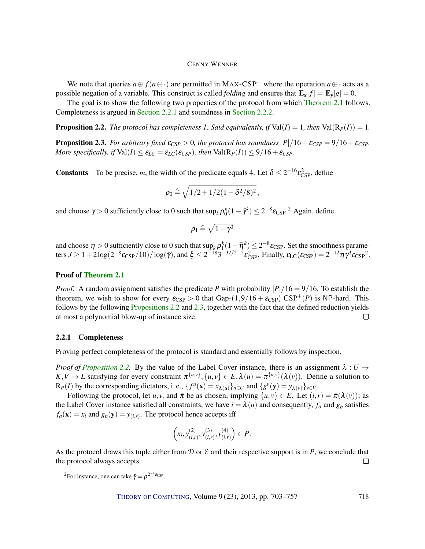We note that queries  $a \oplus f(a \oplus \cdot)$  are permitted in MAX-CSP<sup>+</sup> where the operation  $a \oplus \cdot$  acts as a possible negation of a variable. This construct is called *folding* and ensures that  $\mathbf{E_x}[f] = \mathbf{E_y}[g] = 0$ .

The goal is to show the following two properties of the protocol from which [Theorem 2.1](#page-13-0) follows. Completeness is argued in [Section 2.2.1](#page-15-0) and soundness in [Section 2.2.2.](#page-16-0)

<span id="page-15-1"></span>**Proposition 2.2.** The protocol has completeness 1. Said equivalently, if  $Val(I) = 1$ , then  $Val(R_P(I)) = 1$ .

<span id="page-15-2"></span>**Proposition 2.3.** *For arbitrary fixed*  $\varepsilon_{CSP} > 0$ *, the protocol has soundness*  $|P|/16 + \varepsilon_{CSP} = 9/16 + \varepsilon_{CSP}$ *. More specifically, if*  $Val(I) \leq \varepsilon_{LC} = \varepsilon_{LC}(\varepsilon_{CSP})$ *, then*  $Val(R_P(I)) \leq 9/16 + \varepsilon_{CSP}$ *.* 

**Constants** To be precise, *m*, the width of the predicate equals 4. Let  $\delta \leq 2^{-16} \epsilon_{\text{CSP}}^2$ , define

$$
\pmb{\rho_0 \triangleq \sqrt{1/2+1/2(1-\delta^2/8)^2}}\,,
$$

and choose  $\gamma > 0$  sufficiently close to 0 such that  $\sup_k \rho_0^k(1-\tilde{\gamma}^k) \leq 2^{-8} \epsilon_{\text{CSP}}$ .<sup>2</sup> Again, define

$$
\rho_1 \triangleq \sqrt{1-\gamma^3}
$$

and choose  $\eta > 0$  sufficiently close to 0 such that  $\sup_k \rho_1^k(1-\overline{\eta}^k) \leq 2^{-8}\epsilon_{\text{CSP}}$ . Set the smoothness parameters  $J \geq 1 + 2\log(2^{-8}\epsilon_{\text{CSP}}/10)/\log(\bar{\gamma})$ , and  $\xi \leq 2^{-18}3^{-3J/2-2}\epsilon_{\text{CSP}}^2$ . Finally,  $\epsilon_{\text{LC}}(\epsilon_{\text{CSP}}) = 2^{-12}\eta \gamma^3 \epsilon_{\text{CSP}}^2$ .

#### Proof of [Theorem 2.1](#page-13-0)

*Proof.* A random assignment satisfies the predicate *P* with probability  $|P|/16 = 9/16$ . To establish the theorem, we wish to show for every  $\varepsilon_{\text{CSP}} > 0$  that Gap- $(1,9/16 + \varepsilon_{\text{CSP}}) \text{ CSP}^+(P)$  is NP-hard. This follows by the following [Propositions 2.2](#page-15-1) and [2.3,](#page-15-2) together with the fact that the defined reduction yields at most a polynomial blow-up of instance size.  $\Box$ 

#### <span id="page-15-0"></span>2.2.1 Completeness

Proving perfect completeness of the protocol is standard and essentially follows by inspection.

*Proof of [Proposition 2.2.](#page-15-1)* By the value of the Label Cover instance, there is an assignment  $\lambda: U \rightarrow$  $K, V \to L$  satisfying for every constraint  $\pi^{\{u,v\}}$ ,  $\{u, v\} \in E, \lambda(u) = \pi^{\{u,v\}}(\lambda(v))$ . Define a solution to  $\mathbb{R}_P(I)$  by the corresponding dictators, i. e.,  $\{f^u(\mathbf{x}) = x_{\lambda(u)}\}_{u \in U}$  and  $\{g^v(\mathbf{y}) = y_{\lambda(v)}\}_{v \in V}$ .

Following the protocol, let *u*, *v*, and  $\bar{\pi}$  be as chosen, implying  $\{u, v\} \in E$ . Let  $(i, r) = \bar{\pi}(\lambda(v))$ ; as the Label Cover instance satisfied all constraints, we have  $i = \lambda(u)$  and consequently,  $f_a$  and  $g_b$  satisfies  $f_a(\mathbf{x}) = x_i$  and  $g_b(\mathbf{y}) = y_{(i,r)}$ . The protocol hence accepts iff

$$
\left(x_i, y_{(i,r)}^{(2)}, y_{(i,r)}^{(3)}, y_{(i,r)}^{(4)}\right) \in P.
$$

As the protocol draws this tuple either from  $\mathcal D$  or  $\mathcal E$  and their respective support is in *P*, we conclude that the protocol always accepts.  $\Box$ 

<sup>&</sup>lt;sup>2</sup>For instance, one can take  $\bar{\gamma} = \rho^{2^{-8}\epsilon_{\rm CSP}}$ .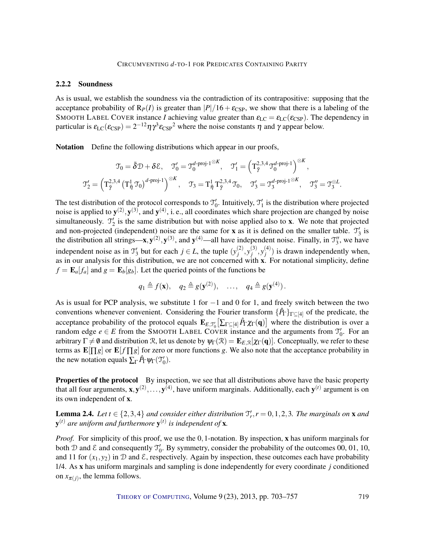#### <span id="page-16-0"></span>2.2.2 Soundness

As is usual, we establish the soundness via the contradiction of its contrapositive: supposing that the acceptance probability of  $R_P(I)$  is greater than  $|P|/16 + \varepsilon_{\text{CSP}}$ , we show that there is a labeling of the SMOOTH LABEL COVER instance *I* achieving value greater than  $\epsilon_{LC} = \epsilon_{LC}(\epsilon_{CSP})$ . The dependency in particular is  $\varepsilon_{\text{LC}}(\varepsilon_{\text{CSP}}) = 2^{-12} \eta \gamma^3 \varepsilon_{\text{CSP}}^2$  where the noise constants  $\eta$  and  $\gamma$  appear below.

Notation Define the following distributions which appear in our proofs,

$$
\mathfrak{T}_0 = \bar{\delta} \mathfrak{D} + \delta \mathfrak{E}, \quad \mathfrak{T}_0' = \mathfrak{T}_0^{d\text{-proj-1}\otimes K}, \quad \mathfrak{T}_1' = \left(\mathbf{T}_{\tilde{\gamma}}^{2,3,4} \mathfrak{T}_0^{d\text{-proj-1}}\right)^{\otimes K},
$$

$$
\mathfrak{T}_2' = \left(\mathbf{T}_{\tilde{\gamma}}^{2,3,4} \left(\mathbf{T}_{\tilde{\eta}}^1 \mathfrak{T}_0\right)^{d\text{-proj-1}}\right)^{\otimes K}, \quad \mathfrak{T}_3 = \mathbf{T}_{\tilde{\eta}}^1 \mathbf{T}_{\tilde{\gamma}}^{2,3,4} \mathfrak{T}_0, \quad \mathfrak{T}_3' = \mathfrak{T}_3^{d\text{-proj-1}\otimes K}, \quad \mathfrak{T}_3'' = \mathfrak{T}_3^{\otimes L}.
$$

The test distribution of the protocol corresponds to  $\mathcal{T}'_0$ . Intuitively,  $\mathcal{T}'_1$  is the distribution where projected noise is applied to  $y^{(2)}$ ,  $y^{(3)}$ , and  $y^{(4)}$ , i.e., all coordinates which share projection are changed by noise simultaneously.  $\mathcal{T}'_2$  is the same distribution but with noise applied also to x. We note that projected and non-projected (independent) noise are the same for **x** as it is defined on the smaller table.  $\mathcal{T}'_3$  is the distribution all strings— $x, y^{(2)}, y^{(3)}$ , and  $y^{(4)}$ —all have independent noise. Finally, in  $\mathcal{T}_3''$ , we have independent noise as in  $\mathcal{T}'_3$  but for each  $j \in L$ , the tuple  $(y_j^{(2)})$  $j^{(2)}, y_j^{(3)}$  $j^{(3)}, y_j^{(4)}$  $j_j^{(4)}$ ) is drawn independently when, as in our analysis for this distribution, we are not concerned with x. For notational simplicity, define  $f = \mathbf{E}_a[f_a]$  and  $g = \mathbf{E}_b[g_b]$ . Let the queried points of the functions be

$$
q_1 \triangleq f(\mathbf{x}), \quad q_2 \triangleq g(\mathbf{y}^{(2)}), \quad \dots, \quad q_4 \triangleq g(\mathbf{y}^{(4)}).
$$

As is usual for PCP analysis, we substitute 1 for  $-1$  and 0 for 1, and freely switch between the two conventions whenever convenient. Considering the Fourier transform {*P*ˆ <sup>Γ</sup>}Γ⊆[4] of the predicate, the acceptance probability of the protocol equals  $\mathbf{E}_{E, \mathcal{I}'_0} [\sum_{\Gamma \subseteq [4]} \hat{P}_{\Gamma} \chi_{\Gamma}(\mathbf{q})]$  where the distribution is over a random edge  $e \in E$  from the SMOOTH LABEL COVER instance and the arguments from  $\mathcal{T}'_0$ . For an arbitrary  $\Gamma \neq \emptyset$  and distribution R, let us denote by  $\psi_{\Gamma}(\mathcal{R}) = \mathbf{E}_{E,\mathcal{R}}[\chi_{\Gamma}(\mathbf{q})]$ . Conceptually, we refer to these terms as  $\mathbf{E}[\Pi g]$  or  $\mathbf{E}[f \Pi g]$  for zero or more functions g. We also note that the acceptance probability in the new notation equals  $\sum_{\Gamma} \hat{P}_{\Gamma} \psi_{\Gamma}(\mathcal{I}'_0)$ .

Properties of the protocol By inspection, we see that all distributions above have the basic property that all four arguments,  $x, y^{(2)}, \ldots, y^{(4)}$ , have uniform marginals. Additionally, each  $y^{(t)}$  argument is on its own independent of x.

<span id="page-16-1"></span>**Lemma 2.4.** Let  $t \in \{2,3,4\}$  and consider either distribution  $\mathcal{T}'_r$ ,  $r = 0,1,2,3$ . The marginals on **x** and y (*t*) *are uniform and furthermore* y (*t*) *is independent of* x*.*

*Proof.* For simplicity of this proof, we use the 0,1-notation. By inspection, x has uniform marginals for both D and E and consequently  $\mathcal{T}'_0$ . By symmetry, consider the probability of the outcomes 00, 01, 10, and 11 for  $(x_1, y_2)$  in  $D$  and  $E$ , respectively. Again by inspection, these outcomes each have probability 1/4. As x has uniform marginals and sampling is done independently for every coordinate *j* conditioned on  $x_{\pi(j)}$ , the lemma follows.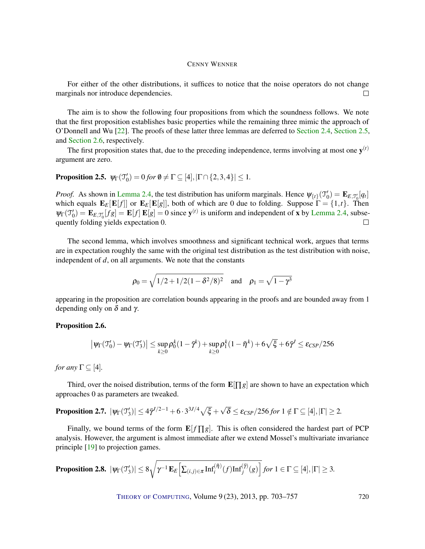<span id="page-17-4"></span>For either of the other distributions, it suffices to notice that the noise operators do not change marginals nor introduce dependencies.  $\Box$ 

The aim is to show the following four propositions from which the soundness follows. We note that the first proposition establishes basic properties while the remaining three mimic the approach of O'Donnell and Wu [\[22\]](#page-53-1). The proofs of these latter three lemmas are deferred to [Section 2.4,](#page-23-0) [Section 2.5,](#page-29-0) and [Section 2.6,](#page-32-0) respectively.

The first proposition states that, due to the preceding independence, terms involving at most one  $y^{(t)}$ argument are zero.

## <span id="page-17-0"></span>**Proposition 2.5.**  $\psi_{\Gamma}(\mathcal{T}'_0) = 0$  for  $\emptyset \neq \Gamma \subseteq [4], |\Gamma \cap \{2,3,4\}| \leq 1$ .

*Proof.* As shown in [Lemma 2.4,](#page-16-1) the test distribution has uniform marginals. Hence  $\psi_{\{t\}}(\mathcal{T}'_0) = \mathbf{E}_{E,\mathcal{T}'_0}[q_t]$ which equals  $\mathbf{E}_E[\mathbf{E}[f]]$  or  $\mathbf{E}_E[\mathbf{E}[g]]$ , both of which are 0 due to folding. Suppose  $\Gamma = \{1,t\}$ . Then  $\psi_{\Gamma}(\mathcal{T}'_0) = \mathbf{E}_{E,\mathcal{T}'_0}[fg] = \mathbf{E}[f] \mathbf{E}[g] = 0$  since  $\mathbf{y}^{(t)}$  is uniform and independent of x by [Lemma 2.4,](#page-16-1) subse- $\lim_{t \to 0}$  folding yields expectation 0.  $\Box$ 

The second lemma, which involves smoothness and significant technical work, argues that terms are in expectation roughly the same with the original test distribution as the test distribution with noise, independent of *d*, on all arguments. We note that the constants

$$
\rho_0 = \sqrt{1/2 + 1/2(1 - \delta^2/8)^2}
$$
 and  $\rho_1 = \sqrt{1 - \gamma^3}$ 

appearing in the proposition are correlation bounds appearing in the proofs and are bounded away from 1 depending only on  $\delta$  and  $\gamma$ .

#### <span id="page-17-3"></span>Proposition 2.6.

$$
\big|\psi_\Gamma({\mathfrak T}_0')-\psi_\Gamma({\mathfrak T}_3')\big|\leq \sup_{k\geq 0}\rho_0^k(1-\bar\gamma^k)+\sup_{k\geq 0}\rho_1^k(1-\bar\eta^k)+6\sqrt{\xi}+6\bar\gamma^J\leq \epsilon_{CSP}/256
$$

*for any*  $\Gamma \subseteq [4]$ *.* 

Third, over the noised distribution, terms of the form  $\mathbf{E}[\Pi g]$  are shown to have an expectation which approaches 0 as parameters are tweaked.

#### <span id="page-17-1"></span>**Proposition 2.7.**  $|\psi_{\Gamma}(\mathfrak{T}_3')| \leq 4\bar{\gamma}^{J/2-1} + 6 \cdot 3^{3J/4} \sqrt{\xi} +$ √  $\delta \leq \varepsilon_{CSP}/256$  for  $1 \notin \Gamma \subseteq [4], |\Gamma| \geq 2$ .

Finally, we bound terms of the form  $\mathbf{E}[f \Pi g]$ . This is often considered the hardest part of PCP analysis. However, the argument is almost immediate after we extend Mossel's multivariate invariance principle [\[19\]](#page-53-3) to projection games.

<span id="page-17-2"></span>**Proposition 2.8.** 
$$
|\psi_{\Gamma}(\mathcal{T}'_3)| \leq 8\sqrt{\gamma^{-1} \mathbf{E}_E\left[\sum_{(i,j)\in\pi} \mathrm{Inf}_{i}^{(\bar{\eta})}(f) \mathrm{Inf}_{j}^{(\bar{\gamma})}(g)\right]} \text{ for } 1 \in \Gamma \subseteq [4], |\Gamma| \geq 3.
$$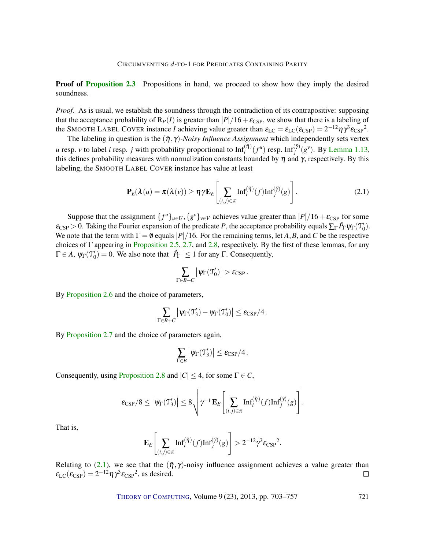**Proof of [Proposition 2.3](#page-15-2)** Propositions in hand, we proceed to show how they imply the desired soundness.

*Proof.* As is usual, we establish the soundness through the contradiction of its contrapositive: supposing that the acceptance probability of  $R_P(I)$  is greater than  $|P|/16+\epsilon_{\text{CSP}}$ , we show that there is a labeling of the SMOOTH LABEL COVER instance *I* achieving value greater than  $\varepsilon_{LC} = \varepsilon_{LC}(\varepsilon_{CSP}) = 2^{-12} \eta \gamma^3 \varepsilon_{CSP}^2$ .

The labeling in question is the  $(\bar{\eta}, \gamma)$ *-Noisy Influence Assignment* which independently sets vertex *u* resp. *v* to label *i* resp. *j* with probability proportional to  $Inf_i^{(\bar{\eta})}(f^u)$  resp.  $Inf_j^{(\bar{\gamma})}(g^v)$ . By [Lemma 1.13,](#page-10-2) this defines probability measures with normalization constants bounded by  $\eta$  and  $\gamma$ , respectively. By this labeling, the SMOOTH LABEL COVER instance has value at least

$$
\mathbf{P}_E(\lambda(u) = \pi(\lambda(v)) \ge \eta \gamma \mathbf{E}_E \left[ \sum_{(i,j) \in \pi} \mathrm{Inf}_i^{(\bar{\eta})}(f) \mathrm{Inf}_j^{(\bar{\eta})}(g) \right]. \tag{2.1}
$$

Suppose that the assignment  $\{f^u\}_{u \in U}, \{g^v\}_{v \in V}$  achieves value greater than  $|P|/16 + \varepsilon_{CSP}$  for some  $\varepsilon_{\text{CSP}} > 0$ . Taking the Fourier expansion of the predicate *P*, the acceptance probability equals  $\sum_{\Gamma} \hat{P}_{\Gamma} \psi_{\Gamma}(\mathcal{T}'_0)$ . We note that the term with  $\Gamma = \emptyset$  equals  $|P|/16$ . For the remaining terms, let *A*, *B*, and *C* be the respective choices of  $\Gamma$  appearing in [Proposition 2.5,](#page-17-0) [2.7,](#page-17-1) and [2.8,](#page-17-2) respectively. By the first of these lemmas, for any  $\Gamma \in A$ ,  $\psi_{\Gamma}(\mathcal{T}'_0) = 0$ . We also note that  $|\hat{P}_{\Gamma}| \leq 1$  for any  $\Gamma$ . Consequently,

<span id="page-18-0"></span>
$$
\sum_{\Gamma \in B+C} \left| \psi_{\Gamma}(\mathfrak{I}_0') \right| > \varepsilon_{\text{CSP}}.
$$

By [Proposition 2.6](#page-17-3) and the choice of parameters,

$$
\sum_{\Gamma \in \mathcal{B} + C} \left| \psi_{\Gamma}(\mathfrak{T}_3') - \psi_{\Gamma}(\mathfrak{T}_0') \right| \leq \epsilon_{\text{CSP}}/4 \,.
$$

By [Proposition 2.7](#page-17-1) and the choice of parameters again,

$$
\sum_{\Gamma \in B} \left| \psi_{\Gamma}(\mathfrak{T}'_3) \right| \leq \varepsilon_{\text{CSP}}/4.
$$

Consequently, using [Proposition 2.8](#page-17-2) and  $|C| \leq 4$ , for some  $\Gamma \in C$ ,

$$
\mathop{\varepsilon_{\rm CSP}}\nolimits/8\leq \big|\psi_\Gamma({\mathfrak T}_3')\big|\leq 8\sqrt{\gamma^{-1}\,{\bf E}_E\!\left[\sum_{(i,j)\in\pi}\hbox{Inf}_i^{({\bar\eta})}(f)\hbox{Inf}_j^{({\bar\eta})}(g)\right]}.
$$

That is,

$$
\mathbf{E}_E\left[\sum_{(i,j)\in\pi}\mathrm{Inf}_i^{(\bar{\eta})}(f)\mathrm{Inf}_j^{(\bar{\gamma})}(g)\right] > 2^{-12}\gamma^2\varepsilon_{\mathrm{CSP}}^2.
$$

Relating to [\(2.1\)](#page-18-0), we see that the  $(\bar{\eta}, \gamma)$ -noisy influence assignment achieves a value greater than  $\varepsilon_{\text{LC}}(\varepsilon_{\text{CSP}}) = 2^{-12} \eta \gamma^3 \varepsilon_{\text{CSP}}^2$ , as desired.  $\Box$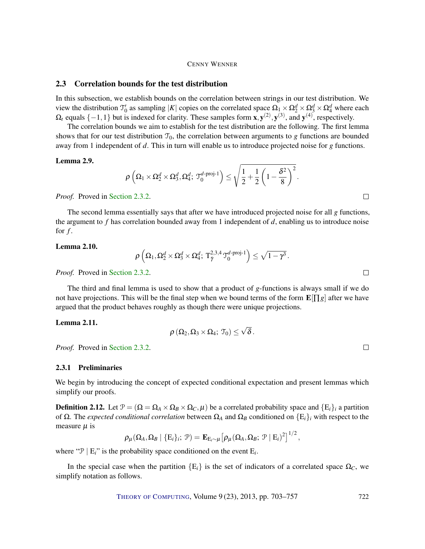#### <span id="page-19-0"></span>2.3 Correlation bounds for the test distribution

In this subsection, we establish bounds on the correlation between strings in our test distribution. We view the distribution  $\mathcal{T}'_0$  as sampling |*K*| copies on the correlated space  $\Omega_1 \times \Omega_2^d \times \Omega_3^d \times \Omega_4^d$  where each  $\Omega_t$  equals  $\{-1,1\}$  but is indexed for clarity. These samples form  $\mathbf{x}, \mathbf{y}^{(2)}, \mathbf{y}^{(3)}$ , and  $\mathbf{y}^{(4)}$ , respectively.

The correlation bounds we aim to establish for the test distribution are the following. The first lemma shows that for our test distribution  $\mathcal{T}_0$ , the correlation between arguments to *g* functions are bounded away from 1 independent of *d*. This in turn will enable us to introduce projected noise for *g* functions.

#### <span id="page-19-1"></span>Lemma 2.9.

$$
\rho\left(\Omega_1\times\Omega_2^d\times\Omega_3^d,\Omega_4^d;\,\mathfrak{T}_0^{d\text{-proj-1}}\right)\leq\sqrt{\frac{1}{2}+\frac{1}{2}\left(1-\frac{\delta^2}{8}\right)^2}.
$$

*Proof.* Proved in [Section 2.3.2.](#page-22-0)

The second lemma essentially says that after we have introduced projected noise for all *g* functions, the argument to *f* has correlation bounded away from 1 independent of *d*, enabling us to introduce noise for  $f$ .

#### <span id="page-19-3"></span>Lemma 2.10.

$$
\rho\left(\Omega_1,\Omega_2^d\times \Omega_3^d\times \Omega_4^d;\, \mathrm{T}_{\tilde\gamma}^{2,3,4}\mathbb{T}_0^{d\text{-}\mathrm{proj}\text{-}1}\right)\leq \sqrt{1-\gamma^3}\,.
$$

*Proof.* Proved in [Section 2.3.2.](#page-22-0)

The third and final lemma is used to show that a product of *g*-functions is always small if we do not have projections. This will be the final step when we bound terms of the form  $\mathbf{E}[\Pi g]$  after we have argued that the product behaves roughly as though there were unique projections.

#### <span id="page-19-2"></span>Lemma 2.11.

$$
\rho\left(\Omega_2,\Omega_3\times\Omega_4;\ \mathfrak{T}_0\right)\leq \sqrt{\delta}\,.
$$

*Proof.* Proved in [Section 2.3.2.](#page-22-0)

#### 2.3.1 Preliminaries

We begin by introducing the concept of expected conditional expectation and present lemmas which simplify our proofs.

**Definition 2.12.** Let  $\mathcal{P} = (\Omega = \Omega_A \times \Omega_B \times \Omega_C, \mu)$  be a correlated probability space and  $\{E_i\}_i$  a partition of Ω. The *expected conditional correlation* between Ω*<sup>A</sup>* and Ω*<sup>B</sup>* conditioned on {E*i*}*<sup>i</sup>* with respect to the measure  $\mu$  is

$$
\rho_\mu(\Omega_A,\Omega_B \mid \{\mathrm{E}_i\}_i;\ \mathcal{P}) = \mathbf{E}_{\mathrm{E}_i\sim\mu}\big[\rho_\mu(\Omega_A,\Omega_B;\ \mathcal{P} \mid \mathrm{E}_i)^2\big]^{1/2}\,,
$$

where " $\mathcal{P} | E_i$ " is the probability space conditioned on the event  $E_i$ .

In the special case when the partition  ${E_i}$  is the set of indicators of a correlated space  $\Omega_c$ , we simplify notation as follows.

THEORY OF C[OMPUTING](http://dx.doi.org/10.4086/toc), Volume 9 (23), 2013, pp. 703–757 722

 $\Box$ 

 $\Box$ 

 $\Box$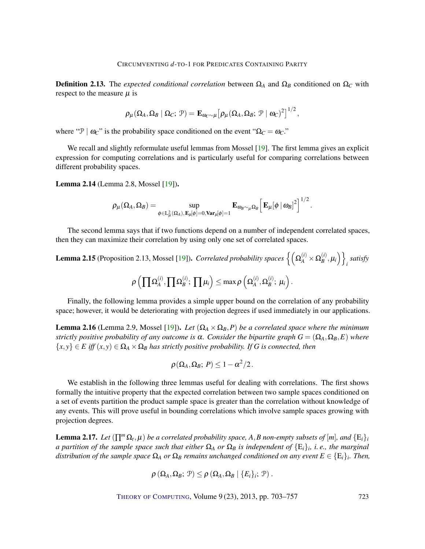<span id="page-20-4"></span>Definition 2.13. The *expected conditional correlation* between  $\Omega_A$  and  $\Omega_B$  conditioned on  $\Omega_C$  with respect to the measure  $\mu$  is

$$
\rho_\mu(\Omega_A,\Omega_B\ |\ \Omega_C;\ \mathcal{P}) = \mathbf{E}_{\omega_C\sim\mu} \big[\rho_\mu(\Omega_A,\Omega_B;\ \mathcal{P}\ |\ \omega_C)^2\big]^{1/2}\,,
$$

where " $\mathcal{P} \mid \omega_C$ " is the probability space conditioned on the event " $\Omega_C = \omega_C$ ."

We recall and slightly reformulate useful lemmas from Mossel [\[19\]](#page-53-3). The first lemma gives an explicit expression for computing correlations and is particularly useful for comparing correlations between different probability spaces.

<span id="page-20-0"></span>Lemma 2.14 (Lemma 2.8, Mossel [\[19\]](#page-53-3)).

$$
\rho_\mu(\Omega_A,\Omega_B)=\sup_{\phi\in \mathrm{L}^2_\mu(\Omega_A),\,\mathbf{E}_\mu[\phi]=0,\mathrm{Var}_\mu[\phi]=1}\mathbf{E}_{\omega_B\sim_\mu\Omega_B}\Big[\,\mathbf{E}_\mu[\phi\,|\,\omega_B]^2\Big]^{1/2}\,.
$$

The second lemma says that if two functions depend on a number of independent correlated spaces, then they can maximize their correlation by using only one set of correlated spaces.

<span id="page-20-2"></span>**Lemma 2.15** (Proposition 2.13, Mossel [\[19\]](#page-53-3)). *Correlated probability spaces*  $\left\{ \left( \Omega^{(i)}_A \times \Omega^{(i)}_B \right) \right\}$  $\left\{\stackrel{(i)}{B},\mu_i\right\}\Big\}$ *i satisfy*  $\rho\left(\prod\Omega_A^{(i)}\right)$  $\prod_A^{(i)}, \prod_{B} \Omega_B^{(i)}$  $\binom{(i)}{B};\ \prod \mu_i \Big) \leq \max \rho \left(\Omega_A^{(i)}\right)$  $\overset{(i)}{A}, \Omega_B^{(i)}$  $\stackrel{(i)}{B}$ ;  $\mu_i$ ).

Finally, the following lemma provides a simple upper bound on the correlation of any probability space; however, it would be deteriorating with projection degrees if used immediately in our applications.

<span id="page-20-3"></span>**Lemma 2.16** (Lemma 2.9, Mossel [\[19\]](#page-53-3)). *Let*  $(\Omega_A \times \Omega_B, P)$  *be a correlated space where the minimum strictly positive probability of any outcome is*  $\alpha$ *. Consider the bipartite graph*  $G = (\Omega_A, \Omega_B, E)$  *where*  ${x, y} \in E$  *iff*  $(x, y) \in \Omega_A \times \Omega_B$  *has strictly positive probability. If G is connected, then* 

$$
\rho(\Omega_A,\Omega_B;\,P)\leq 1-\alpha^2/2\,.
$$

We establish in the following three lemmas useful for dealing with correlations. The first shows formally the intuitive property that the expected correlation between two sample spaces conditioned on a set of events partition the product sample space is greater than the correlation without knowledge of any events. This will prove useful in bounding correlations which involve sample spaces growing with projection degrees.

<span id="page-20-1"></span>**Lemma 2.17.** Let  $(\prod^{m}\Omega_{t}, \mu)$  be a correlated probability space, A, B non-empty subsets of  $[m]$ *, and*  $\{E_{i}\}_{i}$ *a partition of the sample space such that either* Ω*<sup>A</sup> or* Ω*<sup>B</sup> is independent of* {E*i*}*<sup>i</sup> , i. e., the marginal*  $d$ *istribution of the sample space*  $\Omega_A$  *or*  $\Omega_B$  *remains unchanged conditioned on any event*  $E \in \{E_i\}_i$ . Then,

$$
\rho\left(\Omega_A,\Omega_B; \, \mathcal{P}\right) \leq \rho\left(\Omega_A,\Omega_B \mid \{E_i\}_i; \, \mathcal{P}\right).
$$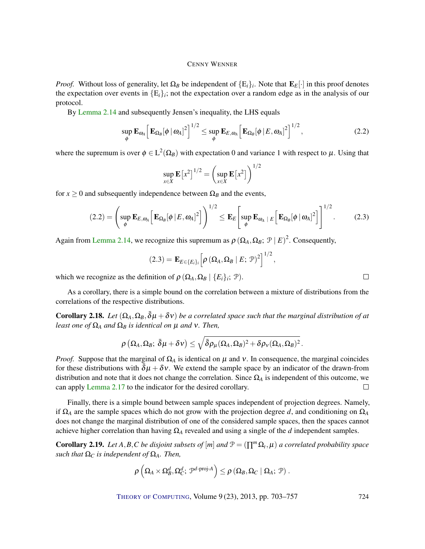*Proof.* Without loss of generality, let  $\Omega_B$  be independent of  $\{E_i\}_i$ . Note that  $\mathbf{E}_E[\cdot]$  in this proof denotes the expectation over events in  ${E<sub>i</sub>}$ <sub>*i*</sub>; not the expectation over a random edge as in the analysis of our protocol.

By [Lemma 2.14](#page-20-0) and subsequently Jensen's inequality, the LHS equals

$$
\sup_{\phi} \mathbf{E}_{\omega_A} \left[ \mathbf{E}_{\Omega_B} [\phi \, |\, \omega_A]^2 \right]^{1/2} \leq \sup_{\phi} \mathbf{E}_{E,\omega_A} \left[ \mathbf{E}_{\Omega_B} [\phi \, | \, E, \omega_A]^2 \right]^{1/2},\tag{2.2}
$$

where the supremum is over  $\phi \in L^2(\Omega_B)$  with expectation 0 and variance 1 with respect to  $\mu$ . Using that

$$
\sup_{x \in X} \mathbf{E} [x^2]^{1/2} = \left( \sup_{x \in X} \mathbf{E} [x^2] \right)^{1/2}
$$

for  $x \ge 0$  and subsequently independence between  $\Omega_B$  and the events,

$$
(2.2) = \left(\sup_{\phi} \mathbf{E}_{E,\omega_A} \left[\mathbf{E}_{\Omega_B}[\phi \mid E,\omega_A]^2\right]\right)^{1/2} \leq \mathbf{E}_E \left[\sup_{\phi} \mathbf{E}_{\omega_A} \mid E \left[\mathbf{E}_{\Omega_B}[\phi \mid \omega_A]^2\right]\right]^{1/2}.
$$
 (2.3)

Again from [Lemma 2.14,](#page-20-0) we recognize this supremum as  $\rho (\Omega_A, \Omega_B; \mathcal{P} | E)^2$ . Consequently,

$$
(2.3) = \mathbf{E}_{E \in \{E_i\}_i} \left[ \rho \left( \Omega_A, \Omega_B \mid E; \mathcal{P} \right)^2 \right]^{1/2},
$$

which we recognize as the definition of  $\rho$   $(\Omega_A, \Omega_B | \{E_i\}_i; \mathcal{P})$ .

As a corollary, there is a simple bound on the correlation between a mixture of distributions from the correlations of the respective distributions.

<span id="page-21-0"></span>**Corollary 2.18.** Let  $(\Omega_A, \Omega_B, \bar{\delta}\mu + \delta \nu)$  be a correlated space such that the marginal distribution of at *least one of*  $\Omega_A$  *and*  $\Omega_B$  *is identical on*  $\mu$  *and*  $\nu$ *. Then,* 

$$
\rho\left(\Omega_A,\Omega_B;\ \bar{\delta}\mu+\delta\nu\right)\leq \sqrt{\bar{\delta}\rho_\mu(\Omega_A,\Omega_B)^2+\delta\rho_{\rm\scriptscriptstyle V}(\Omega_A,\Omega_B)^2}\,.
$$

*Proof.* Suppose that the marginal of  $\Omega_A$  is identical on  $\mu$  and v. In consequence, the marginal coincides for these distributions with  $\delta \mu + \delta v$ . We extend the sample space by an indicator of the drawn-from distribution and note that it does not change the correlation. Since  $\Omega_A$  is independent of this outcome, we can apply [Lemma 2.17](#page-20-1) to the indicator for the desired corollary.  $\Box$ 

Finally, there is a simple bound between sample spaces independent of projection degrees. Namely, if  $\Omega_A$  are the sample spaces which do not grow with the projection degree *d*, and conditioning on  $\Omega_A$ does not change the marginal distribution of one of the considered sample spaces, then the spaces cannot achieve higher correlation than having  $\Omega_A$  revealed and using a single of the *d* independent samples.

<span id="page-21-1"></span>**Corollary 2.19.** *Let*  $A, B, C$  *be disjoint subsets of*  $[m]$  *and*  $\mathcal{P} = (\prod^{m} \Omega_{t}, \mu)$  *a correlated probability space such that*  $Ω<sub>C</sub>$  *is independent of*  $Ω<sub>A</sub>$ *. Then,* 

$$
\rho\left(\Omega_A\times\Omega_B^d,\Omega_C^d;\,\mathcal{P}^{d\text{-proj-}A}\right)\leq\rho\left(\Omega_B,\Omega_C\mid\Omega_A;\,\mathcal{P}\right).
$$

THEORY OF C[OMPUTING](http://dx.doi.org/10.4086/toc), Volume 9 (23), 2013, pp. 703–757 724

 $\Box$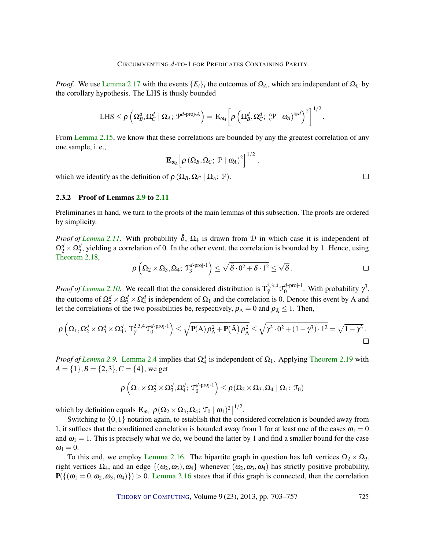*Proof.* We use [Lemma 2.17](#page-20-1) with the events  ${E_i}_i$  the outcomes of  $\Omega_A$ , which are independent of  $\Omega_C$  by the corollary hypothesis. The LHS is thusly bounded

$$
\text{LHS} \leq \rho \left( \Omega_B^d, \Omega_C^d \mid \Omega_A; \, \mathcal{P}^{d\text{-proj-}A} \right) = \mathbf{E}_{\omega_A} \bigg[ \rho \left( \Omega_B^d, \Omega_C^d; \, (\mathcal{P} \mid \omega_A)^{\otimes d} \right)^2 \bigg]^{1/2}.
$$

From [Lemma 2.15,](#page-20-2) we know that these correlations are bounded by any the greatest correlation of any one sample, i. e.,

$$
\mathbf{E}_{\omega_A} \left[ \rho \left( \Omega_B, \Omega_C; \mathcal{P} \mid \omega_A \right)^2 \right]^{1/2}
$$

which we identify as the definition of  $\rho$  ( $\Omega_B$ ,  $\Omega_C$  |  $\Omega_A$ ;  $\mathcal{P}$ ).

#### <span id="page-22-0"></span>2.3.2 Proof of Lemmas [2.9](#page-19-1) to [2.11](#page-19-2)

Preliminaries in hand, we turn to the proofs of the main lemmas of this subsection. The proofs are ordered by simplicity.

*Proof of [Lemma 2.11.](#page-19-2)* With probability  $\bar{\delta}$ ,  $\Omega_4$  is drawn from  $\mathcal D$  in which case it is independent of  $\Omega_2^d \times \Omega_3^d$ , yielding a correlation of 0. In the other event, the correlation is bounded by 1. Hence, using [Theorem 2.18,](#page-21-0)

$$
\rho\left(\Omega_2\times\Omega_3,\Omega_4;\,\mathfrak T_3^{d\text{-proj-1}}\right)\leq\sqrt{\bar\delta\cdot 0^2+\delta\cdot 1^2}\leq\sqrt{\delta}\,.
$$

,

*Proof of [Lemma 2.10.](#page-19-3)* We recall that the considered distribution is  $T_{\tilde{\gamma}}^{2,3,4} \mathcal{J}_0^{d-proj-1}$  $_{0}^{d\text{-proj-1}}$ . With probability  $\gamma^3$ , the outcome of  $\Omega_2^d \times \Omega_3^d \times \Omega_4^d$  is independent of  $\Omega_1$  and the correlation is 0. Denote this event by A and let the correlations of the two possibilities be, respectively,  $\rho_A = 0$  and  $\rho_{\bar{A}} \leq 1$ . Then,

$$
\rho\left(\Omega_1,\Omega_2^d\times \Omega_3^d\times \Omega_4^d;\,T_{\tilde\gamma}^{2,3,4}\mathbb{T}_0^{d\text{-proj-1}}\right)\leq \sqrt{\textbf{P}(A)\,\rho_A^2+\textbf{P}(\bar A)\,\rho_{\bar A}^2}\leq \sqrt{\gamma^3\cdot 0^2+(1-\gamma^3)\cdot 1^2}=\sqrt{1-\gamma^3}\,.
$$

*Proof of [Lemma 2.9.](#page-19-1)* [Lemma 2.4](#page-16-1) implies that  $\Omega_4^d$  is independent of  $\Omega_1$ . Applying [Theorem 2.19](#page-21-1) with  $A = \{1\}, B = \{2, 3\}, C = \{4\},$  we get

$$
\rho\left(\Omega_1\times\Omega_2^d\times\Omega_3^d,\Omega_4^d;\ \mathfrak{I}_0^{d\text{-proj-1}}\right)\leq\rho(\Omega_2\times\Omega_3,\Omega_4\mid\Omega_1;\ \mathfrak{T}_0)
$$

which by definition equals  $\mathbf{E}_{\omega_1} [\rho(\Omega_2 \times \Omega_3, \Omega_4; \mathcal{T}_0 \mid \omega_1)^2]^{1/2}$ .

Switching to  $\{0,1\}$  notation again, to establish that the considered correlation is bounded away from 1, it suffices that the conditioned correlation is bounded away from 1 for at least one of the cases  $\omega_1 = 0$ and  $\omega_1 = 1$ . This is precisely what we do, we bound the latter by 1 and find a smaller bound for the case  $\omega_1 = 0.$ 

To this end, we employ [Lemma 2.16.](#page-20-3) The bipartite graph in question has left vertices  $\Omega_2 \times \Omega_3$ , right vertices  $\Omega_4$ , and an edge  $\{(\omega_2, \omega_3), \omega_4\}$  whenever  $(\omega_2, \omega_3, \omega_4)$  has strictly positive probability,  $P(\{( \omega_1 = 0, \omega_2, \omega_3, \omega_4) \}) > 0$ . [Lemma 2.16](#page-20-3) states that if this graph is connected, then the correlation

THEORY OF C[OMPUTING](http://dx.doi.org/10.4086/toc), Volume 9 (23), 2013, pp. 703-757 725

 $\Box$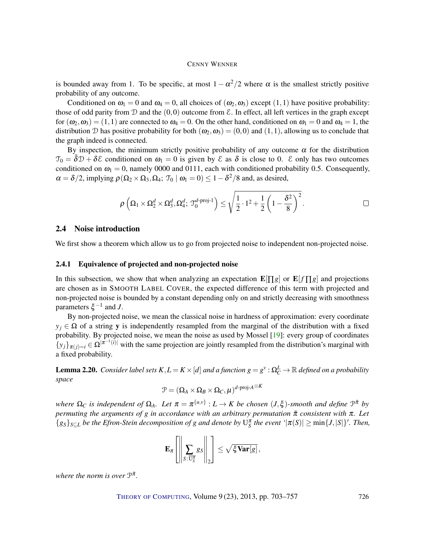<span id="page-23-2"></span>is bounded away from 1. To be specific, at most  $1 - \alpha^2/2$  where  $\alpha$  is the smallest strictly positive probability of any outcome.

Conditioned on  $\omega_1 = 0$  and  $\omega_4 = 0$ , all choices of  $(\omega_2, \omega_3)$  except  $(1,1)$  have positive probability: those of odd parity from  $\mathcal D$  and the  $(0,0)$  outcome from  $\mathcal E$ . In effect, all left vertices in the graph except for  $(\omega_2, \omega_3) = (1, 1)$  are connected to  $\omega_4 = 0$ . On the other hand, conditioned on  $\omega_1 = 0$  and  $\omega_4 = 1$ , the distribution D has positive probability for both  $(\omega_2, \omega_3) = (0,0)$  and  $(1,1)$ , allowing us to conclude that the graph indeed is connected.

By inspection, the minimum strictly positive probability of any outcome  $\alpha$  for the distribution  $\mathcal{T}_0 = \delta \mathcal{D} + \delta \mathcal{E}$  conditioned on  $\omega_1 = 0$  is given by  $\mathcal{E}$  as  $\delta$  is close to 0.  $\mathcal{E}$  only has two outcomes conditioned on  $\omega_1 = 0$ , namely 0000 and 0111, each with conditioned probability 0.5. Consequently,  $\alpha = \delta/2$ , implying  $\rho(\Omega_2 \times \Omega_3, \Omega_4; \mathcal{T}_0 \mid \omega_1 = 0) \leq 1 - \delta^2/8$  and, as desired,

$$
\rho\left(\Omega_1\times\Omega_2^d\times\Omega_3^d,\Omega_4^d;\ \mathfrak{I}_0^{d\text{-proj-1}}\right)\leq\sqrt{\frac{1}{2}\cdot 1^2+\frac{1}{2}\left(1-\frac{\delta^2}{8}\right)^2}\,.
$$

#### <span id="page-23-0"></span>2.4 Noise introduction

We first show a theorem which allow us to go from projected noise to independent non-projected noise.

#### 2.4.1 Equivalence of projected and non-projected noise

In this subsection, we show that when analyzing an expectation  $\mathbf{E}[\Pi g]$  or  $\mathbf{E}[f \Pi g]$  and projections are chosen as in SMOOTH LABEL COVER, the expected difference of this term with projected and non-projected noise is bounded by a constant depending only on and strictly decreasing with smoothness parameters  $\xi^{-1}$  and *J*.

By non-projected noise, we mean the classical noise in hardness of approximation: every coordinate  $y_i \in \Omega$  of a string y is independently resampled from the marginal of the distribution with a fixed probability. By projected noise, we mean the noise as used by Mossel [\[19\]](#page-53-3): every group of coordinates  $\{y_j\}_{\pi(j)=i} \in \Omega^{|\pi^{-1}(i)|}$  with the same projection are jointly resampled from the distribution's marginal with a fixed probability.

<span id="page-23-1"></span>**Lemma 2.20.** Consider label sets  $K,L = K \times [d]$  and a function  $g = g^v : \Omega^L_C \to \mathbb{R}$  defined on a probability *space d-*proj-*A*⊗*K*

$$
\mathcal{P} = (\Omega_A \times \Omega_B \times \Omega_C, \mu)^{d\text{-proj-}A^\otimes}
$$

 $\omega$  *where*  $\Omega_C$  *is independent of*  $\Omega_A$ *. Let*  $\pi = \pi^{\{u,v\}} : L \to K$  *be chosen*  $(J,\xi)$ *-smooth and define*  $\mathcal{P}^{\bar{\pi}}$  *by permuting the arguments of g in accordance with an arbitrary permutation*  $\bar{\pi}$  *consistent with*  $\pi$ *. Let*  ${g_s}_{s \le L}$  *be the Efron-Stein decomposition of g and denote by*  $U_s^{\pi}$  *the event* ' $|\pi(S)| \ge \min\{J, |S|\}$ '. *Then,* 

$$
\mathbf{E}_{\pi}\left[\left\|\sum_{S:\overline{\mathrm{U}_{S}^{\pi}}}gs\right\|_{2}\right] \leq \sqrt{\xi \mathbf{Var}[g]},
$$

where the norm is over  $\mathcal{P}^{\bar{\pi}}$ .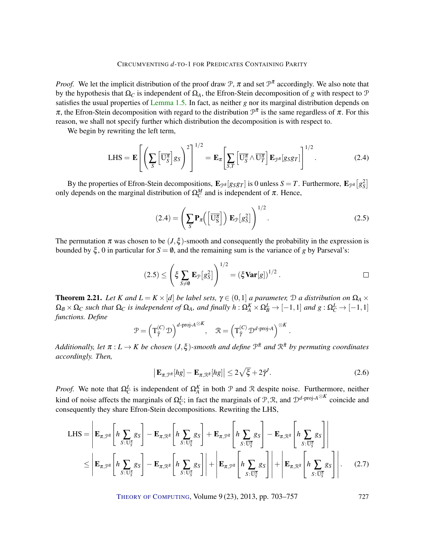*Proof.* We let the implicit distribution of the proof draw  $\mathcal{P}$ ,  $\pi$  and set  $\mathcal{P}^{\bar{\pi}}$  accordingly. We also note that by the hypothesis that Ω*<sup>C</sup>* is independent of Ω*A*, the Efron-Stein decomposition of *g* with respect to P satisfies the usual properties of [Lemma 1.5.](#page-8-0) In fact, as neither *g* nor its marginal distribution depends on  $\pi$ , the Efron-Stein decomposition with regard to the distribution  $\mathcal{P}^{\bar{\pi}}$  is the same regardless of  $\pi$ . For this reason, we shall not specify further which distribution the decomposition is with respect to.

We begin by rewriting the left term,

$$
\text{LHS} = \mathbf{E} \left[ \left( \sum_{S} \left[ \overline{\mathbf{U}_{S}^{\pi}} \right] g_{S} \right)^{2} \right]^{1/2} = \mathbf{E}_{\pi} \left[ \sum_{S,T} \left[ \overline{\mathbf{U}_{S}^{\pi}} \wedge \overline{\mathbf{U}_{T}^{\pi}} \right] \mathbf{E}_{\mathcal{P}^{\bar{\pi}}} [g_{S} g_{T}] \right]^{1/2} . \tag{2.4}
$$

By the properties of Efron-Stein decompositions,  $\mathbf{E}_{\mathcal{P}^{\bar{\pi}}}[g_S g_T]$  is 0 unless  $S = T$ . Furthermore,  $\mathbf{E}_{\mathcal{P}^{\bar{\pi}}}[g_S^2]$ only depends on the marginal distribution of  $\Omega_C^M$  and is independent of  $\pi$ . Hence,

$$
(2.4) = \left(\sum_{S} \mathbf{P}_{\pi}\left(\left[\overline{\mathbf{U}_{S}^{\pi}}\right]\right) \mathbf{E}_{\mathcal{P}}\left[g_{S}^{2}\right]\right)^{1/2}.
$$
 (2.5)

The permutation  $\pi$  was chosen to be  $(J,\xi)$ -smooth and consequently the probability in the expression is bounded by  $\xi$ , 0 in particular for  $S = \emptyset$ , and the remaining sum is the variance of *g* by Parseval's:

$$
(2.5) \leq \left(\xi \sum_{S \neq \emptyset} \mathbf{E}_{\mathcal{P}}[g_S^2]\right)^{1/2} = \left(\xi \mathbf{Var}[g]\right)^{1/2}.
$$

<span id="page-24-1"></span>**Theorem 2.21.** *Let K and*  $L = K \times [d]$  *be label sets,*  $\gamma \in (0,1]$  *a parameter,*  $\mathcal{D}$  *a distribution on*  $\Omega_A \times$  $\Omega_B\times\Omega_C$  such that  $\Omega_C$  is independent of  $\Omega_A$ , and finally  $h:\Omega_A^K\times\Omega_B^L\to[-1,1]$  and  $g:\Omega_C^L\to[-1,1]$ *functions. Define*

$$
\mathcal{P} = \left(\mathbf{T}_{\tilde{\gamma}}^{(C)} \mathbf{D}\right)^{d \text{-proj-}A^{\otimes K}}, \quad \mathcal{R} = \left(\mathbf{T}_{\tilde{\gamma}}^{(C)} \mathbf{D}^{d \text{-proj-}A}\right)^{\otimes K}
$$

 $A$ dditionally, let  $\pi : L \to K$  be chosen  $(J, \xi)$ -smooth and define  $\mathcal{P}^{\bar{\pi}}$  and  $\mathcal{R}^{\bar{\pi}}$  by permuting coordinates *accordingly. Then,*

$$
\left| \mathbf{E}_{\pi,\mathcal{P}^{\pi}}[hg] - \mathbf{E}_{\pi,\mathcal{R}^{\pi}}[hg] \right| \leq 2\sqrt{\xi} + 2\tilde{\gamma}^{\prime}.
$$
 (2.6)

<span id="page-24-0"></span>.

*Proof.* We note that  $\Omega_C^L$  is independent of  $\Omega_A^K$  in both  $\mathcal P$  and  $\mathcal R$  despite noise. Furthermore, neither kind of noise affects the marginals of  $\Omega_C^L$ ; in fact the marginals of  $\mathcal{P}, \mathcal{R}$ , and  $\mathcal{D}^{d-\text{proj-}A}^{\otimes K}$  coincide and consequently they share Efron-Stein decompositions. Rewriting the LHS,

$$
\text{LHS} = \left| \mathbf{E}_{\pi, \mathcal{P}^{\bar{\pi}}} \left[ h \sum_{S: U_S^{\pi}} g_S \right] - \mathbf{E}_{\pi, \mathcal{R}^{\bar{\pi}}} \left[ h \sum_{S: U_S^{\pi}} g_S \right] + \mathbf{E}_{\pi, \mathcal{P}^{\bar{\pi}}} \left[ h \sum_{S: \overline{U_S^{\pi}}} g_S \right] - \mathbf{E}_{\pi, \mathcal{R}^{\bar{\pi}}} \left[ h \sum_{S: \overline{U_S^{\pi}}} g_S \right] \right|
$$
  

$$
\leq \left| \mathbf{E}_{\pi, \mathcal{P}^{\pi}} \left[ h \sum_{S: U_S^{\pi}} g_S \right] - \mathbf{E}_{\pi, \mathcal{R}^{\bar{\pi}}} \left[ h \sum_{S: \overline{U_S^{\pi}}} g_S \right] \right| + \left| \mathbf{E}_{\pi, \mathcal{P}^{\pi}} \left[ h \sum_{S: \overline{U_S^{\pi}}} g_S \right] \right| + \left| \mathbf{E}_{\pi, \mathcal{R}^{\bar{\pi}}} \left[ h \sum_{S: \overline{U_S^{\pi}}} g_S \right] \right|.
$$
 (2.7)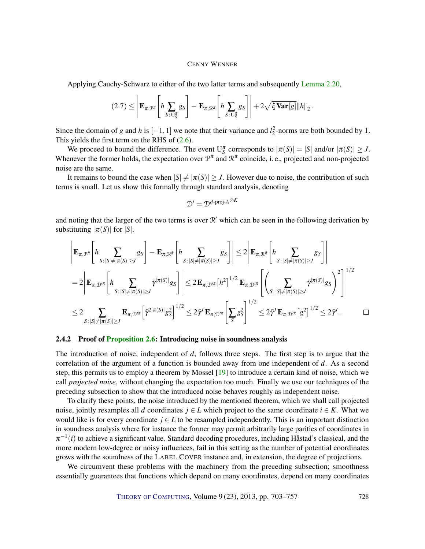<span id="page-25-0"></span>Applying Cauchy-Schwarz to either of the two latter terms and subsequently [Lemma 2.20,](#page-23-1)

$$
(2.7) \leq \left| \mathbf{E}_{\pi,\mathcal{P}^{\bar{\pi}}}\left[h \sum_{S: U_S^{\pi}} g_S\right] - \mathbf{E}_{\pi,\mathcal{R}^{\bar{\pi}}}\left[h \sum_{S: U_S^{\pi}} g_S\right] \right| + 2\sqrt{\xi \mathbf{Var}[g]} \|h\|_2.
$$

Since the domain of *g* and *h* is  $[-1, 1]$  we note that their variance and  $l_2^2$ -norms are both bounded by 1. This yields the first term on the RHS of [\(2.6\)](#page-24-0).

We proceed to bound the difference. The event  $U_S^{\pi}$  corresponds to  $|\pi(S)| = |S|$  and/or  $|\pi(S)| \geq J$ . Whenever the former holds, the expectation over  $\mathcal{P}^{\bar{\pi}}$  and  $\mathcal{R}^{\bar{\pi}}$  coincide, i. e., projected and non-projected noise are the same.

It remains to bound the case when  $|S| \neq |\pi(S)| \geq J$ . However due to noise, the contribution of such terms is small. Let us show this formally through standard analysis, denoting

$$
\mathcal{D}' = \mathcal{D}^{d\text{-proj-}A\otimes K}
$$

and noting that the larger of the two terms is over  $\mathcal{R}'$  which can be seen in the following derivation by substituting  $|\pi(S)|$  for  $|S|$ .

$$
\left| \mathbf{E}_{\pi,\mathcal{P}^{\bar{\pi}}}\bigg[h\sum_{S:|S|\neq|\pi(S)|\geq J} g_S \bigg] - \mathbf{E}_{\pi,\mathcal{R}^{\bar{\pi}}}\bigg[h\sum_{S:|S|\neq|\pi(S)|\geq J} g_S \bigg] \right| \leq 2 \left| \mathbf{E}_{\pi,\mathcal{R}^{\bar{\pi}}}\bigg[h\sum_{S:|S|\neq|\pi(S)|\geq J} g_S \bigg] \right|
$$
  
\n
$$
= 2 \left| \mathbf{E}_{\pi,\mathcal{D}'^{\bar{\pi}}}\bigg[h\sum_{S:|S|\neq|\pi(S)|\geq J} \bar{\gamma}^{|\pi(S)|} g_S \bigg] \right| \leq 2 \mathbf{E}_{\pi,\mathcal{D}'^{\bar{\pi}}}[h^2]^{1/2} \mathbf{E}_{\pi,\mathcal{D}'^{\bar{\pi}}}\bigg[ \left(\sum_{S:|S|\neq|\pi(S)|\geq J} \bar{\gamma}^{|\pi(S)|} g_S \right)^2 \bigg]^{1/2}
$$
  
\n
$$
\leq 2 \sum_{S:|S|\neq|\pi(S)|\geq J} \mathbf{E}_{\pi,\mathcal{D}'^{\bar{\pi}}} \bigg[ \bar{\gamma}^{2|\pi(S)|} g_S^2 \bigg]^{1/2} \leq 2 \bar{\gamma}' \mathbf{E}_{\pi,\mathcal{D}'^{\bar{\pi}}} \bigg[ \sum_{S} g_S^2 \bigg]^{1/2} \leq 2 \bar{\gamma}' \mathbf{E}_{\pi,\mathcal{D}'^{\bar{\pi}}} [g^2]^{1/2} \leq 2 \bar{\gamma}'.
$$

#### 2.4.2 Proof of [Proposition](#page-17-3) [2.6:](#page-17-3) Introducing noise in soundness analysis

The introduction of noise, independent of *d*, follows three steps. The first step is to argue that the correlation of the argument of a function is bounded away from one independent of *d*. As a second step, this permits us to employ a theorem by Mossel [\[19\]](#page-53-3) to introduce a certain kind of noise, which we call *projected noise*, without changing the expectation too much. Finally we use our techniques of the preceding subsection to show that the introduced noise behaves roughly as independent noise.

To clarify these points, the noise introduced by the mentioned theorem, which we shall call projected noise, jointly resamples all *d* coordinates  $j \in L$  which project to the same coordinate  $i \in K$ . What we would like is for every coordinate  $j \in L$  to be resampled independently. This is an important distinction in soundness analysis where for instance the former may permit arbitrarily large parities of coordinates in  $\pi^{-1}(i)$  to achieve a significant value. Standard decoding procedures, including Håstad's classical, and the more modern low-degree or noisy influences, fail in this setting as the number of potential coordinates grows with the soundness of the LABEL COVER instance and, in extension, the degree of projections.

We circumvent these problems with the machinery from the preceding subsection; smoothness essentially guarantees that functions which depend on many coordinates, depend on many coordinates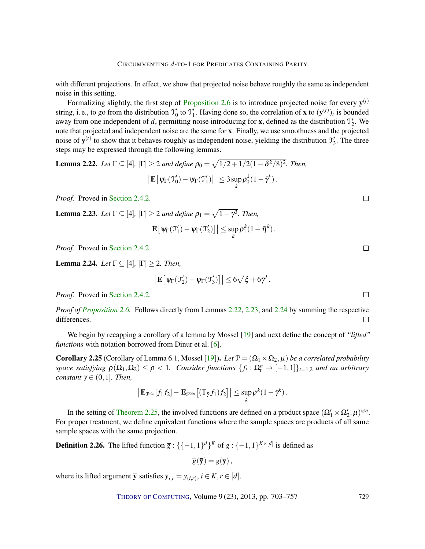<span id="page-26-4"></span>with different projections. In effect, we show that projected noise behave roughly the same as independent noise in this setting.

Formalizing slightly, the first step of [Proposition 2.6](#page-17-3) is to introduce projected noise for every  $y^{(t)}$ string, i. e., to go from the distribution  $\mathcal{T}'_0$  to  $\mathcal{T}'_1$ . Having done so, the correlation of **x** to  $(\mathbf{y}^{(t)})_t$  is bounded away from one independent of *d*, permitting noise introducing for **x**, defined as the distribution  $\mathcal{T}'_2$ . We note that projected and independent noise are the same for x. Finally, we use smoothness and the projected noise of  $y^{(t)}$  to show that it behaves roughly as independent noise, yielding the distribution  $\mathcal{T}'_3$ . The three steps may be expressed through the following lemmas.

<span id="page-26-0"></span>**Lemma 2.22.** Let 
$$
\Gamma \subseteq [4], |\Gamma| \geq 2
$$
 and define  $\rho_0 = \sqrt{1/2 + 1/2(1 - \delta^2/8)^2}$ . Then,  $\left| \mathbf{E} \left[ \psi_{\Gamma}(\mathcal{T}_0') - \psi_{\Gamma}(\mathcal{T}_1') \right] \right| \leq 3 \sup_k \rho_0^k (1 - \bar{\gamma}^k).$ 

*Proof.* Proved in [Section 2.4.2.](#page-27-0)

<span id="page-26-1"></span>**Lemma 2.23.** Let  $\Gamma \subseteq [4]$ ,  $|\Gamma| \geq 2$  and define  $\rho_1 = \sqrt{1 - \gamma^3}$ . Then,

$$
\big|\mathbf{E}\big[\psi_\Gamma(\mathfrak{T}_1')-\psi_\Gamma(\mathfrak{T}_2')\big]\big| \leq \sup_k \rho_1^k(1-\bar{\eta}^k).
$$

*Proof.* Proved in [Section 2.4.2.](#page-27-1)

<span id="page-26-2"></span>**Lemma 2.24.** *Let*  $\Gamma \subseteq [4]$ ,  $|\Gamma| \geq 2$ *. Then,* 

$$
\left| \mathbf{E} \big[ \psi_{\Gamma}(\mathfrak{I}_{2}') - \psi_{\Gamma}(\mathfrak{I}_{3}') \big] \right| \leq 6 \sqrt{\xi} + 6 \bar{\gamma}^{J}.
$$

*Proof.* Proved in [Section 2.4.2.](#page-28-0)

*Proof of [Proposition 2.6.](#page-17-3)* Follows directly from Lemmas [2.22,](#page-26-0) [2.23,](#page-26-1) and [2.24](#page-26-2) by summing the respective differences.  $\Box$ 

We begin by recapping a corollary of a lemma by Mossel [\[19\]](#page-53-3) and next define the concept of *"lifted" functions* with notation borrowed from Dinur et al. [\[6\]](#page-52-11).

<span id="page-26-3"></span>**Corollary 2.25** (Corollary of Lemma 6.1, Mossel [\[19\]](#page-53-3)). Let  $\mathcal{P} = (\Omega_1 \times \Omega_2, \mu)$  *be a correlated probability space satisfying*  $\rho(\Omega_1, \Omega_2) \le \rho < 1$ . Consider functions  $\{f_t : \Omega_t^n \to [-1,1]\}_{t=1,2}$  and an arbitrary *constant*  $\gamma \in (0,1]$ *. Then,* 

$$
\left|\mathbf{E}_{\mathcal{P}^{\otimes n}}[f_1f_2] - \mathbf{E}_{\mathcal{P}^{\otimes n}}\big[(T_{\bar{\gamma}}f_1)f_2\big]\right| \leq \sup_k \rho^k(1-\bar{\gamma}^k).
$$

In the setting of [Theorem 2.25,](#page-26-3) the involved functions are defined on a product space  $(\Omega'_1 \times \Omega'_2, \mu)^{\otimes n}$ . For proper treatment, we define equivalent functions where the sample spaces are products of all same sample spaces with the same projection.

**Definition 2.26.** The lifted function  $\overline{g}$  : {{-1,1}<sup>*d*}*K*</sup> of  $g$  : {-1,1}<sup>*K*×[*d*]</sup> is defined as

$$
\overline{g}(\overline{\mathbf{y}})=g(\mathbf{y}),
$$

where its lifted argument  $\overline{y}$  satisfies  $\overline{y}_{i,r} = y_{(i,r)}, i \in K, r \in [d]$ .

 $\Box$ 

 $\Box$ 

 $\Box$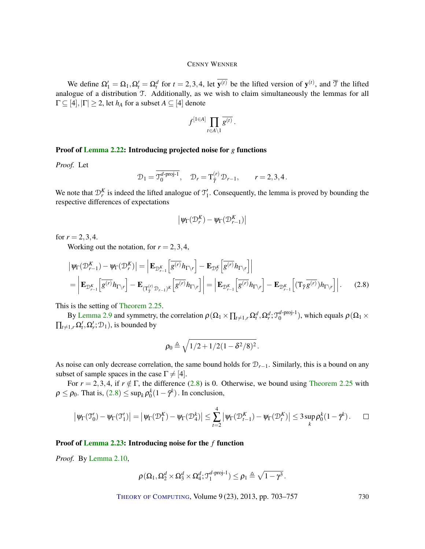We define  $\Omega'_1 = \Omega_1, \Omega'_t = \Omega_t^d$  for  $t = 2, 3, 4$ , let  $y^{(t)}$  be the lifted version of  $y^{(t)}$ , and  $\overline{T}$  the lifted analogue of a distribution T. Additionally, as we wish to claim simultaneously the lemmas for all  $\Gamma \subseteq [4], |\Gamma| \geq 2$ , let  $h_A$  for a subset  $A \subseteq [4]$  denote

$$
f^{[1\in A]}\prod_{t\in A\setminus 1}\overline{g^{(t)}}\,.
$$

#### <span id="page-27-0"></span>Proof of [Lemma 2.22:](#page-26-0) Introducing projected noise for *g* functions

*Proof.* Let

$$
\mathcal{D}_1 = \overline{\mathcal{J}_0^{d\text{-proj-1}}}, \quad \mathcal{D}_r = \mathcal{T}_{\bar{\gamma}}^{(r)} \mathcal{D}_{r-1}, \qquad r = 2, 3, 4.
$$

We note that  $\mathcal{D}_r^K$  is indeed the lifted analogue of  $\mathcal{T}_1'$ . Consequently, the lemma is proved by bounding the respective differences of expectations

<span id="page-27-2"></span>
$$
\left|\psi_{\Gamma}(\mathcal{D}_{r}^{K})-\psi_{\Gamma}(\mathcal{D}_{r-1}^{K})\right|
$$

for  $r = 2, 3, 4$ .

Working out the notation, for  $r = 2, 3, 4$ ,

$$
\left| \Psi_{\Gamma}(\mathcal{D}_{r-1}^{K}) - \Psi_{\Gamma}(\mathcal{D}_{r}^{K}) \right| = \left| \mathbf{E}_{\mathcal{D}_{r-1}^{K}} \left[ \overline{g^{(r)}} h_{\Gamma \backslash r} \right] - \mathbf{E}_{\mathcal{D}_{r}^{K}} \left[ \overline{g^{(r)}} h_{\Gamma \backslash r} \right] \right|
$$
\n
$$
= \left| \mathbf{E}_{\mathcal{D}_{r-1}^{K}} \left[ \overline{g^{(r)}} h_{\Gamma \backslash r} \right] - \mathbf{E}_{(\Gamma_{\tilde{\gamma}}^{(r)} \mathcal{D}_{r-1})^{K}} \left[ \overline{g^{(r)}} h_{\Gamma \backslash r} \right] \right| = \left| \mathbf{E}_{\mathcal{D}_{r-1}^{K}} \left[ \overline{g^{(r)}} h_{\Gamma \backslash r} \right] - \mathbf{E}_{\mathcal{D}_{r-1}^{K}} \left[ (\mathbf{T}_{\tilde{\gamma}} \overline{g^{(r)}}) h_{\Gamma \backslash r} \right] \right|.
$$
\n(2.8)

This is the setting of [Theorem 2.25.](#page-26-3)

By [Lemma 2.9](#page-19-1) and symmetry, the correlation  $\rho(\Omega_1 \times \prod_{t \neq 1,r} \Omega_t^d, \Omega_r^d; \mathcal{T}_0^{d\text{-proj-1}}$  $\binom{a-proj-1}{0}$ , which equals  $\rho(\Omega_1 \times$  $\prod_{t \neq 1,r} \Omega'_t, \Omega'_r; \mathcal{D}_1$ , is bounded by

$$
\rho_0 \triangleq \sqrt{1/2 + 1/2(1 - \delta^2/8)^2}.
$$

As noise can only decrease correlation, the same bound holds for D*r*−1. Similarly, this is a bound on any subset of sample spaces in the case  $\Gamma \neq [4]$ .

For  $r = 2,3,4$ , if  $r \notin \Gamma$ , the difference [\(2.8\)](#page-27-2) is 0. Otherwise, we bound using [Theorem 2.25](#page-26-3) with  $\rho \leq \rho_0$ . That is,  $(2.8) \leq \sup_k \rho_0^k(1 - \bar{\gamma}^k)$  $(2.8) \leq \sup_k \rho_0^k(1 - \bar{\gamma}^k)$  $(2.8) \leq \sup_k \rho_0^k(1 - \bar{\gamma}^k)$ . In conclusion,

$$
\left|\psi_{\Gamma}(\mathfrak{I}_{0}') - \psi_{\Gamma}(\mathfrak{I}_{1}')\right| = \left|\psi_{\Gamma}(\mathfrak{D}_{1}^{K}) - \psi_{\Gamma}(\mathfrak{D}_{4}^{k})\right| \leq \sum_{t=2}^{4} \left|\psi_{\Gamma}(\mathfrak{D}_{t-1}^{K}) - \psi_{\Gamma}(\mathfrak{D}_{t}^{K})\right| \leq 3 \sup_{k} \rho_{0}^{k} (1 - \bar{\gamma}^{k}). \qquad \Box
$$

#### <span id="page-27-1"></span>Proof of [Lemma 2.23:](#page-26-1) Introducing noise for the *f* function

*Proof.* By [Lemma 2.10,](#page-19-3)

$$
\rho(\Omega_1, \Omega_2^d \times \Omega_3^d \times \Omega_4^d; \mathfrak{T}_1^{d\text{-proj-1}}) \leq \rho_1 \triangleq \sqrt{1-\gamma^3}.
$$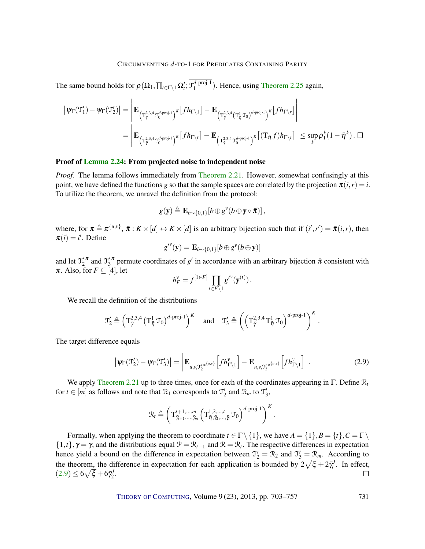The same bound holds for  $\rho(\Omega_1, \prod_{t \in \Gamma \setminus 1} \Omega'_t; \mathfrak{I}_1^{d\text{-proj-1}}$  $_1^{a-proj-1}$ ). Hence, using [Theorem 2.25](#page-26-3) again,

$$
\begin{aligned}\n\left|\psi_{\Gamma}(\mathfrak{I}'_{1})-\psi_{\Gamma}(\mathfrak{I}'_{2})\right|&=\left|\mathbf{E}_{\left(\mathbf{T}^{2,3,4}_{\tilde{\gamma}}\mathfrak{I}^{d\text{-proj-1}}_{0}\right)^{K}}\left[fh_{\Gamma\backslash 1}\right]-\mathbf{E}_{\left(\mathbf{T}^{2,3,4}_{\tilde{\gamma}}\left(\mathbf{T}^{1}_{\tilde{\eta}}\mathfrak{I}_{0}\right)^{d\text{-proj-1}}\right)^{K}}\left[fh_{\Gamma\backslash r}\right] \\
&=\left|\mathbf{E}_{\left(\mathbf{T}^{2,3,4}_{\tilde{\gamma}}\mathfrak{I}^{d\text{-proj-1}}_{0}\right)^{K}}\left[fh_{\Gamma\backslash r}\right]-\mathbf{E}_{\left(\mathbf{T}^{2,3,4}_{\tilde{\gamma}}\mathfrak{I}^{d\text{-proj-1}}_{0}\right)^{K}}\left[\left(\mathbf{T}_{\tilde{\eta}}f\right)h_{\Gamma\backslash r}\right]\right|\leq\sup_{k}\rho_{1}^{k}(1-\bar{\eta}^{k})\,. \; \Box\notag\n\end{aligned}
$$

#### <span id="page-28-0"></span>Proof of [Lemma 2.24:](#page-26-2) From projected noise to independent noise

*Proof.* The lemma follows immediately from [Theorem 2.21.](#page-24-1) However, somewhat confusingly at this point, we have defined the functions *g* so that the sample spaces are correlated by the projection  $\pi(i,r) = i$ . To utilize the theorem, we unravel the definition from the protocol:

$$
g(\mathbf{y}) \triangleq \mathbf{E}_{b \sim \{0,1\}}[b \oplus g^{\nu}(b \oplus \mathbf{y} \circ \bar{\pi})],
$$

where, for  $\pi \triangleq \pi^{\{u,v\}}$ ,  $\bar{\pi}: K \times [d] \leftrightarrow K \times [d]$  is an arbitrary bijection such that if  $(i',r') = \bar{\pi}(i,r)$ , then  $\pi(i) = i'$ . Define

$$
g^{\prime\prime}(\mathbf{y})=\mathbf{E}_{b\sim\{0,1\}}[b\oplus g^{\prime}(b\oplus \mathbf{y})]
$$

and let  $T_2^{\prime \pi}$  and  $T_3^{\prime \pi}$  permute coordinates of *g*' in accordance with an arbitrary bijection  $\bar{\pi}$  consistent with  $\pi$ . Also, for  $F \subseteq [4]$ , let

$$
h_F^v = f^{[1 \in F]} \prod_{t \in F \setminus 1} g^{\prime v}(\mathbf{y}^{(t)})\,.
$$

We recall the definition of the distributions

$$
\mathfrak{T}_2' \triangleq \left(\mathbf{T}_{\bar{\gamma}}^{2,3,4} \left(\mathbf{T}_{\bar{\eta}}^1 \mathbf{T}_0\right)^{d\text{-proj-1}}\right)^K \quad \text{and} \quad \mathfrak{T}_3' \triangleq \left(\left(\mathbf{T}_{\bar{\gamma}}^{2,3,4} \mathbf{T}_{\bar{\eta}}^1 \mathbf{T}_0\right)^{d\text{-proj-1}}\right)^K
$$

The target difference equals

$$
\left|\psi_{\Gamma}(\mathfrak{I}_{2}') - \psi_{\Gamma}(\mathfrak{I}_{3}')\right| = \left| \mathbf{E}_{u,v,\mathfrak{I}_{2}'}^{\mathfrak{I}_{\pi}(u,v)} \left[ f h_{\Gamma\setminus 1}^{\nu} \right] - \mathbf{E}_{u,v,\mathfrak{I}_{3}'}^{\mathfrak{I}_{\pi}(u,v)} \left[ f h_{\Gamma\setminus 1}^{\nu} \right] \right|.
$$
 (2.9)

<span id="page-28-1"></span>.

We apply [Theorem 2.21](#page-24-1) up to three times, once for each of the coordinates appearing in Γ. Define R*<sup>t</sup>* for  $t \in [m]$  as follows and note that  $\mathcal{R}_1$  corresponds to  $\mathcal{T}_2'$  and  $\mathcal{R}_m$  to  $\mathcal{T}_3'$ ,

$$
\mathcal{R}_t \triangleq \left(\mathbf{T}^{t+1,\ldots,m}_{\tilde{\gamma}_{t+1},\ldots,\tilde{\gamma}_m}\left(\mathbf{T}^{1,2,\ldots,t}_{\tilde{\eta},\tilde{\gamma}_2,\ldots,\tilde{\gamma}_t}\,\mathbf{T}_0\right)^{d\text{-proj-1}}\right)^K.
$$

Formally, when applying the theorem to coordinate  $t \in \Gamma \setminus \{1\}$ , we have  $A = \{1\}, B = \{t\}, C = \Gamma \setminus$  $\{1,t\}$ ,  $\gamma = \gamma$ , and the distributions equal  $\mathcal{P} = \mathcal{R}_{t-1}$  and  $\mathcal{R} = \mathcal{R}_t$ . The respective differences in expectation hence yield a bound on the difference in expectation between  $\mathcal{T}'_2 = \mathcal{R}_2$  and  $\mathcal{T}'_3 = \mathcal{R}_m$ . According to the theorem, the difference in expectation for each application is bounded by  $2\sqrt{\xi} + 2\bar{\gamma}'_t$ . In effect,  $(2.9) \le 6\sqrt{\xi} + 6\bar{\gamma}_2^J.$  $(2.9) \le 6\sqrt{\xi} + 6\bar{\gamma}_2^J.$  $(2.9) \le 6\sqrt{\xi} + 6\bar{\gamma}_2^J.$  $\Box$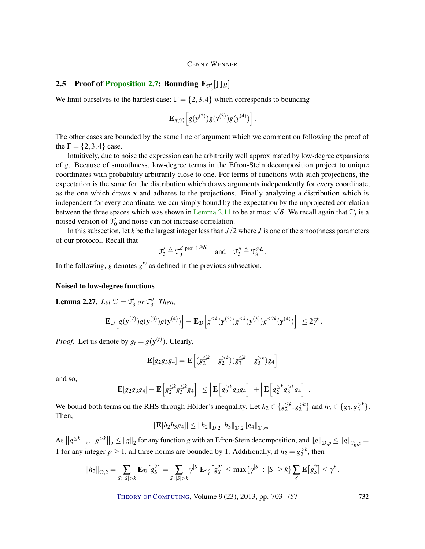# <span id="page-29-0"></span>**2.5** Proof of [Proposition](#page-17-1) [2.7:](#page-17-1) Bounding  $\mathbf{E}_{\mathcal{T}_3'}[\Pi g]$

We limit ourselves to the hardest case:  $\Gamma = \{2, 3, 4\}$  which corresponds to bounding

$$
\mathbf{E}_{\pi,\mathfrak{T}_3'}\Big[g(\mathfrak{y}^{(2)})g(\mathfrak{y}^{(3)})g(\mathfrak{y}^{(4)})\Big].
$$

The other cases are bounded by the same line of argument which we comment on following the proof of the  $\Gamma = \{2, 3, 4\}$  case.

Intuitively, due to noise the expression can be arbitrarily well approximated by low-degree expansions of *g*. Because of smoothness, low-degree terms in the Efron-Stein decomposition project to unique coordinates with probability arbitrarily close to one. For terms of functions with such projections, the expectation is the same for the distribution which draws arguments independently for every coordinate, as the one which draws x and adheres to the projections. Finally analyzing a distribution which is independent for every coordinate, we can simply bound by the expectation by the unprojected correlation independent for every coordinate, we can simply bound by the expectation by the unprojected correlation<br>between the three spaces which was shown in [Lemma 2.11](#page-19-2) to be at most  $\sqrt{\delta}$ . We recall again that  $\mathcal{T}'_3$  is a noised version of  $\mathcal{T}'_0$  and noise can not increase correlation.

In this subsection, let *k* be the largest integer less than  $J/2$  where *J* is one of the smoothness parameters of our protocol. Recall that

$$
\mathfrak{I}'_3 \triangleq \mathfrak{I}_3^{d\text{-proj-1}\otimes K} \quad \text{and} \quad \mathfrak{I}''_3 \triangleq \mathfrak{I}_3^{\otimes L}.
$$

In the following,  $g$  denotes  $g^{\prime\nu}$  as defined in the previous subsection.

#### Noised to low-degree functions

**Lemma 2.27.** Let  $\mathcal{D} = \mathcal{T}'_3$  or  $\mathcal{T}''_3$ . Then,

$$
\left| \mathbf{E}_{\mathcal{D}} \Big[ g(\mathbf{y}^{(2)}) g(\mathbf{y}^{(3)}) g(\mathbf{y}^{(4)}) \Big] - \mathbf{E}_{\mathcal{D}} \Big[ g^{\leq k}(\mathbf{y}^{(2)}) g^{\leq k}(\mathbf{y}^{(3)}) g^{\leq 2k}(\mathbf{y}^{(4)}) \Big] \right| \leq 2 \vec{\gamma}^k.
$$

*Proof.* Let us denote by  $g_t = g(\mathbf{y}^{(t)})$ . Clearly,

$$
\mathbf{E}[g_2g_3g_4] = \mathbf{E}\left[ (g_2^{\leq k} + g_2^{>k})(g_3^{\leq k} + g_3^{>k})g_4 \right]
$$

and so,

$$
\left|\mathbf{E}[g_2g_3g_4]-\mathbf{E}\left[g_2^{\leq k}g_3^{\leq k}g_4\right]\right|\leq \left|\mathbf{E}\left[g_2^{>k}g_3g_4\right]\right|+\left|\mathbf{E}\left[g_2^{\leq k}g_3^{>k}g_4\right]\right|.
$$

We bound both terms on the RHS through Hölder's inequality. Let  $h_2 \in \{g_2^{\leq k} \}$  $\{ \leq^k, g_2^{>k} \}$  and  $h_3 \in \{g_3, g_3^{>k} \}.$ Then,

$$
|\mathbf{E}[h_2h_3g_4]| \leq \|h_2\|_{\mathcal{D},2} \|h_3\|_{\mathcal{D},2} \|g_4\|_{\mathcal{D},\infty}.
$$

As  $||g^{\leq k}||_2$ ,  $||g^{>k}||_2 \leq ||g||_2$  for any function *g* with an Efron-Stein decomposition, and  $||g||_{\mathcal{D},p} \leq ||g||_{\mathcal{T}_0',p} =$ 1 for any integer  $p \ge 1$ , all three norms are bounded by 1. Additionally, if  $h_2 = g_2^{> k}$ , then

$$
||h_2||_{\mathcal{D},2} = \sum_{S: |S| > k} \mathbf{E}_{\mathcal{D}} \left[ g_S^2 \right] = \sum_{S: |S| > k} \bar{\gamma}^{|S|} \mathbf{E}_{\mathcal{T}_0'} \left[ g_S^2 \right] \leq \max \{ \bar{\gamma}^{|S|} : |S| \geq k \} \sum_{S} \mathbf{E} \left[ g_S^2 \right] \leq \bar{\gamma}^k.
$$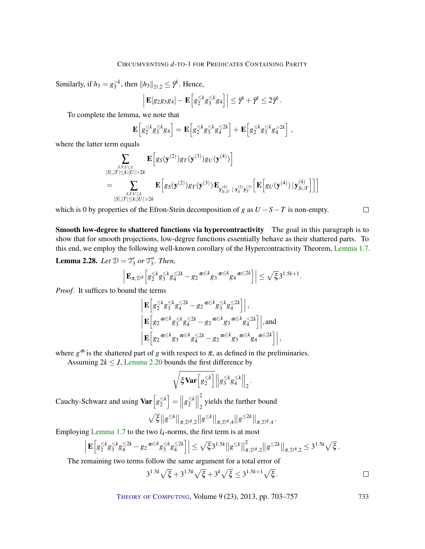Similarly, if  $h_3 = g_3^{>k}$ , then  $||h_3||_{\mathcal{D},2} \leq \bar{\gamma}^k$ . Hence,

$$
\left| \mathbf{E}[g_2g_3g_4] - \mathbf{E}\Big[g_2^{\leq k}g_3^{\leq k}g_4\Big] \right| \leq \bar{\gamma}^k + \bar{\gamma}^k \leq 2\bar{\gamma}^k.
$$

To complete the lemma, we note that

$$
\mathbf{E}\Big[g_2^{\leq k}g_3^{\leq k}g_4\Big]=\mathbf{E}\Big[g_2^{\leq k}g_3^{\leq k}g_4^{\leq 2k}\Big]+\mathbf{E}\Big[g_2^{\leq k}g_3^{\leq k}g_4^{>2k}\Big]\;,
$$

where the latter term equals

$$
\sum_{\substack{S,T,U \subseteq L \\ |S|,|T| \leq k; |U| > 2k}} \mathbf{E} \Big[ g_S(\mathbf{y}^{(2)}) g_T(\mathbf{y}^{(3)}) g_U(\mathbf{y}^{(4)}) \Big] \n= \sum_{\substack{S,T,U \subseteq L \\ |S|,|T| \leq k; |U| > 2k}} \mathbf{E} \Big[ g_S(\mathbf{y}^{(2)}) g_T(\mathbf{y}^{(3)}) \mathbf{E}_{\mathbf{y}^{(4)}_{S \cup T}} | \mathbf{y}^{(2)}_S \mathbf{y}^{(3)}_T \Big[ \mathbf{E} \Big[ g_U(\mathbf{y}^{(4)}) \, | \mathbf{y}^{(4)}_{S \cup T} \Big] \Big] \Big]
$$

which is 0 by properties of the Efron-Stein decomposition of *g* as  $U - S - T$  is non-empty.

 $\Box$ 

Smooth low-degree to shattered functions via hypercontractivity The goal in this paragraph is to show that for smooth projections, low-degree functions essentially behave as their shattered parts. To this end, we employ the following well-known corollary of the Hypercontractivity Theorem, [Lemma 1.7.](#page-8-1)

**Lemma 2.28.** Let  $\mathcal{D} = \mathcal{T}'_3$  or  $\mathcal{T}''_3$ . Then,

$$
\left| \mathbf{E}_{\pi, \mathcal{D}^{\bar{\pi}}} \Big[ g_2^{\leq k} g_3^{\leq k} g_4^{\leq 2k} - g_2^{\pi \leq k} g_3^{\pi \leq k} g_4^{\pi \leq 2k} \Big] \right| \leq \sqrt{\xi} 3^{1.5k+1}.
$$

*Proof.* It suffices to bound the terms

$$
\begin{aligned}&\Big|\mathbf{E}\Big[g_{2}^{\leq k}g_{3}^{\leq k}g_{4}^{\leq 2k}-g_{2}^{\pi \leq k}g_{3}^{\leq k}g_{4}^{\leq 2k}\Big]\Big|,\\&\Big|\mathbf{E}\Big[g_{2}^{\pi \leq k}g_{3}^{\leq k}g_{4}^{\leq 2k}-g_{2}^{\pi \leq k}g_{3}^{\pi \leq k}g_{4}^{\leq 2k}\Big]\Big|,\text{and}\\&\Big|\mathbf{E}\Big[g_{2}^{\pi \leq k}g_{3}^{\pi \leq k}g_{4}^{\leq 2k}-g_{2}^{\pi \leq k}g_{3}^{\pi \leq k}g_{4}^{\pi \leq k}g_{4}^{\pi \leq 2k}\Big]\Big|, \end{aligned}
$$

where  $g^{\pi}$  is the shattered part of *g* with respect to  $\pi$ , as defined in the preliminaries.

Assuming  $2k \leq J$ , [Lemma 2.20](#page-23-1) bounds the first difference by

$$
\sqrt{\xi\mathbf{Var}\left[g_2^{\leq k}\right]}\left\|g_3^{\leq k}g_4^{\leq k}\right\|_2.
$$

Cauchy-Schwarz and using  $\text{Var}\left[g_2^{\leq k}\right]$  $\left[\frac{\leq k}{2}\right]=\Big|$  $g_2^{\leq k}$  $\left| \frac{\leq k}{2} \right|$  2  $2<sub>2</sub>$  yields the further bound ≤*k* ≤*k* ≤2*k*

$$
\sqrt{\xi}||g^{\leq k}||_{\pi,\mathcal{D}^{\bar{\pi}},2}||g^{\leq k}||_{\pi,\mathcal{D}^{\bar{\pi}},4}||g^{\leq 2k}||_{\pi,\mathcal{D}^{\bar{\pi}},4}.
$$

Employing [Lemma 1.7](#page-8-1) to the two *l*4-norms, the first term is at most

$$
\left| \mathbf{E} \left[ g_2^{\leq k} g_3^{\leq k} g_4^{\leq 2k} - g_2^{\pi \leq k} g_3^{\leq k} g_4^{\leq 2k} \right] \right| \leq \sqrt{\xi} 3^{1.5k} ||g^{\leq k}||^2_{\pi, \mathcal{D}^{\pi}, 2} ||g^{\leq 2k}||_{\pi, \mathcal{D}^{\pi}, 2} \leq 3^{1.5k} \sqrt{\xi}.
$$

The remaining two terms follow the same argument for a total error of

$$
3^{1.5k}\sqrt{\xi} + 3^{1.5k}\sqrt{\xi} + 3^k\sqrt{\xi} \le 3^{1.5k+1}\sqrt{\xi}.
$$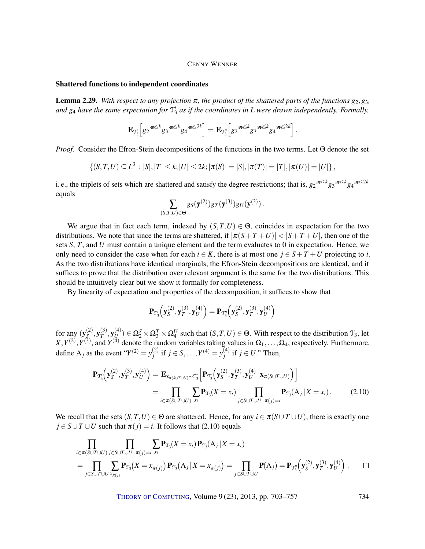#### Shattered functions to independent coordinates

<span id="page-31-0"></span>**Lemma 2.29.** With respect to any projection  $\pi$ , the product of the shattered parts of the functions  $g_2$ ,  $g_3$ , and  $g_4$  have the same expectation for  $\mathfrak{T}_3'$  as if the coordinates in L were drawn independently. Formally,

$$
\mathbf{E}_{\mathfrak{I}_3'}\Big[g_2^{\mathfrak{F}^{\leq k}} g_3^{\mathfrak{F}^{\leq k}} g_4^{\mathfrak{F}^{\leq 2k}}\Big]=\mathbf{E}_{\mathfrak{I}_3''}\Big[g_2^{\mathfrak{F}^{\leq k}} g_3^{\mathfrak{F}^{\leq k}} g_4^{\mathfrak{F}^{\leq 2k}}\Big]\,.
$$

*Proof.* Consider the Efron-Stein decompositions of the functions in the two terms. Let Θ denote the set

$$
\{(S,T,U) \subseteq L^3 : |S|, |T| \le k; |U| \le 2k; |\pi(S)| = |S|, |\pi(T)| = |T|, |\pi(U)| = |U|\},\
$$

i. e., the triplets of sets which are shattered and satisfy the degree restrictions; that is,  $g_2^{\pi \le k} g_3^{\pi \le k} g_4^{\pi \le 2k}$ equals

$$
\sum_{(S,T,U)\in \Theta} g_S({\bf y}^{(2)}) g_T({\bf y}^{(3)}) g_U({\bf y}^{(3)})\,.
$$

We argue that in fact each term, indexed by  $(S, T, U) \in \Theta$ , coincides in expectation for the two distributions. We note that since the terms are shattered, if  $|\pi(S+T+U)| < |S+T+U|$ , then one of the sets *S*, *T*, and *U* must contain a unique element and the term evaluates to 0 in expectation. Hence, we only need to consider the case when for each  $i \in K$ , there is at most one  $j \in S + T + U$  projecting to *i*. As the two distributions have identical marginals, the Efron-Stein decompositions are identical, and it suffices to prove that the distribution over relevant argument is the same for the two distributions. This should be intuitively clear but we show it formally for completeness.

By linearity of expectation and properties of the decomposition, it suffices to show that

$$
\mathbf{P}_{\mathcal{T}_3'}\left(\mathbf{y}_S^{(2)}, \mathbf{y}_T^{(3)}, \mathbf{y}_U^{(4)}\right) = \mathbf{P}_{\mathcal{T}_3''}\left(\mathbf{y}_S^{(2)}, \mathbf{y}_T^{(3)}, \mathbf{y}_U^{(4)}\right)
$$

for any  $(\mathbf{y}_{S}^{(2)})$  $\mathbf{y}_\mathcal{S}^{(2)}, \mathbf{y}_T^{(3)}$  $_{T}^{(3)},y_{U}^{(4)}$  $U_U^{(4)}$ )  $\in \Omega_2^S \times \Omega_3^T \times \Omega_4^U$  such that  $(S, T, U) \in \Theta$ . With respect to the distribution  $\mathfrak{T}_3$ , let  $X, Y^{(2)}, Y^{(3)}$ , and  $Y^{(4)}$  denote the random variables taking values in  $\Omega_1, \ldots, \Omega_4$ , respectively. Furthermore, define  $A_j$  as the event " $Y^{(2)} = y_j^{(2)}$  $y_j^{(2)}$  if *j* ∈ *S*,...,*Y*<sup>(4)</sup> = *y*<sub>*j*</sub><sup>(4)</sup>)  $j^{(4)}$  if  $j \in U$ ." Then,

$$
\mathbf{P}_{\mathcal{T}_3}\left(\mathbf{y}_S^{(2)}, \mathbf{y}_T^{(3)}, \mathbf{y}_U^{(4)}\right) = \mathbf{E}_{\mathbf{x}_{\pi(S \cup T \cup U)} \sim \mathcal{T}_3'}\left[\mathbf{P}_{\mathcal{T}_3'}\left(\mathbf{y}_S^{(2)}, \mathbf{y}_T^{(3)}, \mathbf{y}_U^{(4)} \mid \mathbf{x}_{\pi(S \cup T \cup U)}\right)\right]
$$
\n
$$
= \prod_{i \in \pi(S \cup T \cup U)} \sum_{x_i} \mathbf{P}_{\mathcal{T}_3}(X = x_i) \prod_{j \in S \cup T \cup U : \pi(j) = i} \mathbf{P}_{\mathcal{T}_3}(A_j \mid X = x_i). \tag{2.10}
$$

We recall that the sets  $(S, T, U) \in \Theta$  are shattered. Hence, for any  $i \in \pi(S \cup T \cup U)$ , there is exactly one  $j \in S \cup T \cup U$  such that  $\pi(j) = i$ . It follows that (2.10) equals

$$
\prod_{i \in \pi(S \cup T \cup U)} \prod_{j \in S \cup T \cup U : \pi(j)=i} \sum_{x_i} \mathbf{P}_{\mathcal{T}_3}(X = x_i) \mathbf{P}_{\mathcal{T}_3}(A_j | X = x_i)
$$
\n
$$
= \prod_{j \in S \cup T \cup U} \sum_{x_{\pi(j)}} \mathbf{P}_{\mathcal{T}_3}(X = x_{\pi(j)}) \mathbf{P}_{\mathcal{T}_3}(A_j | X = x_{\pi(j)}) = \prod_{j \in S \cup T \cup U} \mathbf{P}(A_j) = \mathbf{P}_{\mathcal{T}_3}(\mathbf{y}_S^{(2)}, \mathbf{y}_T^{(3)}, \mathbf{y}_U^{(4)}) \ . \qquad \Box
$$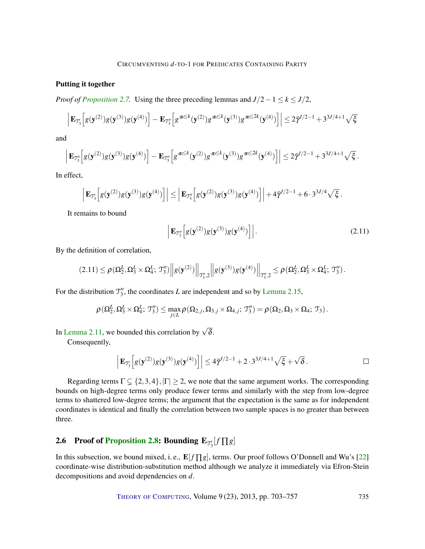#### <span id="page-32-1"></span>Putting it together

*Proof of [Proposition 2.7.](#page-17-1)* Using the three preceding lemmas and  $J/2 - 1 \le k \le J/2$ ,

$$
\left| \mathbf{E}_{\mathfrak{I}'_{3}}\Big[g(\mathbf{y}^{(2)})g(\mathbf{y}^{(3)})g(\mathbf{y}^{(4)})\Big] - \mathbf{E}_{\mathfrak{I}''_{3}}\Big[g^{\pi \leq k}(\mathbf{y}^{(2)})g^{\pi \leq k}(\mathbf{y}^{(3)})g^{\pi \leq 2k}(\mathbf{y}^{(4)})\Big] \right| \leq 2\bar{\gamma}^{J/2-1} + 3^{3J/4+1}\sqrt{\xi}
$$

and

$$
\left| \mathbf{E}_{\mathfrak{I}''_3}\Big[g(\mathbf{y}^{(2)})g(\mathbf{y}^{(3)})g(\mathbf{y}^{(4)}) \Big] - \mathbf{E}_{\mathfrak{I}''_3}\Big[g^{\pi \leq k}(\mathbf{y}^{(2)})g^{\pi \leq k}(\mathbf{y}^{(3)})g^{\pi \leq 2k}(\mathbf{y}^{(4)}) \Big] \right| \leq 2\bar{\gamma}^{l/2-1} + 3^{3J/4+1}\sqrt{\xi}.
$$

In effect,

$$
\left| \mathbf{E}_{\mathfrak{I}'_{3}}\Big[g(\mathbf{y}^{(2)})g(\mathbf{y}^{(3)})g(\mathbf{y}^{(4)})\Big] \right| \leq \left| \mathbf{E}_{\mathfrak{I}''_{3}}\Big[g(\mathbf{y}^{(2)})g(\mathbf{y}^{(3)})g(\mathbf{y}^{(4)})\Big] \right| + 4\bar{\gamma}^{1/2-1} + 6\cdot3^{31/4}\sqrt{\xi}.
$$

It remains to bound

$$
\left| \mathbf{E}_{\mathfrak{I}_{3}''}\!\left[ g(\mathbf{y}^{(2)})g(\mathbf{y}^{(3)})g(\mathbf{y}^{(4)}) \right] \right| \tag{2.11}
$$

By the definition of correlation,

$$
(2.11) \leq \rho(\Omega_2^L, \Omega_3^L \times \Omega_4^L; \mathcal{T}_3'') \Big\| g(\mathbf{y}^{(2)}) \Big\|_{\mathcal{T}_3'',2} \Big\| g(\mathbf{y}^{(3)}) g(\mathbf{y}^{(4)}) \Big\|_{\mathcal{T}_3'',2} \leq \rho(\Omega_2^L, \Omega_3^L \times \Omega_4^L; \mathcal{T}_3'') .
$$

For the distribution  $\mathcal{T}_3''$ , the coordinates *L* are independent and so by [Lemma 2.15,](#page-20-2)

$$
\rho(\Omega_2^L, \Omega_3^L \times \Omega_4^L; \mathcal{T}_3'') \leq \max_{j \in L} \rho(\Omega_{2,j}, \Omega_{3,j} \times \Omega_{4,j}; \mathcal{T}_3'') = \rho(\Omega_2, \Omega_3 \times \Omega_4; \mathcal{T}_3).
$$

In [Lemma 2.11,](#page-19-2) we bounded this correlation by  $\sqrt{\delta}$ .

Consequently,

$$
\left| \mathbf{E}_{\mathcal{T}_3'} \left[ g(\mathbf{y}^{(2)}) g(\mathbf{y}^{(3)}) g(\mathbf{y}^{(4)}) \right] \right| \le 4 \bar{\gamma}^{1/2 - 1} + 2 \cdot 3^{31/4 + 1} \sqrt{\xi} + \sqrt{\delta}.
$$

Regarding terms  $\Gamma \subseteq \{2,3,4\},|\Gamma| \geq 2$ , we note that the same argument works. The corresponding bounds on high-degree terms only produce fewer terms and similarly with the step from low-degree terms to shattered low-degree terms; the argument that the expectation is the same as for independent coordinates is identical and finally the correlation between two sample spaces is no greater than between three.

# <span id="page-32-0"></span>**2.6** Proof of [Proposition](#page-17-2) [2.8:](#page-17-2) Bounding  $\mathbf{E}_{\mathcal{J}'_3}[f \prod g]$

In this subsection, we bound mixed, i.e.,  $\mathbf{E}[f \prod g]$ , terms. Our proof follows O'Donnell and Wu's [\[22\]](#page-53-1) coordinate-wise distribution-substitution method although we analyze it immediately via Efron-Stein decompositions and avoid dependencies on *d*.

THEORY OF C[OMPUTING](http://dx.doi.org/10.4086/toc), Volume 9 (23), 2013, pp. 703–757 735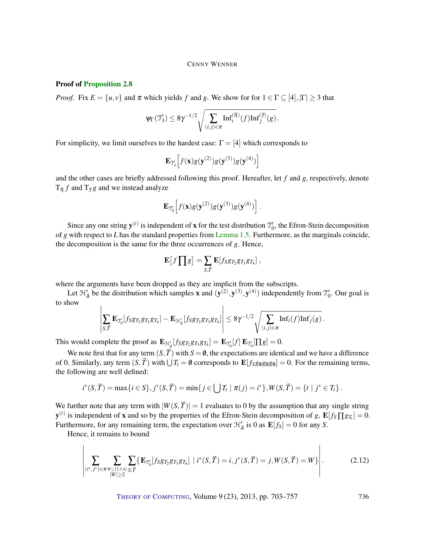#### Proof of [Proposition 2.8](#page-17-2)

*Proof.* Fix  $E = \{u, v\}$  and  $\pi$  which yields  $f$  and  $g$ . We show for for  $1 \in \Gamma \subseteq [4], |\Gamma| \geq 3$  that

$$
\psi_{\Gamma}(\mathfrak{I}_3') \leq 8\gamma^{-1/2}\sqrt{\sum_{(i,j)\in\pi}\text{Inf}_i^{(\bar{\eta})}(f)\text{Inf}_j^{(\bar{\eta})}(g)}.
$$

For simplicity, we limit ourselves to the hardest case:  $\Gamma = [4]$  which corresponds to

$$
\mathbf{E}_{\mathcal{T}_3'}\Big[f(\mathbf{x})g(\mathbf{y}^{(2)})g(\mathbf{y}^{(3)})g(\mathbf{y}^{(4)})\Big]
$$

and the other cases are briefly addressed following this proof. Hereafter, let *f* and *g*, respectively, denote  $T_{\bar{\eta}} f$  and  $T_{\bar{\gamma}} g$  and we instead analyze

$$
\mathbf{E}_{\mathcal{T}_0'}\Big[ f(\mathbf{x}) g(\mathbf{y}^{(2)}) g(\mathbf{y}^{(3)}) g(\mathbf{y}^{(4)}) \Big] .
$$

Since any one string  $y^{(t)}$  is independent of **x** for the test distribution  $\mathcal{T}'_0$ , the Efron-Stein decomposition of *g* with respect to *L* has the standard properties from [Lemma 1.5.](#page-8-0) Furthermore, as the marginals coincide, the decomposition is the same for the three occurrences of *g*. Hence,

$$
\mathbf{E}\big[f\prod g\big]=\sum_{S,\vec{T}}\mathbf{E}[f_Sg_{T_2}g_{T_3}g_{T_4}]\;,
$$

where the arguments have been dropped as they are implicit from the subscripts.

Let  $\mathcal{H}'_{\delta}$  be the distribution which samples **x** and  $(y^{(2)}, y^{(3)}, y^{(4)})$  independently from  $\mathcal{T}'_0$ . Our goal is to show

$$
\left|\sum_{S,\vec{T}}\mathbf{E}_{\mathcal{T}_0'}[f_Sg_{T_2}gr_3gr_4]-\mathbf{E}_{\mathcal{H}_\delta'}[f_Sg_{T_2}gr_3gr_4]\right|\leq 8\gamma^{-1/2}\sqrt{\sum_{(i,j)\in\pi}\text{Inf}_i(f)\text{Inf}_j(g)}.
$$

This would complete the proof as  $\mathbf{E}_{\mathcal{H}_{\delta}'}[f_S g_{T_2} g_{T_3} g_{T_4}] = \mathbf{E}_{\mathcal{H}_{0}'}[f] \mathbf{E}_{\mathcal{H}_{0}'}[\Pi g] = 0.$ 

We note first that for any term  $(S,\vec{T})$  with  $S = \emptyset$ , the expectations are identical and we have a difference of 0. Similarly, any term  $(S, \vec{T})$  with  $\bigcup T_t = \emptyset$  corresponds to  $\mathbf{E}[f_Sg_\emptyset g_\emptyset g_\emptyset] = 0$ . For the remaining terms, the following are well defined:

$$
i^*(S, \vec{T}) = \max\{i \in S\}, j^*(S, \vec{T}) = \min\{j \in \bigcup T_i \mid \pi(j) = i^*\}, W(S, \vec{T}) = \{t \mid j^* \in T_t\}.
$$

We further note that any term with  $|W(S,\vec{T})| = 1$  evaluates to 0 by the assumption that any single string  $\mathbf{y}^{(t)}$  is independent of **x** and so by the properties of the Efron-Stein decomposition of *g*,  $\mathbf{E}[f_S \prod g_{T_i}] = 0$ . Furthermore, for any remaining term, the expectation over  $\mathcal{H}'_{\delta}$  is 0 as  $\mathbf{E}[f_S] = 0$  for any *S*.

Hence, it remains to bound

$$
\left| \sum_{\substack{(i^*,j^*) \in \pi \\ |W| \ge 2}} \sum_{\substack{W \subseteq \{2,3,4\} \\ |W| \ge 2}} \sum_{S,\vec{T}} \{ \mathbf{E}_{\mathcal{T}_0}[f_S g_{T_2} g_{T_3} g_{T_4}] \mid i^*(S,\vec{T}) = i, j^*(S,\vec{T}) = j, W(S,\vec{T}) = W \} \right|.
$$
 (2.12)

<span id="page-33-0"></span> $\mathbf{I}$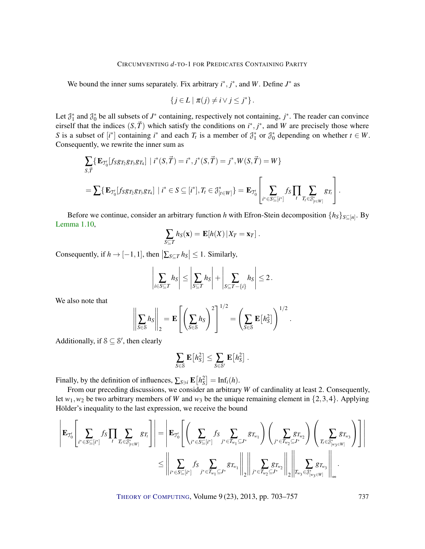We bound the inner sums separately. Fix arbitrary  $i^*, j^*$ , and W. Define  $J^*$  as

$$
\{j\in L \mid \pi(j)\neq i\vee j\leq j^*\}.
$$

Let  $\mathcal{J}_1^*$  and  $\mathcal{J}_0^*$  be all subsets of  $J^*$  containing, respectively not containing,  $j^*$ . The reader can convince eirself that the indices  $(S, \vec{T})$  which satisfy the conditions on  $i^*, j^*$ , and W are precisely those where *S* is a subset of  $[i^*]$  containing  $i^*$  and each  $T_t$  is a member of  $\mathcal{J}_1^*$  or  $\mathcal{J}_0^*$  depending on whether  $t \in W$ . Consequently, we rewrite the inner sum as

$$
\sum_{S,\vec{T}} \{ \mathbf{E}_{\mathcal{T}_0'}[f_S g_{T_2} g_{T_3} g_{T_4}] \mid i^*(S,\vec{T}) = i^*, j^*(S,\vec{T}) = j^*, W(S,\vec{T}) = W \}
$$
\n
$$
= \sum \{ \mathbf{E}_{\mathcal{T}_0'}[f_S g_{T_2} g_{T_3} g_{T_4}] \mid i^* \in S \subseteq [i^*], T_t \in \mathcal{J}_{[t \in W]}^* \} = \mathbf{E}_{\mathcal{T}_0'} \left[ \sum_{i^* \in S \subseteq [i^*]} f_S \prod_{T_i \in \mathcal{J}_{[t \in W]}^*} g_{T_i} \right].
$$

Before we continue, consider an arbitrary function *h* with Efron-Stein decomposition  $\{h_S\}_{S \subseteq [n]}$ . By [Lemma 1.10,](#page-9-0)

$$
\sum_{S\subseteq T} h_S(\mathbf{x}) = \mathbf{E}[h(X) | X_T = \mathbf{x}_T].
$$

Consequently, if  $h \to [-1, 1]$ , then  $\left| \sum_{S \subseteq T} h_S \right| \leq 1$ . Similarly,

$$
\left|\sum_{i\in S\subseteq T}h_S\right|\leq \left|\sum_{S\subseteq T}h_S\right|+\left|\sum_{S\subseteq T-\{i\}}h_S\right|\leq 2.
$$

We also note that

$$
\left\|\sum_{S\in\mathcal{S}}h_S\right\|_2 = \mathbf{E}\left[\left(\sum_{S\in\mathcal{S}}h_S\right)^2\right]^{1/2} = \left(\sum_{S\in\mathcal{S}}\mathbf{E}\left[h_S^2\right]\right)^{1/2}.
$$

Additionally, if  $S \subseteq S'$ , then clearly

$$
\sum_{S\in\mathcal{S}}\mathbf{E}\big[h_S^2\big]\leq \sum_{S\in\mathcal{S}'}\mathbf{E}\big[h_S^2\big]\ .
$$

Finally, by the definition of influences,  $\sum_{S \ni i} \mathbf{E}[h_S^2] = \text{Inf}_i(h)$ .

From our preceding discussions, we consider an arbitrary *W* of cardinality at least 2. Consequently, let  $w_1, w_2$  be two arbitrary members of *W* and  $w_3$  be the unique remaining element in  $\{2,3,4\}$ . Applying Hölder's inequality to the last expression, we receive the bound

$$
\left|\mathbf{E}_{\mathcal{T}_0'}\left[\sum_{i^*\in S\subseteq [i^*]}f_S\prod_t\sum_{T_t\in \mathcal{J}_{[i\in W]}^*}g_{T_t}\right]\right|=\left|\mathbf{E}_{\mathcal{T}_0'}\left[\left(\sum_{i^*\in S\subseteq [i^*]}f_S\sum_{j^*\in T_{w_1}\subseteq J^*}g_{T_{w_1}}\right)\left(\sum_{j^*\in T_{w_2}\subseteq J^*}g_{T_{w_2}}\right)\left(\sum_{T_t\in \mathcal{J}_{[w_3\in W]}^*}g_{T_{w_3}}\right)\right]\right|\\ \leq\left|\left|\sum_{i^*\in S\subseteq [i^*]}f_S\sum_{j^*\in T_{w_1}\subseteq J^*}g_{T_{w_1}}\right|\right|_2\left|\left|\sum_{j^*\in T_{w_2}\subseteq J^*}g_{T_{w_2}}\right|\right|\left|\sum_{T_{w_3}\in \mathcal{J}_{[w_3\in W]}^*}g_{T_{w_3}}\right|\right|_{\infty}.
$$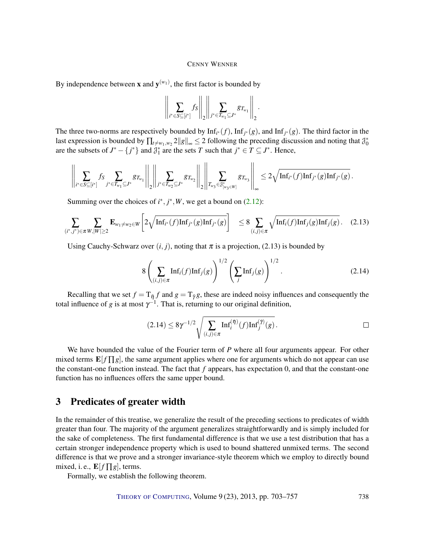By independence between **x** and  $y^{(w_1)}$ , the first factor is bounded by

$$
\left\|\sum_{i^*\in S\subseteq [i^*]}f_S\right\|_2\left\|\sum_{j^*\in T_{w_1}\subseteq J^*}g_{T_{w_1}}\right\|_2.
$$

The three two-norms are respectively bounded by  $Inf_{i^*}(f)$ ,  $Inf_{j^*}(g)$ , and  $Inf_{j^*}(g)$ . The third factor in the last expression is bounded by  $\prod_{t\neq w_1,w_2} 2||g||_{\infty} \leq 2$  following the preceding discussion and noting that  $\mathcal{J}_0^*$ are the subsets of  $J^* - \{j^*\}$  and  $\mathcal{J}_1^*$  are the sets *T* such that  $j^* \in T \subseteq J^*$ . Hence,

$$
\left\|\sum_{i^*\in S\subseteq [i^*]} f_S\sum_{j^*\in T_{w_1}\subseteq J^*}g_{T_{w_1}}\right\|_2\left\|\sum_{j^*\in T_{w_2}\subseteq J^*}g_{T_{w_2}}\right\|_2\left\| \sum_{T_{w_3}\in \mathcal{J}^*_{|w_3\in W|}}g_{T_{w_3}}\right\|_\infty\leq 2\sqrt{\mathrm{Inf}_{i^*}(f)\mathrm{Inf}_{j^*}(g)\mathrm{Inf}_{j^*}(g)}\,.
$$

Summing over the choices of  $i^*, j^*, W$ , we get a bound on [\(2.12\)](#page-33-0):

$$
\sum_{(i^*,j^*)\in\pi W,|W|\geq 2} \mathbf{E}_{w_1\neq w_2\in W} \bigg[ 2\sqrt{\mathrm{Inf}_{i^*}(f)\mathrm{Inf}_{j^*}(g)\mathrm{Inf}_{j^*}(g)} \bigg] \quad \leq 8 \sum_{(i,j)\in\pi} \sqrt{\mathrm{Inf}_i(f)\mathrm{Inf}_j(g)\mathrm{Inf}_j(g)}.\tag{2.13}
$$

Using Cauchy-Schwarz over  $(i, j)$ , noting that  $\pi$  is a projection, (2.13) is bounded by

$$
8\left(\sum_{(i,j)\in\pi} \mathrm{Inf}_i(f)\mathrm{Inf}_j(g)\right)^{1/2} \left(\sum_j \mathrm{Inf}_j(g)\right)^{1/2}.
$$
 (2.14)

Recalling that we set  $f = T_{\bar{\eta}} f$  and  $g = T_{\bar{\gamma}} g$ , these are indeed noisy influences and consequently the total influence of *g* is at most  $\gamma^{-1}$ . That is, returning to our original definition,

$$
(2.14) \leq 8\gamma^{-1/2} \sqrt{\sum_{(i,j)\in\pi} \operatorname{Inf}_i^{(\bar{\eta})}(f) \operatorname{Inf}_j^{(\bar{\gamma})}(g)}.
$$

We have bounded the value of the Fourier term of *P* where all four arguments appear. For other mixed terms  $\mathbf{E}[f]$ *g*, the same argument applies where one for arguments which do not appear can use the constant-one function instead. The fact that *f* appears, has expectation 0, and that the constant-one function has no influences offers the same upper bound.

### 3 Predicates of greater width

In the remainder of this treatise, we generalize the result of the preceding sections to predicates of width greater than four. The majority of the argument generalizes straightforwardly and is simply included for the sake of completeness. The first fundamental difference is that we use a test distribution that has a certain stronger independence property which is used to bound shattered unmixed terms. The second difference is that we prove and a stronger invariance-style theorem which we employ to directly bound mixed, i. e.,  $\mathbf{E}[f \prod g]$ , terms.

Formally, we establish the following theorem.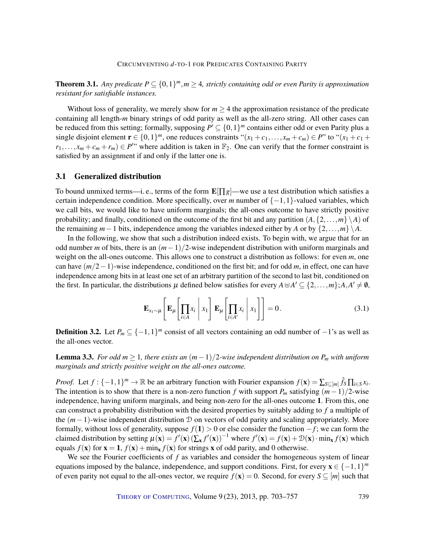**Theorem 3.1.** Any predicate  $P \subseteq \{0,1\}^m$ ,  $m \geq 4$ , strictly containing odd or even Parity is approximation *resistant for satisfiable instances.*

Without loss of generality, we merely show for  $m \geq 4$  the approximation resistance of the predicate containing all length-*m* binary strings of odd parity as well as the all-zero string. All other cases can be reduced from this setting; formally, supposing  $P' \subseteq \{0,1\}^m$  contains either odd or even Parity plus a single disjoint element  $\mathbf{r} \in \{0,1\}^m$ , one reduces constraints " $(x_1 + c_1, \ldots, x_m + c_m) \in P$ " to " $(x_1 + c_1 + c_2)$ "  $r_1, \ldots, x_m + c_m + r_m$ ) ∈ *P*<sup>*'*</sup>" where addition is taken in  $\mathbb{F}_2$ . One can verify that the former constraint is satisfied by an assignment if and only if the latter one is.

#### <span id="page-36-2"></span>3.1 Generalized distribution

To bound unmixed terms—i. e., terms of the form  $\mathbf{E}[\Pi g]$ —we use a test distribution which satisfies a certain independence condition. More specifically, over *m* number of  $\{-1,1\}$ -valued variables, which we call bits, we would like to have uniform marginals; the all-ones outcome to have strictly positive probability; and finally, conditioned on the outcome of the first bit and any partition  $(A, \{2, \ldots, m\} \setminus A)$  of the remaining  $m-1$  bits, independence among the variables indexed either by *A* or by  $\{2,\ldots,m\} \backslash A$ .

In the following, we show that such a distribution indeed exists. To begin with, we argue that for an odd number *m* of bits, there is an (*m*−1)/2-wise independent distribution with uniform marginals and weight on the all-ones outcome. This allows one to construct a distribution as follows: for even *m*, one can have (*m*/2−1)-wise independence, conditioned on the first bit; and for odd *m*, in effect, one can have independence among bits in at least one set of an arbitrary partition of the second to last bit, conditioned on the first. In particular, the distributions  $\mu$  defined below satisfies for every  $A \, \forall A' \subseteq \{2, \ldots, m\}; A, A' \neq \emptyset$ ,

<span id="page-36-1"></span>
$$
\mathbf{E}_{x_1 \sim \mu} \left[ \mathbf{E}_{\mu} \left[ \prod_{i \in A} x_i \middle| x_1 \right] \mathbf{E}_{\mu} \left[ \prod_{i \in A'} x_i \middle| x_1 \right] \right] = 0. \tag{3.1}
$$

**Definition 3.2.** Let  $P_m \subseteq \{-1,1\}^m$  consist of all vectors containing an odd number of  $-1$ 's as well as the all-ones vector.

<span id="page-36-0"></span>**Lemma 3.3.** *For odd m* ≥ 1, there exists an  $(m-1)/2$ -wise independent distribution on  $P_m$  with uniform *marginals and strictly positive weight on the all-ones outcome.*

*Proof.* Let  $f: \{-1,1\}^m \to \mathbb{R}$  be an arbitrary function with Fourier expansion  $f(\mathbf{x}) = \sum_{S \subseteq [m]} \hat{f}_S \prod_{i \in S} x_i$ . The intention is to show that there is a non-zero function *f* with support  $P_m$  satisfying  $(m-1)/2$ -wise independence, having uniform marginals, and being non-zero for the all-ones outcome 1. From this, one can construct a probability distribution with the desired properties by suitably adding to *f* a multiple of the (*m*−1)-wise independent distribution D on vectors of odd parity and scaling appropriately. More formally, without loss of generality, suppose *f*(1) > 0 or else consider the function −*f* ; we can form the claimed distribution by setting  $\mu(\mathbf{x}) = f'(\mathbf{x}) (\sum_{\mathbf{x}} f'(\mathbf{x}))^{-1}$  where  $f'(\mathbf{x}) = f(\mathbf{x}) + \mathcal{D}(\mathbf{x}) \cdot \min_{\mathbf{x}} f(\mathbf{x})$  which equals  $f(\mathbf{x})$  for  $\mathbf{x} = 1$ ,  $f(\mathbf{x}) + min_{\mathbf{x}} f(\mathbf{x})$  for strings x of odd parity, and 0 otherwise.

We see the Fourier coefficients of f as variables and consider the homogeneous system of linear equations imposed by the balance, independence, and support conditions. First, for every  $\mathbf{x} \in \{-1,1\}^m$ of even parity not equal to the all-ones vector, we require  $f(\mathbf{x}) = 0$ . Second, for every  $S \subseteq [m]$  such that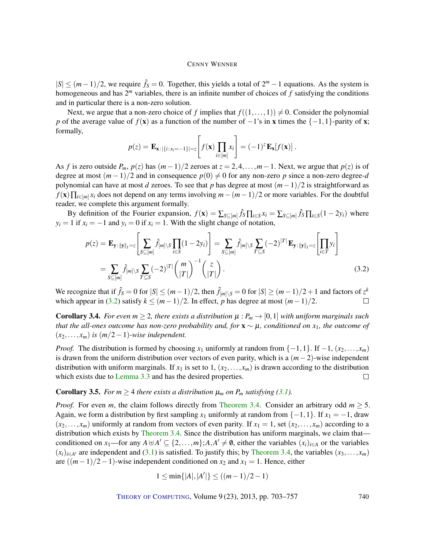$|S| \leq (m-1)/2$ , we require  $\hat{f}_S = 0$ . Together, this yields a total of  $2^m - 1$  equations. As the system is homogeneous and has 2 *<sup>m</sup>* variables, there is an infinite number of choices of *f* satisfying the conditions and in particular there is a non-zero solution.

Next, we argue that a non-zero choice of *f* implies that  $f((1,...,1)) \neq 0$ . Consider the polynomial *p* of the average value of  $f(x)$  as a function of the number of  $-1$ 's in x times the  $\{-1,1\}$ -parity of x; formally,

$$
p(z) = \mathbf{E}_{\mathbf{x}: |\{i:x_i=-1\}|=z} \left[ f(\mathbf{x}) \prod_{i \in [m]} x_i \right] = (-1)^z \mathbf{E}_{\mathbf{x}}[f(\mathbf{x})].
$$

As *f* is zero outside  $P_m$ ,  $p(z)$  has  $(m-1)/2$  zeroes at  $z = 2, 4, ..., m-1$ . Next, we argue that  $p(z)$  is of degree at most  $(m-1)/2$  and in consequence  $p(0) \neq 0$  for any non-zero *p* since a non-zero degree-*d* polynomial can have at most *d* zeroes. To see that *p* has degree at most (*m*−1)/2 is straightforward as *f*(**x**) $\prod_{i \in [m]} x_i$  does not depend on any terms involving *m*−(*m*−1)/2 or more variables. For the doubtful reader, we complete this argument formally.

By definition of the Fourier expansion,  $f(\mathbf{x}) = \sum_{S \subseteq [m]} \hat{f}_S \prod_{i \in S} x_i = \sum_{S \subseteq [m]} \hat{f}_S \prod_{i \in S} (1 - 2y_i)$  where  $y_i = 1$  if  $x_i = -1$  and  $y_i = 0$  if  $x_i = 1$ . With the slight change of notation,

$$
p(z) = \mathbf{E}_{\mathbf{y}: \|\mathbf{y}\|_1 = z} \left[ \sum_{S \subseteq [m]} \hat{f}_{[m] \setminus S} \prod_{i \in S} (1 - 2y_i) \right] = \sum_{S \subseteq [m]} \hat{f}_{[m] \setminus S} \sum_{T \subseteq S} (-2)^{|T|} \mathbf{E}_{\mathbf{y}: \|\mathbf{y}\|_1 = z} \left[ \prod_{i \in T} y_i \right]
$$

$$
= \sum_{S \subseteq [m]} \hat{f}_{[m] \setminus S} \sum_{T \subseteq S} (-2)^{|T|} {m \choose |T|}^{-1} {z \choose |T|}.
$$
(3.2)

We recognize that if  $\hat{f}_S = 0$  for  $|S| \le (m-1)/2$ , then  $\hat{f}_{[m] \setminus S} = 0$  for  $|S| \ge (m-1)/2 + 1$  and factors of  $z^k$ which appear in [\(3.2\)](#page-37-0) satisfy  $k \leq (m-1)/2$ . In effect, *p* has degree at most  $(m-1)/2$ .  $\Box$ 

<span id="page-37-1"></span>**Corollary 3.4.** *For even m*  $\geq$  2*, there exists a distribution*  $\mu$  :  $P_m \rightarrow [0,1]$  *with uniform marginals such that the all-ones outcome has non-zero probability and, for* x ∼ µ*, conditioned on x*1*, the outcome of*  $(x_2,...,x_m)$  *is*  $(m/2-1)$ *-wise independent.* 

*Proof.* The distribution is formed by choosing  $x_1$  uniformly at random from  $\{-1,1\}$ . If  $-1$ ,  $(x_2,...,x_m)$ is drawn from the uniform distribution over vectors of even parity, which is a (*m*−2)-wise independent distribution with uniform marginals. If  $x_1$  is set to 1,  $(x_2, \ldots, x_m)$  is drawn according to the distribution which exists due to [Lemma 3.3](#page-36-0) and has the desired properties.  $\Box$ 

**Corollary 3.5.** *For m*  $\geq$  4 *there exists a distribution*  $\mu_m$  *on P<sub>m</sub> satisfying* [\(3.1\)](#page-36-1)*.* 

*Proof.* For even *m*, the claim follows directly from [Theorem 3.4.](#page-37-1) Consider an arbitrary odd  $m \geq 5$ . Again, we form a distribution by first sampling  $x_1$  uniformly at random from  $\{-1,1\}$ . If  $x_1 = -1$ , draw  $(x_2,...,x_m)$  uniformly at random from vectors of even parity. If  $x_1 = 1$ , set  $(x_2,...,x_m)$  according to a distribution which exists by [Theorem 3.4.](#page-37-1) Since the distribution has uniform marginals, we claim that conditioned on *x*<sub>1</sub>—for any  $A \oplus A' \subseteq \{2, ..., m\}$ ;  $A, A' \neq \emptyset$ , either the variables  $(x_i)_{i \in A}$  or the variables  $(x_i)_{i \in A'}$  are independent and [\(3.1\)](#page-36-1) is satisfied. To justify this; by [Theorem 3.4,](#page-37-1) the variables  $(x_3,...,x_m)$ are  $((m-1)/2-1)$ -wise independent conditioned on  $x_2$  and  $x_1 = 1$ . Hence, either

$$
1 \le \min\{|A|, |A'|\} \le ((m-1)/2 - 1)
$$

<span id="page-37-0"></span>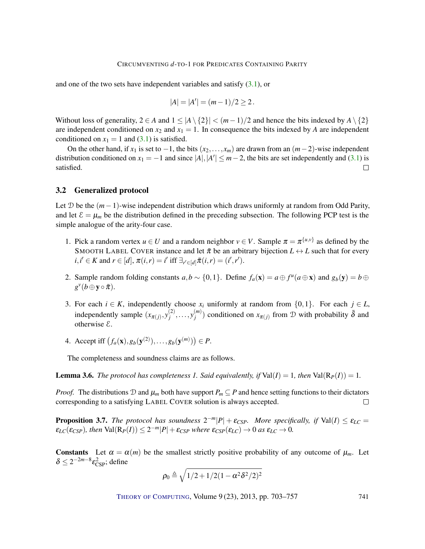and one of the two sets have independent variables and satisfy [\(3.1\)](#page-36-1), or

$$
|A| = |A'| = (m-1)/2 \ge 2.
$$

Without loss of generality,  $2 \in A$  and  $1 \le |A \setminus \{2\}| < (m-1)/2$  and hence the bits indexed by  $A \setminus \{2\}$ are independent conditioned on  $x_2$  and  $x_1 = 1$ . In consequence the bits indexed by *A* are independent conditioned on  $x_1 = 1$  and [\(3.1\)](#page-36-1) is satisfied.

On the other hand, if  $x_1$  is set to  $-1$ , the bits  $(x_2, \ldots, x_m)$  are drawn from an  $(m-2)$ -wise independent distribution conditioned on  $x_1 = -1$  and since  $|A|, |A'| \le m - 2$ , the bits are set independently and [\(3.1\)](#page-36-1) is satisfied.  $\Box$ 

#### <span id="page-38-0"></span>3.2 Generalized protocol

Let D be the (*m*−1)-wise independent distribution which draws uniformly at random from Odd Parity, and let  $\mathcal{E} = \mu_m$  be the distribution defined in the preceding subsection. The following PCP test is the simple analogue of the arity-four case.

- 1. Pick a random vertex  $u \in U$  and a random neighbor  $v \in V$ . Sample  $\pi = \pi^{\{u,v\}}$  as defined by the SMOOTH LABEL COVER instance and let  $\bar{\pi}$  be an arbitrary bijection  $L \leftrightarrow L$  such that for every  $i, i' \in K$  and  $r \in [d], \pi(i, r) = i'$  iff  $\exists_{r' \in [d]} \bar{\pi}(i, r) = (i', r').$
- 2. Sample random folding constants  $a, b \sim \{0, 1\}$ . Define  $f_a(\mathbf{x}) = a \oplus f^u(a \oplus \mathbf{x})$  and  $g_b(\mathbf{y}) = b \oplus f^u(a \oplus \mathbf{x})$  $g^{\nu}(b \oplus \mathbf{y} \circ \bar{\pi}).$
- 3. For each  $i \in K$ , independently choose  $x_i$  uniformly at random from  $\{0,1\}$ . For each  $j \in L$ , independently sample  $(x_{\pi(j)}, y_j^{(2)})$  $y_j^{(2)}, \ldots, y_j^{(m)}$  $\binom{m}{j}$  conditioned on  $x_{\pi(j)}$  from D with probability  $\bar{\delta}$  and otherwise E.
- 4. Accept iff  $(f_a(\mathbf{x}), g_b(\mathbf{y}^{(2)}), \dots, g_b(\mathbf{y}^{(m)})) \in P$ .

The completeness and soundness claims are as follows.

**Lemma 3.6.** *The protocol has completeness 1. Said equivalently, if*  $Val(I) = 1$ *, then*  $Val(R_P(I)) = 1$ *.* 

*Proof.* The distributions D and  $\mu_m$  both have support  $P_m \subseteq P$  and hence setting functions to their dictators corresponding to a satisfying LABEL COVER solution is always accepted.  $\Box$ 

**Proposition 3.7.** The protocol has soundness  $2^{-m}|P| + \varepsilon_{CSP}$ . More specifically, if Val(I)  $\leq \varepsilon_{LC}$  $\varepsilon_{LC}(\varepsilon_{CSP})$ , then  $\text{Val}(\mathbf{R}_P(I)) \leq 2^{-m}|P| + \varepsilon_{CSP}$  where  $\varepsilon_{CSP}(\varepsilon_{LC}) \to 0$  as  $\varepsilon_{LC} \to 0$ .

**Constants** Let  $\alpha = \alpha(m)$  be the smallest strictly positive probability of any outcome of  $\mu_m$ . Let  $\delta \leq 2^{-2m-8} \varepsilon_{\rm CSP}^2$ ; define

$$
\rho_0 \triangleq \sqrt{1/2 + 1/2(1 - \alpha^2 \delta^2/2)^2}
$$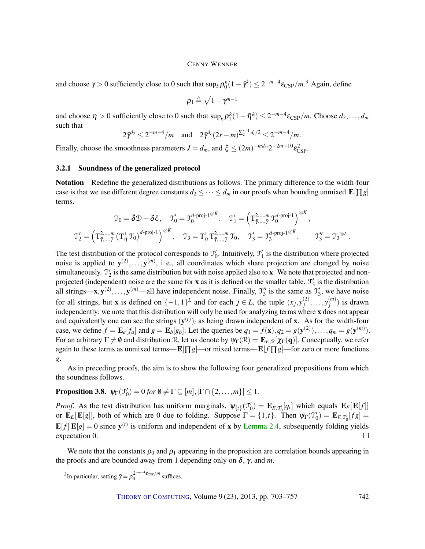and choose  $\gamma > 0$  sufficiently close to 0 such that  $\sup_k \rho_0^k(1-\bar{\gamma}^k) \leq 2^{-m-4} \epsilon_{\rm CSP}/m$ .<sup>3</sup> Again, define

$$
\rho_1 \triangleq \sqrt{1-\gamma^{m-1}}
$$

and choose  $\eta > 0$  sufficiently close to 0 such that  $\sup_k \rho_1^k(1-\bar{\eta}^k) \leq 2^{-m-4}\varepsilon_{\rm CSP}/m$ . Choose  $d_2,\ldots,d_m$ such that

$$
2\bar{\gamma}^{d_2} \leq 2^{-m-4}/m
$$
 and  $2\bar{\gamma}^{d_r}(2r-m)^{\sum_{2}^{r-1}d_t/2} \leq 2^{-m-4}/m$ .

Finally, choose the smoothness parameters  $J = d_m$ , and  $\xi \le (2m)^{-md_m} 2^{-2m-10} \varepsilon_{\text{CSP}}^2$ .

#### <span id="page-39-0"></span>3.2.1 Soundness of the generalized protocol

Notation Redefine the generalized distributions as follows. The primary difference to the width-four case is that we use different degree constants  $d_2 \leq \cdots \leq d_m$  in our proofs when bounding unmixed  $\mathbf{E}[\Pi g]$ terms.

$$
\mathcal{T}_0 = \bar{\delta} \mathcal{D} + \delta \mathcal{E}, \quad \mathcal{T}'_0 = \mathcal{T}_0^{d\text{-proj-1}\otimes K}, \quad \mathcal{T}'_1 = \left(\mathbf{T}_{\bar{\gamma}, \dots, \bar{\gamma}}^{2, \dots, m} \mathcal{T}_0^{d\text{-proj-1}}\right)^{\otimes K},
$$

$$
\mathcal{T}'_2 = \left(\mathbf{T}_{\bar{\gamma}, \dots, \bar{\gamma}}^{2, \dots, m} \left(\mathbf{T}_{\bar{\eta}}^1 \mathcal{T}_0\right)^{d\text{-proj-1}}\right)^{\otimes K}, \quad \mathcal{T}_3 = \mathbf{T}_{\bar{\eta}}^1 \mathbf{T}_{\bar{\gamma}, \dots, \bar{\gamma}}^{2, \dots, m} \mathcal{T}_0, \quad \mathcal{T}'_3 = \mathcal{T}_3^{d\text{-proj-1}\otimes K}, \quad \mathcal{T}_3'' = \mathcal{T}_3^{\otimes L}.
$$

The test distribution of the protocol corresponds to  $\mathcal{T}'_0$ . Intuitively,  $\mathcal{T}'_1$  is the distribution where projected noise is applied to  $y^{(2)},...,y^{(m)}$ , i.e., all coordinates which share projection are changed by noise simultaneously.  $\mathcal{T}'_2$  is the same distribution but with noise applied also to **x**. We note that projected and nonprojected (independent) noise are the same for **x** as it is defined on the smaller table.  $\mathcal{T}'_3$  is the distribution all strings—**x**,  $y^{(2)}, \ldots, y^{(m)}$ —all have independent noise. Finally,  $\mathcal{T}'_3$  is the same as  $\mathcal{T}'_3$ , we have noise for all strings, but **x** is defined on  $\{-1,1\}^L$  and for each  $j \in L$ , the tuple  $(x_j, y_j^{(2)})$  $j^{(2)}, \ldots, y_j^{(m)}$  $j^{(m)}$ ) is drawn independently; we note that this distribution will only be used for analyzing terms where x does not appear and equivalently one can see the strings  $(y^{(t)})_t$  as being drawn independent of **x**. As for the width-four case, we define  $f = \mathbf{E}_a[f_a]$  and  $g = \mathbf{E}_b[g_b]$ . Let the queries be  $q_1 = f(\mathbf{x}), q_2 = g(\mathbf{y}^{(2)}), \dots, q_m = g(\mathbf{y}^{(m)})$ . For an arbitrary  $\Gamma \neq \emptyset$  and distribution R, let us denote by  $\psi_{\Gamma}(\mathcal{R}) = \mathbf{E}_{E,\mathcal{R}}[\chi_{\Gamma}(\mathbf{q})]$ . Conceptually, we refer again to these terms as unmixed terms— $\mathbf{E}[\Pi g]$ —or mixed terms— $\mathbf{E}[f \Pi g]$ —for zero or more functions *g*.

As in preceding proofs, the aim is to show the following four generalized propositions from which the soundness follows.

## **Proposition 3.8.**  $\psi_{\Gamma}(\mathfrak{T}'_0) = 0$  for  $\emptyset \neq \Gamma \subseteq [m], |\Gamma \cap \{2,\ldots,m\}| \leq 1$ .

*Proof.* As the test distribution has uniform marginals,  $\psi_{\{t\}}(\mathcal{I}'_0) = \mathbf{E}_{E,\mathcal{I}'_0}[q_t]$  which equals  $\mathbf{E}_E[\mathbf{E}[f]]$ or  $\mathbf{E}_E[\mathbf{E}[g]]$ , both of which are 0 due to folding. Suppose  $\Gamma = \{1, t\}$ . Then  $\psi_{\Gamma}(\mathcal{I}'_0) = \mathbf{E}_{E, \mathcal{I}'_0}[fg] =$  $\mathbf{E}[f] \mathbf{E}[g] = 0$  since  $\mathbf{y}^{(t)}$  is uniform and independent of x by [Lemma 2.4,](#page-16-1) subsequently folding yields expectation 0.  $\Box$ 

We note that the constants  $\rho_0$  and  $\rho_1$  appearing in the proposition are correlation bounds appearing in the proofs and are bounded away from 1 depending only on  $\delta$ ,  $\gamma$ , and *m*.

<sup>&</sup>lt;sup>3</sup>In particular, setting  $\bar{\gamma} = \rho_0^{2^{-m-4}\epsilon_{\text{CSP}}/m}$  suffices.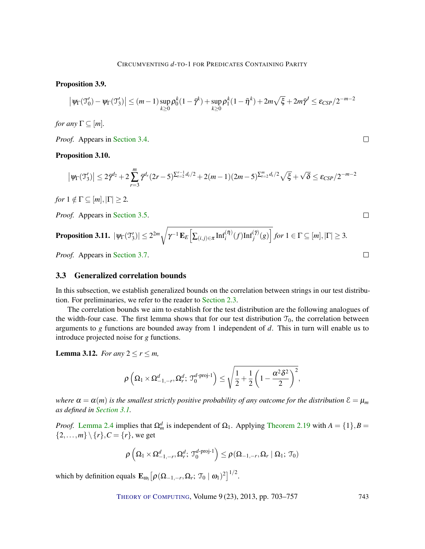#### <span id="page-40-1"></span>Proposition 3.9.

$$
\left|\psi_{\Gamma}(\mathcal{T}_0') - \psi_{\Gamma}(\mathcal{T}_3')\right| \le (m-1)\sup_{k\ge 0} \rho_0^k (1-\bar{\gamma}^k) + \sup_{k\ge 0} \rho_1^k (1-\bar{\eta}^k) + 2m\sqrt{\xi} + 2m\bar{\gamma}^J \le \varepsilon_{CSP}/2^{-m-2}
$$

 $\Box$ 

 $\Box$ 

*for any*  $\Gamma \subseteq [m]$ *.* 

*Proof.* Appears in [Section 3.4.](#page-42-1)

#### <span id="page-40-3"></span>Proposition 3.10.

$$
\left|\psi_{\Gamma}(\mathfrak{I}_{3}')\right| \leq 2\bar{\gamma}^{d_2} + 2\sum_{r=3}^{m} \bar{\gamma}^{d_r}(2r-5)^{\sum_{i=2}^{r-1} d_i/2} + 2(m-1)(2m-5)^{\sum_{i=2}^{m} d_i/2}\sqrt{\xi} + \sqrt{\delta} \leq \varepsilon_{CSP}/2^{-m-2}
$$

*for*  $1 \notin \Gamma \subseteq [m], |\Gamma| \geq 2$ .

*Proof.* Appears in [Section 3.5.](#page-46-0)

<span id="page-40-4"></span>**Proposition 3.11.** 
$$
|\psi_{\Gamma}(\mathcal{T}'_3)| \leq 2^{2m} \sqrt{\gamma^{-1} \mathbf{E}_E \Big[ \sum_{(i,j) \in \pi} \mathrm{Inf}_i^{(\bar{\eta})}(f) \mathrm{Inf}_j^{(\bar{\gamma})}(g) \Big]} \text{ for } 1 \in \Gamma \subseteq [m], |\Gamma| \geq 3.
$$
  
\n*Proof.* **Appears in Section 3.7.**

*Proof.* Appears in [Section 3.7.](#page-51-0)

### <span id="page-40-0"></span>3.3 Generalized correlation bounds

In this subsection, we establish generalized bounds on the correlation between strings in our test distribution. For preliminaries, we refer to the reader to [Section 2.3.](#page-19-0)

The correlation bounds we aim to establish for the test distribution are the following analogues of the width-four case. The first lemma shows that for our test distribution  $\mathcal{T}_0$ , the correlation between arguments to *g* functions are bounded away from 1 independent of *d*. This in turn will enable us to introduce projected noise for *g* functions.

<span id="page-40-2"></span>**Lemma 3.12.** *For any*  $2 \le r \le m$ ,

$$
\rho\left(\Omega_1\times\Omega_{-1,-r}^d,\Omega_r^d;\ \mathfrak{I}_0^{d\text{-proj-1}}\right)\leq\sqrt{\frac{1}{2}+\frac{1}{2}\left(1-\frac{\alpha^2\delta^2}{2}\right)^2},
$$

*where*  $\alpha = \alpha(m)$  *is the smallest strictly positive probability of any outcome for the distribution*  $\epsilon = \mu_m$ *as defined in [Section 3.1.](#page-36-2)*

*Proof.* [Lemma 2.4](#page-16-1) implies that  $\Omega_m^d$  is independent of  $\Omega_1$ . Applying [Theorem 2.19](#page-21-1) with  $A = \{1\}, B =$  $\{2,...,m\} \setminus \{r\}$ ,  $C = \{r\}$ , we get

$$
\rho\left(\Omega_{1}\times\Omega_{-1,-r}^{d},\Omega_{r}^{d};\,\mathfrak{T}_{0}^{d\text{-}\mathrm{proj-1}}\right)\leq\rho\left(\Omega_{-1,-r},\Omega_{r}\mid\Omega_{1};\,\mathfrak{T}_{0}\right)
$$

which by definition equals  $\mathbf{E}_{\omega_1} \big[ \rho(\Omega_{-1,-r}, \Omega_r; \mathcal{T}_0 \mid \omega_1)^2 \big]^{1/2}$ .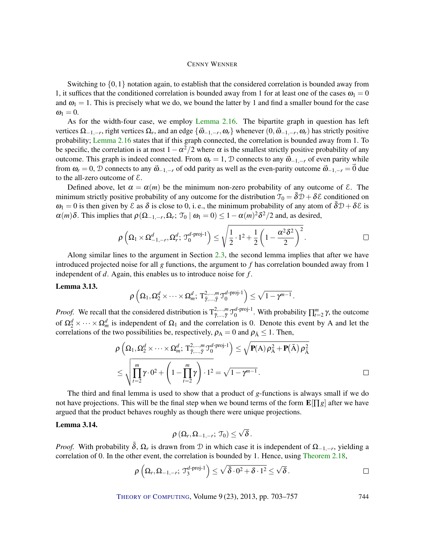Switching to  $\{0,1\}$  notation again, to establish that the considered correlation is bounded away from 1, it suffices that the conditioned correlation is bounded away from 1 for at least one of the cases  $\omega_1 = 0$ and  $\omega_1 = 1$ . This is precisely what we do, we bound the latter by 1 and find a smaller bound for the case  $\omega_1 = 0.$ 

As for the width-four case, we employ [Lemma 2.16.](#page-20-3) The bipartite graph in question has left vertices  $\Omega_{-1,-r}$ , right vertices  $\Omega_r$ , and an edge  $\{\vec{\omega}_{-1,-r},\omega_r\}$  whenever  $(0,\vec{\omega}_{-1,-r},\omega_r)$  has strictly positive probability; [Lemma 2.16](#page-20-3) states that if this graph connected, the correlation is bounded away from 1. To be specific, the correlation is at most  $1 - \alpha^2/2$  where  $\alpha$  is the smallest strictly positive probability of any outcome. This graph is indeed connected. From  $\omega_r = 1$ , D connects to any  $\vec{\omega}_{-1,-r}$  of even parity while from  $\omega_r = 0$ , D connects to any  $\vec{\omega}_{-1,-r}$  of odd parity as well as the even-parity outcome  $\vec{\omega}_{-1,-r} = 0$  due to the all-zero outcome of  $\mathcal{E}$ .

Defined above, let  $\alpha = \alpha(m)$  be the minimum non-zero probability of any outcome of  $\epsilon$ . The minimum strictly positive probability of any outcome for the distribution  $\mathcal{T}_0 = \overline{\delta} \mathcal{D} + \delta \mathcal{E}$  conditioned on  $\omega_1 = 0$  is then given by  $\mathcal E$  as  $\delta$  is close to 0, i.e., the minimum probability of any atom of  $\bar{\delta}D + \delta \mathcal E$  is  $\alpha(m)\delta$ . This implies that  $\rho(\Omega_{-1,-r},\Omega_r;\mathcal{T}_0 \mid \omega_1 = 0) \leq 1 - \alpha(m)^2 \delta^2/2$  and, as desired,

$$
\rho\left(\Omega_1\times\Omega_{-1,-r}^d,\Omega_r^d;\,\mathfrak{T}_0^{d\text{-proj-1}}\right)\leq\sqrt{\frac{1}{2}\cdot1^2+\frac{1}{2}\left(1-\frac{\alpha^2\delta^2}{2}\right)^2}\,.
$$

.

Along similar lines to the argument in Section [2.3,](#page-19-0) the second lemma implies that after we have introduced projected noise for all *g* functions, the argument to *f* has correlation bounded away from 1 independent of *d*. Again, this enables us to introduce noise for *f* .

#### <span id="page-41-0"></span>Lemma 3.13.

$$
\rho\left(\Omega_1,\Omega_2^d\times\cdots\times\Omega_m^d;\,T^{2,\ldots,m}_{\tilde{\gamma},\ldots,\tilde{\gamma}}\, \mathbb{T}_0^{d\text{-proj-1}}\right)\leq \sqrt{1-\gamma^{m-1}}
$$

*Proof.* We recall that the considered distribution is  $T^2_{\bar{\gamma},..., \bar{\gamma}}$   $\mathcal{T}^{d-\text{proj-1}}_0$  $\int_0^{d\text{-proj-1}}$ . With probability  $\prod_{t=2}^m \gamma$ , the outcome of  $\Omega_2^d \times \cdots \times \Omega_m^d$  is independent of  $\Omega_1$  and the correlation is 0. Denote this event by A and let the correlations of the two possibilities be, respectively,  $\rho_A = 0$  and  $\rho_{\bar{A}} \leq 1$ . Then,

$$
\rho\left(\Omega_1, \Omega_2^d \times \cdots \times \Omega_m^d; \; \mathbf{T}_{\bar{\gamma}, \dots, \bar{\gamma}}^{2, \dots, m} \mathbf{T}_0^{d \text{-}\mathrm{proj} \text{-}1}\right) \leq \sqrt{\mathbf{P}(A) \rho_A^2 + \mathbf{P}(\bar{A}) \rho_{\bar{A}}^2}
$$
\n
$$
\leq \sqrt{\prod_{t=2}^m \gamma \cdot 0^2 + \left(1 - \prod_{t=2}^m \gamma\right) \cdot 1^2} = \sqrt{1 - \gamma^{m-1}}.
$$

The third and final lemma is used to show that a product of *g*-functions is always small if we do not have projections. This will be the final step when we bound terms of the form  $\mathbf{E}[\Pi g]$  after we have argued that the product behaves roughly as though there were unique projections.

#### <span id="page-41-1"></span>Lemma 3.14.

$$
\rho\left(\Omega_{r},\Omega_{-1,-r};\,\mathfrak{T}_{0}\right)\leq\sqrt{\delta}\,.
$$

*Proof.* With probability  $\bar{\delta}$ ,  $\Omega_r$  is drawn from  $\mathcal D$  in which case it is independent of  $\Omega_{-1,-r}$ , yielding a correlation of 0. In the other event, the correlation is bounded by 1. Hence, using [Theorem 2.18,](#page-21-0)

$$
\rho\left(\Omega_r,\Omega_{-1,-r};\,\mathfrak{T}^{d\text{-proj-1}}_3\right)\leq\sqrt{\bar{\delta}\cdot 0^2+\delta\cdot 1^2}\leq\sqrt{\delta}\,.
$$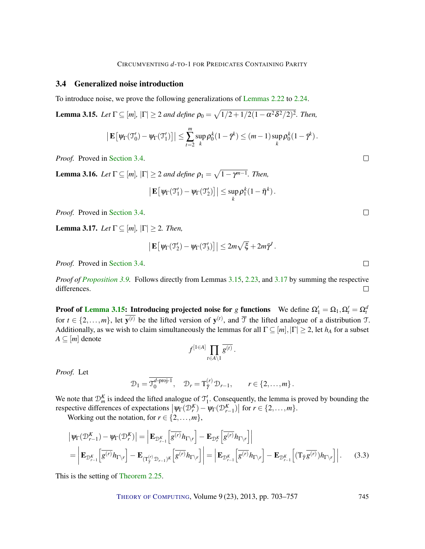#### <span id="page-42-0"></span>3.4 Generalized noise introduction

To introduce noise, we prove the following generalizations of [Lemmas 2.22](#page-26-0) to [2.24.](#page-26-2)

<span id="page-42-3"></span>**Lemma 3.15.** Let  $\Gamma \subseteq [m]$ ,  $|\Gamma| \geq 2$  and define  $\rho_0 = \sqrt{1/2 + 1/2(1 - \alpha^2 \delta^2/2)^2}$ . Then,

$$
\left|\mathbf{E}\left[\psi_{\Gamma}(\mathfrak{I}_{0}')-\psi_{\Gamma}(\mathfrak{I}_{1}')\right]\right|\leq\sum_{t=2}^{m}\sup_{k}\rho_{0}^{k}(1-\bar{\gamma}^{k})\leq(m-1)\sup_{k}\rho_{0}^{k}(1-\bar{\gamma}^{k}).
$$

*Proof.* Proved in [Section 3.4.](#page-42-2)

<span id="page-42-5"></span>**Lemma 3.16.** Let  $\Gamma \subseteq [m]$ ,  $|\Gamma| \geq 2$  and define  $\rho_1 = \sqrt{1 - \gamma^{m-1}}$ . Then,

$$
\left|\mathbf{E}\left[\psi_{\Gamma}(\mathfrak{I}'_1)-\psi_{\Gamma}(\mathfrak{I}'_2)\right]\right|\leq \sup_k\rho_1^k(1-\bar{\eta}^k).
$$

*Proof.* Proved in [Section 3.4.](#page-43-0)

<span id="page-42-1"></span>**Lemma 3.17.** *Let*  $\Gamma \subseteq [m], |\Gamma| \geq 2$ *. Then,* 

$$
\left|\mathbf{E}\left[\psi_{\Gamma}(\mathfrak{T}_2')-\psi_{\Gamma}(\mathfrak{T}_3')\right]\right|\leq 2m\sqrt{\xi}+2m\tilde{\gamma}'.
$$

*Proof.* Proved in [Section 3.4.](#page-43-1)

*Proof of [Proposition 3.9.](#page-40-1)* Follows directly from Lemmas [3.15,](#page-42-3) [2.23,](#page-26-1) and [3.17](#page-42-1) by summing the respective differences.  $\Box$ 

<span id="page-42-2"></span>**Proof of [Lemma 3.15:](#page-42-3) Introducing projected noise for** *g* **functions** We define  $\Omega'_1 = \Omega_1, \Omega'_t = \Omega_t^d$ for  $t \in \{2,\ldots,m\}$ , let  $y^{(t)}$  be the lifted version of  $y^{(t)}$ , and  $\overline{T}$  the lifted analogue of a distribution T. Additionally, as we wish to claim simultaneously the lemmas for all  $\Gamma \subseteq [m], |\Gamma| \geq 2$ , let  $h_A$  for a subset  $A \subseteq [m]$  denote

$$
f^{[1\in A]}\prod_{t\in A\backslash 1}\overline{g^{(t)}}\,.
$$

*Proof.* Let

$$
\mathcal{D}_1 = \overline{\mathcal{J}_0^{d\text{-proj-1}}}, \quad \mathcal{D}_r = \mathcal{T}_{\tilde{\gamma}}^{(r)} \mathcal{D}_{r-1}, \qquad r \in \{2, \ldots, m\}.
$$

We note that  $\mathcal{D}_{m}^{K}$  is indeed the lifted analogue of  $\mathcal{T}'_1$ . Consequently, the lemma is proved by bounding the respective differences of expectations  $|\psi_{\Gamma}(\mathcal{D}_{r}^{K}) - \psi_{\Gamma}(\mathcal{D}_{r-1}^{K})|$  for  $r \in \{2, ..., m\}$ .

Working out the notation, for  $r \in \{2, \ldots, m\}$ ,

$$
\left| \Psi_{\Gamma}(\mathcal{D}_{r-1}^{K}) - \Psi_{\Gamma}(\mathcal{D}_{r}^{K}) \right| = \left| \mathbf{E}_{\mathcal{D}_{r-1}^{K}} \left[ \overline{g^{(r)}} h_{\Gamma \backslash r} \right] - \mathbf{E}_{\mathcal{D}_{r}^{K}} \left[ \overline{g^{(r)}} h_{\Gamma \backslash r} \right] \right|
$$
\n
$$
= \left| \mathbf{E}_{\mathcal{D}_{r-1}^{K}} \left[ \overline{g^{(r)}} h_{\Gamma \backslash r} \right] - \mathbf{E}_{(\Gamma_{\gamma}^{(r)} \mathcal{D}_{r-1})^{K}} \left[ \overline{g^{(r)}} h_{\Gamma \backslash r} \right] \right| = \left| \mathbf{E}_{\mathcal{D}_{r-1}^{K}} \left[ \overline{g^{(r)}} h_{\Gamma \backslash r} \right] - \mathbf{E}_{\mathcal{D}_{r-1}^{K}} \left[ (\mathbf{T}_{\bar{\gamma}} \overline{g^{(r)}}) h_{\Gamma \backslash r} \right] \right|.
$$
\n(3.3)

This is the setting of [Theorem 2.25.](#page-26-3)

THEORY OF C[OMPUTING](http://dx.doi.org/10.4086/toc), Volume 9 (23), 2013, pp. 703–757 745

<span id="page-42-4"></span> $\Box$ 

 $\Box$ 

 $\Box$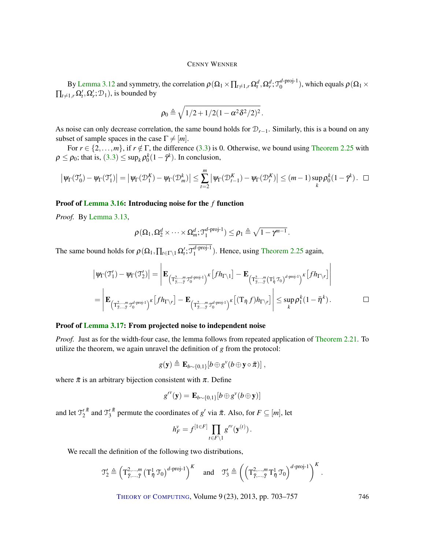By [Lemma 3.12](#page-40-2) and symmetry, the correlation  $\rho(\Omega_1 \times \prod_{t \neq 1,r} \Omega_t^d, \Omega_r^d; \mathfrak{I}_0^{d\text{-proj-1}}$  $\binom{a\text{-}\mathrm{proj-1}}{0}$ , which equals  $\rho(\Omega_1 \times$  $\prod_{t \neq 1,r} \Omega'_t, \Omega'_r; \mathcal{D}_1$ , is bounded by

$$
\rho_0 \triangleq \sqrt{1/2 + 1/2(1 - \alpha^2 \delta^2/2)^2}.
$$

As noise can only decrease correlation, the same bound holds for D*r*−1. Similarly, this is a bound on any subset of sample spaces in the case  $\Gamma \neq [m]$ .

For  $r \in \{2,\ldots,m\}$ , if  $r \notin \Gamma$ , the difference [\(3.3\)](#page-42-4) is 0. Otherwise, we bound using [Theorem 2.25](#page-26-3) with  $\rho \leq \rho_0$ ; that is,  $(3.3) \leq \sup_k \rho_0^k(1-\bar{\gamma}^k)$  $(3.3) \leq \sup_k \rho_0^k(1-\bar{\gamma}^k)$  $(3.3) \leq \sup_k \rho_0^k(1-\bar{\gamma}^k)$ . In conclusion,

$$
\big|\psi_{\Gamma}(\mathcal{T}_0')-\psi_{\Gamma}(\mathcal{T}_1')\big|=\big|\psi_{\Gamma}(\mathcal{D}_1^K)-\psi_{\Gamma}(\mathcal{D}_m^k)\big|\leq \sum_{t=2}^m\big|\psi_{\Gamma}(\mathcal{D}_{t-1}^K)-\psi_{\Gamma}(\mathcal{D}_{t}^K)\big|\leq (m-1)\sup_k\rho_0^k(1-\bar{\gamma}^k)\. \ \ \Box
$$

#### <span id="page-43-0"></span>Proof of [Lemma 3.16:](#page-42-5) Introducing noise for the *f* function

*Proof.* By [Lemma 3.13,](#page-41-0)

$$
\rho(\Omega_1,\Omega_2^d\times\cdots\times\Omega_m^d;{\mathfrak{I}}_1^{d\text{-proj-1}})\leq \rho_1\triangleq\sqrt{1-\gamma^{m-1}}.
$$

The same bound holds for  $\rho(\Omega_1, \prod_{t \in \Gamma \setminus 1} \Omega'_t; \mathfrak{I}_1^{d\text{-proj-1}}$  $_1^{a-proj-1}$ ). Hence, using [Theorem 2.25](#page-26-3) again,

$$
\begin{split} \left| \psi_{\Gamma}(\mathfrak{I}'_{1}) - \psi_{\Gamma}(\mathfrak{I}'_{2}) \right| &= \left| \mathbf{E}_{\left( T^2_{\bar{\gamma}, \dots, \bar{\eta}} \mathfrak{I}^{d\text{-proj-1}}_{0} \right)^K} \left[ f h_{\Gamma \backslash 1} \right] - \mathbf{E}_{\left( T^2_{\bar{\gamma}, \dots, \bar{\eta}} \left( T^1_{\eta} \mathfrak{I}_{0} \right)^{d\text{-proj-1}} \right)^K} \left[ f h_{\Gamma \backslash r} \right] \right| \\ &= \left| \mathbf{E}_{\left( T^2_{\bar{\gamma}, \dots, \bar{\eta}} \mathfrak{I}^{d\text{-proj-1}}_{0} \right)^K} \left[ f h_{\Gamma \backslash r} \right] - \mathbf{E}_{\left( T^2_{\bar{\gamma}, \dots, \bar{\eta}} \mathfrak{I}^{d\text{-proj-1}}_{0} \right)^K} \left[ \left( T_{\bar{\eta}} \ f \right) h_{\Gamma \backslash r} \right] \right| \leq \sup_{k} \rho_1^k (1 - \bar{\eta}^k). \end{split} \qquad \qquad \Box
$$

#### <span id="page-43-1"></span>Proof of [Lemma 3.17:](#page-42-1) From projected noise to independent noise

*Proof.* Just as for the width-four case, the lemma follows from repeated application of [Theorem 2.21.](#page-24-1) To utilize the theorem, we again unravel the definition of *g* from the protocol:

$$
g(\mathbf{y}) \triangleq \mathbf{E}_{b \sim \{0,1\}}[b \oplus g^{\nu}(b \oplus \mathbf{y} \circ \bar{\pi})],
$$

where  $\bar{\pi}$  is an arbitrary bijection consistent with  $\pi$ . Define

$$
g^{\prime\prime\prime}(\mathbf{y})=\mathbf{E}_{b\sim\{0,1\}}[b\oplus g^{\prime\prime}(b\oplus \mathbf{y})]
$$

and let  $\mathfrak{I}'_2^{\pi}$  and  $\mathfrak{I}'_3^{\pi}$  permute the coordinates of *g'* via  $\bar{\pi}$ . Also, for  $F \subseteq [m]$ , let

$$
h_F^v = f^{[1 \in F]} \prod_{t \in F \setminus 1} g^{\prime v}(\mathbf{y}^{(t)})\,.
$$

We recall the definition of the following two distributions,

$$
\mathfrak{T}_2' \triangleq \left(\mathbf{T}^{2,\ldots,m}_{\tilde{\gamma},\ldots,\tilde{\gamma}} \left(\mathbf{T}^{1}_{\tilde{\eta}} \,\mathfrak{T}_0\right)^{d\text{-proj-1}}\right)^K \quad \text{and} \quad \mathfrak{T}_3' \triangleq \left(\left(\mathbf{T}^{2,\ldots,m}_{\tilde{\gamma},\ldots,\tilde{\gamma}} \,\mathbf{T}^{1}_{\tilde{\eta}} \,\mathfrak{T}_0\right)^{d\text{-proj-1}}\right)^K.
$$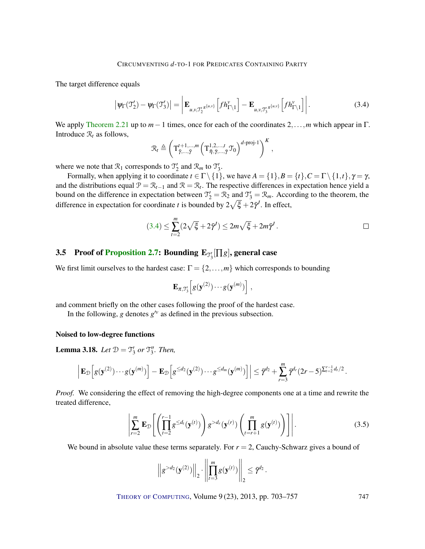The target difference equals

$$
\left|\psi_{\Gamma}(\mathfrak{I}_{2}') - \psi_{\Gamma}(\mathfrak{I}_{3}')\right| = \left|\mathbf{E}_{u,v,\mathfrak{I}_{2}'}\pi^{\{u,v\}}\left[fh_{\Gamma\setminus 1}^{\nu}\right] - \mathbf{E}_{u,v,\mathfrak{I}_{3}'}\pi^{\{u,v\}}\left[fh_{\Gamma\setminus 1}^{\nu}\right]\right|.
$$
 (3.4)

We apply [Theorem 2.21](#page-24-1) up to *m*−1 times, once for each of the coordinates 2,...,*m* which appear in Γ. Introduce  $\mathcal{R}_t$  as follows,

<span id="page-44-1"></span>
$$
\mathcal{R}_t \triangleq \left(\mathbf{T}^{t+1,\dots,m}_{\bar{\gamma},\dots,\bar{\gamma}}\left(\mathbf{T}^{1,2,\dots,t}_{\bar{\eta},\bar{\gamma},\dots,\bar{\gamma}}\mathbf{T}_0\right)^{d\text{-proj-1}}\right)^K,
$$

where we note that  $\mathcal{R}_1$  corresponds to  $\mathcal{T}_2'$  and  $\mathcal{R}_m$  to  $\mathcal{T}_3'$ .

Formally, when applying it to coordinate  $t \in \Gamma \setminus \{1\}$ , we have  $A = \{1\}, B = \{t\}, C = \Gamma \setminus \{1, t\}, \gamma = \gamma$ , and the distributions equal  $\mathcal{P} = \mathcal{R}_{t-1}$  and  $\mathcal{R} = \mathcal{R}_t$ . The respective differences in expectation hence yield a bound on the difference in expectation between  $\mathcal{T}'_2 = \mathcal{R}_2$  and  $\mathcal{T}'_3 = \mathcal{R}_m$ . According to the theorem, the difference in expectation for coordinate *t* is bounded by  $2\sqrt{\xi} + 2\bar{\gamma}^j$ . In effect,

$$
(3.4) \leq \sum_{t=2}^{m} (2\sqrt{\xi} + 2\bar{\gamma}^I) \leq 2m\sqrt{\xi} + 2m\bar{\gamma}^I.
$$

# <span id="page-44-0"></span>3.5 Proof of [Proposition](#page-17-1) [2.7:](#page-17-1) Bounding  $\mathbf{E}_{\mathcal{T}_3'}[\Pi g]$ , general case

We first limit ourselves to the hardest case:  $\Gamma = \{2, \ldots, m\}$  which corresponds to bounding

$$
\mathbf{E}_{\pi,\mathfrak{I}'_3}\Big[g(\mathbf{y}^{(2)})\cdots g(\mathbf{y}^{(m)})\Big],
$$

and comment briefly on the other cases following the proof of the hardest case.

In the following, *g* denotes  $g^{\prime\nu}$  as defined in the previous subsection.

#### Noised to low-degree functions

**Lemma 3.18.** Let  $\mathcal{D} = \mathcal{T}'_3$  or  $\mathcal{T}''_3$ . Then,

$$
\left| \mathbf{E}_{\mathcal{D}} \Big[ g(\mathbf{y}^{(2)}) \cdots g(\mathbf{y}^{(m)}) \Big] - \mathbf{E}_{\mathcal{D}} \Big[ g^{\leq d_2}(\mathbf{y}^{(2)}) \cdots g^{\leq d_m}(\mathbf{y}^{(m)}) \Big] \right| \leq \bar{\gamma}^{d_2} + \sum_{r=3}^{m} \bar{\gamma}^{d_r} (2r-5)^{\sum_{t=2}^{r-1} d_t/2}.
$$

*Proof.* We considering the effect of removing the high-degree components one at a time and rewrite the treated difference,

$$
\left|\sum_{r=2}^{m} \mathbf{E}_{\mathcal{D}}\left[\left(\prod_{t=2}^{r-1} g^{\leq d_t}(\mathbf{y}^{(t)})\right) g^{> d_r}(\mathbf{y}^{(r)})\left(\prod_{t=r+1}^{m} g(\mathbf{y}^{(t)})\right)\right]\right|.
$$
\n(3.5)

We bound in absolute value these terms separately. For  $r = 2$ , Cauchy-Schwarz gives a bound of

$$
\left\|g^{>d_2}(\mathbf{y}^{(2)})\right\|_2 \cdot \left\|\prod_{t=3}^m g(\mathbf{y}^{(t)})\right\|_2 \leq \bar{\gamma}^{d_2}.
$$

<span id="page-44-2"></span>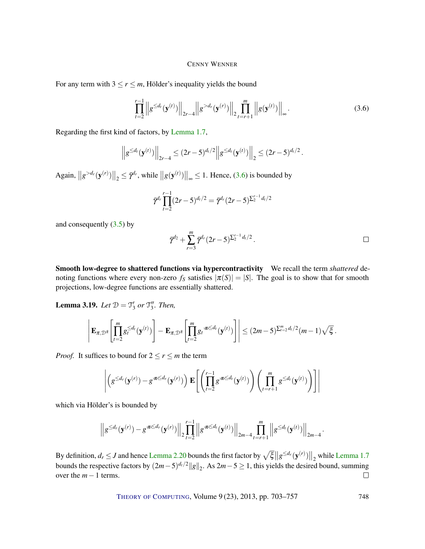For any term with  $3 \le r \le m$ , Hölder's inequality yields the bound

$$
\prod_{t=2}^{r-1} \left\| g^{\leq d_t}(\mathbf{y}^{(t)}) \right\|_{2r-4} \left\| g^{>d_r}(\mathbf{y}^{(r)}) \right\|_{2} \prod_{t=r+1}^{m} \left\| g(\mathbf{y}^{(t)}) \right\|_{\infty}.
$$
\n(3.6)

Regarding the first kind of factors, by [Lemma 1.7,](#page-8-1)

$$
\left\|g^{\leq d_t}(\mathbf{y}^{(t)})\right\|_{2r-4} \leq (2r-5)^{d_t/2}\left\|g^{\leq d_t}(\mathbf{y}^{(t)})\right\|_2 \leq (2r-5)^{d_t/2}.
$$

 $\left\| g^{>d_r}(\mathbf{y}^{(r)}) \right\|_2 \leq \bar{\gamma}^{d_r}$ , while  $\left\| g(\mathbf{y}^{(t)}) \right\|_\infty \leq 1$ . Hence, [\(3.6\)](#page-45-0) is bounded by

<span id="page-45-0"></span>
$$
\bar{\gamma}^{d_r} \prod_{t=2}^{r-1} (2r-5)^{d_t/2} = \bar{\gamma}^{d_r} (2r-5)^{\sum_{2}^{r-1} d_t/2}
$$

and consequently  $(3.5)$  by

$$
\bar{\gamma}^{d_2} + \sum_{r=3}^m \bar{\gamma}^{d_r} (2r-5)^{\sum_2^{r-1} d_t/2}.
$$

Smooth low-degree to shattered functions via hypercontractivity We recall the term *shattered* denoting functions where every non-zero  $f_s$  satisfies  $|\pi(S)| = |S|$ . The goal is to show that for smooth projections, low-degree functions are essentially shattered.

**Lemma 3.19.** *Let*  $\mathcal{D} = \mathcal{T}'_3$  *or*  $\mathcal{T}''_3$ *. Then,* 

$$
\left|\mathbf{E}_{\pi,\mathcal{D}^{\bar{\pi}}}\left[\prod_{t=2}^m g_t^{\leq d_t}(\mathbf{y}^{(t)})\right]-\mathbf{E}_{\pi,\mathcal{D}^{\bar{\pi}}}\left[\prod_{t=2}^m g_t^{\cdot \pi \leq d_t}(\mathbf{y}^{(t)})\right]\right| \leq (2m-5)^{\sum_{t=2}^m d_t/2}(m-1)\sqrt{\xi}.
$$

*Proof.* It suffices to bound for  $2 \le r \le m$  the term

$$
\left| \left( g^{\leq d_r}(\mathbf{y}^{(r)}) - g^{\cdot \pi \leq d_r}(\mathbf{y}^{(r)}) \right) \mathbf{E} \left[ \left( \prod_{t=2}^{r-1} g^{\cdot \pi \leq d_t}(\mathbf{y}^{(t)}) \right) \left( \prod_{t=r+1}^{m} g^{\leq d_t}(\mathbf{y}^{(t)}) \right) \right] \right|
$$

which via Hölder's is bounded by

$$
\left\|g^{\leq d_r}(\mathbf{y}^{(r)})-g^{\leq d_r}(\mathbf{y}^{(r)})\right\|_2\prod_{t=2}^{r-1}\left\|g^{\leq d_t}(\mathbf{y}^{(t)})\right\|_{2m-4}\prod_{t=r+1}^{m}\left\|g^{\leq d_t}(\mathbf{y}^{(t)})\right\|_{2m-4}.
$$

By definition,  $d_r \le J$  and hence [Lemma 2.20](#page-23-1) bounds the first factor by  $\sqrt{\xi} ||g^{\le d_r}(y^{(r)})||_2$  while [Lemma 1.7](#page-8-1) bounds the respective factors by  $(2m-5)^{d_t/2} ||g||_2$ . As  $2m-5 \ge 1$ , this yields the desired bound, summing over the *m*−1 terms.  $\Box$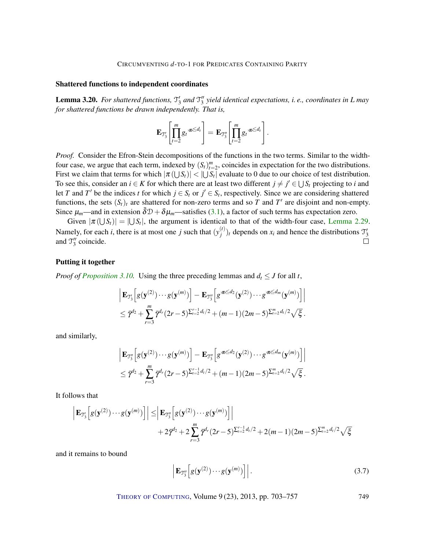#### Shattered functions to independent coordinates

**Lemma 3.20.** For shattered functions,  $\mathcal{T}'_3$  and  $\mathcal{T}''_3$  yield identical expectations, i. e., coordinates in *L* may *for shattered functions be drawn independently. That is,*

$$
\mathbf{E}_{\mathcal{I}_3'}\!\left[\prod_{t=2}^m g_t\pi^{\leq d_t}\right] = \mathbf{E}_{\mathcal{I}_3''}\!\left[\prod_{t=2}^m g_t\pi^{\leq d_t}\right].
$$

*Proof.* Consider the Efron-Stein decompositions of the functions in the two terms. Similar to the widthfour case, we argue that each term, indexed by  $(S_t)_{t=2}^m$ , coincides in expectation for the two distributions. First we claim that terms for which  $|\pi(\bigcup S_t)| < |\bigcup S_t|$  evaluate to 0 due to our choice of test distribution. To see this, consider an  $i \in K$  for which there are at least two different  $j \neq j' \in \bigcup S_t$  projecting to *i* and let *T* and *T'* be the indices *t* for which  $j \in S_t$  or  $j' \in S_t$ , respectively. Since we are considering shattered functions, the sets  $(S_t)_t$  are shattered for non-zero terms and so *T* and *T'* are disjoint and non-empty. Since  $\mu_m$ —and in extension  $\bar{\delta}D + \delta\mu_m$ —satisfies [\(3.1\)](#page-36-1), a factor of such terms has expectation zero.

Given  $|\pi(\bigcup S_t)| = |\bigcup S_t|$ , the argument is identical to that of the width-four case, [Lemma 2.29.](#page-31-0) Namely, for each *i*, there is at most one *j* such that  $(y_i^{(t)})$  $\mathcal{J}'_j$ )<sub>t</sub> depends on  $x_i$  and hence the distributions  $\mathcal{J}'_3$ and  $\mathcal{T}_3''$  coincide.  $\Box$ 

#### <span id="page-46-0"></span>Putting it together

*Proof of [Proposition 3.10.](#page-40-3)* Using the three preceding lemmas and  $d_t \leq J$  for all t,

$$
\Big| \mathbf{E}_{\mathfrak{I}'_{3}} \Big[ g(\mathbf{y}^{(2)}) \cdots g(\mathbf{y}^{(m)}) \Big] - \mathbf{E}_{\mathfrak{I}''_{3}} \Big[ g^{\pi \leq d_{2}}(\mathbf{y}^{(2)}) \cdots g^{\pi \leq d_{m}}(\mathbf{y}^{(m)}) \Big] \Big|
$$
  

$$
\leq \bar{\gamma}^{d_{2}} + \sum_{r=3}^{m} \bar{\gamma}^{d_{r}} (2r-5)^{\sum_{i=2}^{r-1} d_{i}/2} + (m-1)(2m-5)^{\sum_{i=2}^{m} d_{i}/2} \sqrt{\xi}.
$$

and similarly,

$$
\left| \mathbf{E}_{\mathfrak{I}_{3}''}\Big[g(\mathbf{y}^{(2)}) \cdots g(\mathbf{y}^{(m)}) \Big] - \mathbf{E}_{\mathfrak{I}_{3}''}\Big[g^{\pi \leq d_2}(\mathbf{y}^{(2)}) \cdots g^{\pi \leq d_m}(\mathbf{y}^{(m)}) \Big] \right|
$$
  
\$\leq \bar{\gamma}^{d\_2} + \sum\_{r=3}^{m} \bar{\gamma}^{d\_r}(2r-5)^{\sum\_{i=2}^{r-1} d\_i/2} + (m-1)(2m-5)^{\sum\_{i=2}^{m} d\_i/2} \sqrt{\xi}\$.

It follows that

$$
\left| \mathbf{E}_{\mathfrak{I}_{3}'} \left[ g(\mathbf{y}^{(2)}) \cdots g(\mathbf{y}^{(m)}) \right] \right| \leq \left| \mathbf{E}_{\mathfrak{I}_{3}''} \left[ g(\mathbf{y}^{(2)}) \cdots g(\mathbf{y}^{(m)}) \right] \right| + 2 \bar{\gamma}^{d_{2}} + 2 \sum_{r=3}^{m} \bar{\gamma}^{d_{r}} (2r - 5)^{\sum_{t=2}^{r-1} d_{t}/2} + 2(m - 1)(2m - 5)^{\sum_{t=2}^{m} d_{t}/2} \sqrt{\xi}
$$

and it remains to bound

$$
\left| \mathbf{E}_{\mathfrak{I}_{3}''}\!\left[g(\mathbf{y}^{(2)})\cdots g(\mathbf{y}^{(m)})\right] \right|.
$$
\n(3.7)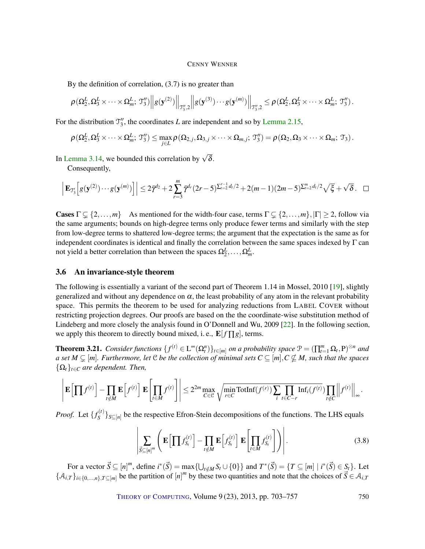<span id="page-47-3"></span>By the definition of correlation, (3.7) is no greater than

$$
\left. \rho\left(\Omega_2^L,\Omega_3^L\times\cdots\times \Omega_m^L; \mathfrak{I}_3''\right) \right\|g(\mathbf{y}^{(2)})\right\|_{\mathfrak{I}_3''},\ 2\left\|g(\mathbf{y}^{(3)})\cdots g(\mathbf{y}^{(m)})\right\|_{\mathfrak{I}_3''},\ 2\leq \rho\left(\Omega_2^L,\Omega_3^L\times\cdots\times \Omega_m^L; \mathfrak{I}_3''\right).
$$

For the distribution  $\mathcal{T}_3''$ , the coordinates *L* are independent and so by [Lemma 2.15,](#page-20-2)

$$
\rho(\Omega_2^L, \Omega_3^L \times \cdots \times \Omega_m^L; \mathfrak{T}_3'') \leq \max_{j \in L} \rho(\Omega_{2,j}, \Omega_{3,j} \times \cdots \times \Omega_{m,j}; \mathfrak{T}_3'') = \rho(\Omega_{2}, \Omega_3 \times \cdots \times \Omega_m; \mathfrak{T}_3).
$$

In [Lemma 3.14,](#page-41-1) we bounded this correlation by  $\sqrt{\delta}$ .

Consequently,

$$
\left| \mathbf{E}_{\mathcal{T}_3'} \Big[ g(\mathbf{y}^{(2)}) \cdots g(\mathbf{y}^{(m)}) \Big] \right| \leq 2 \bar{\gamma}^{d_2} + 2 \sum_{r=3}^{m} \bar{\gamma}^{d_r} (2r-5)^{\sum_{t=2}^{r-1} d_t/2} + 2(m-1)(2m-5)^{\sum_{t=2}^{m} d_t/2} \sqrt{\xi} + \sqrt{\delta}. \quad \Box
$$

**Cases**  $\Gamma \subsetneq \{2,\ldots,m\}$  As mentioned for the width-four case, terms  $\Gamma \subsetneq \{2,\ldots,m\},|\Gamma| \geq 2$ , follow via the same arguments; bounds on high-degree terms only produce fewer terms and similarly with the step from low-degree terms to shattered low-degree terms; the argument that the expectation is the same as for independent coordinates is identical and finally the correlation between the same spaces indexed by Γ can not yield a better correlation than between the spaces  $\Omega_2^L, \ldots, \Omega_m^L$ .

#### <span id="page-47-0"></span>3.6 An invariance-style theorem

The following is essentially a variant of the second part of Theorem 1.14 in Mossel, 2010 [\[19\]](#page-53-3), slightly generalized and without any dependence on  $\alpha$ , the least probability of any atom in the relevant probability space. This permits the theorem to be used for analyzing reductions from LABEL COVER without restricting projection degrees. Our proofs are based on the the coordinate-wise substitution method of Lindeberg and more closely the analysis found in O'Donnell and Wu, 2009 [\[22\]](#page-53-1). In the following section, we apply this theorem to directly bound mixed, i.e.,  $\mathbf{E}[f \Pi g]$ , terms.

<span id="page-47-2"></span>**Theorem 3.21.** *Consider functions*  $\{f^{(t)} \in L^{\infty}(\Omega_t^n)\}_{t \in [m]}$  *on a probability space*  $\mathcal{P} = (\prod_{t=1}^m \Omega_t, P)^{\otimes n}$  *and a set*  $M \subsetneq [m]$ . Furthermore, let  $C$  be the collection of minimal sets  $C \subseteq [m], C \not\subseteq M$ , such that the spaces  $\{\Omega_t\}_{t \in C}$  *are dependent. Then,* 

$$
\left|\mathbf{E}\left[\prod f^{(t)}\right] - \prod_{t \notin M} \mathbf{E}\left[f^{(t)}\right]\mathbf{E}\left[\prod_{t \in M} f^{(t)}\right]\right| \leq 2^{2m} \max_{C \in \mathcal{C}} \sqrt{\min_{r \in C} \text{TotInf}(f^{(r)}) \sum_{i} \prod_{t \in C-r} \text{Inf}_i(f^{(t)})} \prod_{t \notin C} \left\|f^{(t)}\right\|_{\infty}.
$$

*Proof.* Let  $\{f_s^{(t)}\}$  $S^{(t)}$ <sub>*S*</sub> $\subseteq$ [*n*] be the respective Efron-Stein decompositions of the functions. The LHS equals

<span id="page-47-1"></span>
$$
\left| \sum_{\vec{S} \subseteq [n]^m} \left( \mathbf{E} \left[ \prod f_{S_t}^{(t)} \right] - \prod_{t \notin M} \mathbf{E} \left[ f_{S_t}^{(t)} \right] \mathbf{E} \left[ \prod_{t \in M} f_{S_t}^{(t)} \right] \right) \right|.
$$
\n(3.8)

For a vector  $\vec{S} \subseteq [n]^m$ , define  $i^*(\vec{S}) = \max\{\bigcup_{t \notin M} S_t \cup \{0\}\}\$ and  $T^*(\vec{S}) = \{T \subseteq [m] \mid i^*(\vec{S}) \in S_t\}$ . Let  ${A_{i,T}}_{i \in \{0,\ldots,n\},T \subseteq [m]}$  be the partition of  $[n]^m$  by these two quantities and note that the choices of  $\vec{S} \in \mathcal{A}_{i,T}$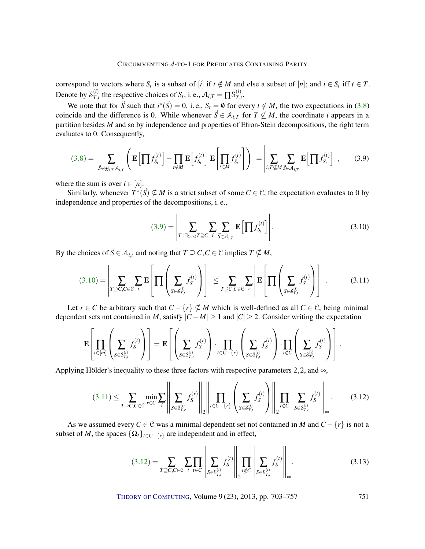correspond to vectors where  $S_t$  is a subset of [*i*] if  $t \notin M$  and else a subset of [*n*]; and  $i \in S_t$  iff  $t \in T$ . Denote by  $S_{T,i}^{(i)}$  $T_{,t}^{(i)}$  the respective choices of *S<sub>t</sub>*, i.e.,  $A_{i,T} = \prod S_{T,i}^{(i)}$  $T_{,t}$ .

We note that for  $\vec{S}$  such that  $i^*(\vec{S}) = 0$ , i. e.,  $S_t = \emptyset$  for every  $t \notin M$ , the two expectations in [\(3.8\)](#page-47-1) coincide and the difference is 0. While whenever  $\vec{S} \in A_{i,T}$  for  $T \nsubseteq M$ , the coordinate *i* appears in a partition besides *M* and so by independence and properties of Efron-Stein decompositions, the right term evaluates to 0. Consequently,

$$
(3.8) = \left| \sum_{\vec{S} \in \biguplus_{i,T} \mathcal{A}_{i,T}} \left( \mathbf{E} \left[ \prod f_{S_t}^{(t)} \right] - \prod_{t \notin M} \mathbf{E} \left[ f_{S_t}^{(t)} \right] \mathbf{E} \left[ \prod_{t \in M} f_{S_t}^{(t)} \right] \right) \right| = \left| \sum_{i,T \nsubseteq M} \sum_{\vec{S} \in \mathcal{A}_{i,T}} \mathbf{E} \left[ \prod f_{S_t}^{(t)} \right] \right|, \tag{3.9}
$$

where the sum is over  $i \in [n]$ .

Similarly, whenever  $T^*(\vec{S}) \nsubseteq M$  is a strict subset of some  $C \in \mathcal{C}$ , the expectation evaluates to 0 by independence and properties of the decompositions, i. e.,

<span id="page-48-2"></span><span id="page-48-1"></span><span id="page-48-0"></span>
$$
(3.9) = \left| \sum_{T : \exists_{C \in \mathcal{C}} T \supseteq C} \sum_{i} \sum_{\vec{S} \in \mathcal{A}_{i,T}} \mathbf{E} \left[ \prod f_{S_t}^{(t)} \right] \right|.
$$
 (3.10)

By the choices of  $\vec{S} \in A_{i,t}$  and noting that  $T \supseteq C, C \in \mathcal{C}$  implies  $T \nsubseteq M$ ,

$$
(3.10) = \left| \sum_{T \supseteq C, C \in \mathcal{C}} \sum_{i} \mathbf{E} \left[ \prod \left( \sum_{S \in S_{T,t}^{(i)}} f_S^{(t)} \right) \right] \right| \le \sum_{T \supseteq C, C \in \mathcal{C}} \sum_{i} \left| \mathbf{E} \left[ \prod \left( \sum_{S \in S_{T,t}^{(i)}} f_S^{(t)} \right) \right] \right|.
$$
 (3.11)

Let *r* ∈ *C* be arbitrary such that  $C - \{r\} \nsubseteq M$  which is well-defined as all  $C \in \mathcal{C}$ , being minimal dependent sets not contained in *M*, satisfy  $|C - M| \ge 1$  and  $|C| \ge 2$ . Consider writing the expectation

$$
\mathbf{E}\left[\prod_{t\in[m]}\left(\sum_{S\in\mathcal{S}_{T,t}^{(i)}}f_S^{(t)}\right)\right] = \mathbf{E}\left[\left(\sum_{S\in\mathcal{S}_{T,r}^{(i)}}f_S^{(r)}\right)\cdot\prod_{t\in C-\{r\}}\left(\sum_{S\in\mathcal{S}_{T,t}^{(i)}}f_S^{(t)}\right)\cdot\prod_{t\notin C}\left(\sum_{S\in\mathcal{S}_{T,t}^{(i)}}f_S^{(t)}\right)\right].
$$

Applying Hölder's inequality to these three factors with respective parameters 2,2, and  $\infty$ ,

$$
(3.11) \leq \sum_{T \supseteq C, C \in \mathcal{C}} \min_{r \in C} \sum_{i} \left\| \sum_{S \in \mathcal{S}_{T,r}^{(i)}} f_S^{(r)} \right\|_2 \left\| \prod_{t \in C - \{r\}} \left( \sum_{S \in \mathcal{S}_{T,t}^{(i)}} f_S^{(t)} \right) \right\|_2 \prod_{t \notin C} \left\| \sum_{S \in \mathcal{S}_{T,t}^{(i)}} f_S^{(t)} \right\|_\infty. \tag{3.12}
$$

As we assumed every  $C \in \mathcal{C}$  was a minimal dependent set not contained in *M* and  $C - \{r\}$  is not a subset of *M*, the spaces  $\{\Omega_t\}_{t \in C-\{r\}}$  are independent and in effect,

<span id="page-48-4"></span><span id="page-48-3"></span>
$$
(3.12) = \sum_{T \supseteq C, C \in \mathcal{C}} \sum_{i} \prod_{t \in C} \left\| \sum_{S \in S_{T,i}^{(i)}} f_S^{(t)} \right\| \prod_{t \notin C} \left\| \sum_{S \in S_{T,i}^{(i)}} f_S^{(t)} \right\|_{\infty}.
$$
 (3.13)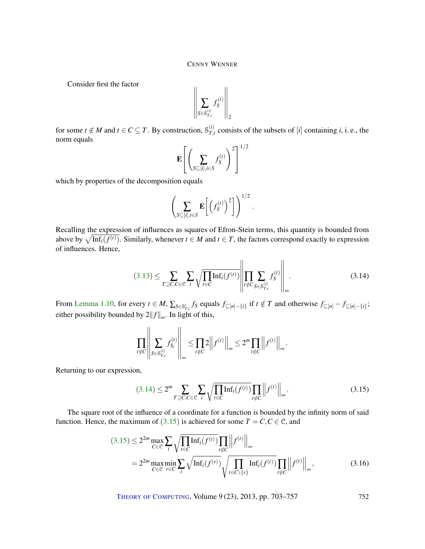Consider first the factor

$$
\left\|\sum_{S\in\mathcal{S}_{T,t}^{(i)}}f_S^{(t)}\right\|_2
$$

for some  $t \notin M$  and  $t \in C \subseteq T$ . By construction,  $S_{T,t}^{(i)}$  $T_{t}^{(i)}$  consists of the subsets of [*i*] containing *i*, i. e., the norm equals

$$
\mathbf{E}\left[\left(\sum_{S\subseteq[i],i\in S}f_S^{(t)}\right)^2\right]^{1/2}
$$

which by properties of the decomposition equals

$$
\left(\sum_{S\subseteq[i],i\in S}\mathbf{E}\left[\left(f_S^{(t)}\right)^2\right]\right)^{1/2}.
$$

Recalling the expression of influences as squares of Efron-Stein terms, this quantity is bounded from above by  $\sqrt{\text{Inf}_i(f^{(t)})}$ . Similarly, whenever  $t \in M$  and  $t \in T$ , the factors correspond exactly to expression of influences. Hence,

$$
(3.13) \leq \sum_{T \supseteq C, C \in \mathcal{C}} \sum_{i} \sqrt{\prod_{t \in C} \text{Inf}_{i}(f^{(t)})} \left\| \prod_{t \notin C} \sum_{S \in S_{T,t}^{(i)}} f_{S}^{(t)} \right\|_{\infty}.
$$
 (3.14)

From [Lemma 1.10,](#page-9-0) for every  $t \in M$ ,  $\sum_{S \in \mathcal{S}_{T,t}^i} f_S$  equals  $f_{\subseteq [n] - \{i\}}$  if  $t \notin T$  and otherwise  $f_{\subseteq [n]} - f_{\subseteq [n] - \{i\}}$ ; either possibility bounded by  $2||f||_{\infty}$ . In light of this,

$$
\prod_{t \notin C} \left\| \sum_{S \in S_{T,t}^{(i)}} f_{S_t}^{(t)} \right\|_{\infty} \le \prod_{t \notin C} 2 \left\| f^{(t)} \right\|_{\infty} \le 2^m \prod_{t \notin C} \left\| f^{(t)} \right\|_{\infty}
$$

Returning to our expression,

$$
(3.14) \le 2^m \sum_{T \supseteq C, C \in \mathcal{C}} \sum_{i} \sqrt{\prod_{t \in C} \text{Inf}_i(f^{(t)})} \prod_{t \notin C} ||f^{(t)}||_{\infty}.
$$
 (3.15)

<span id="page-49-2"></span><span id="page-49-1"></span><span id="page-49-0"></span>.

The square root of the influence of a coordinate for a function is bounded by the infinity norm of said function. Hence, the maximum of  $(3.15)$  $(3.15)$  $(3.15)$  is achieved for some  $T = C, C \in \mathcal{C}$ , and

$$
(3.15) \le 2^{2m} \max_{C \in \mathcal{C}} \sum_{i} \sqrt{\prod_{t \in C} \text{Inf}_{i}(f^{(t)})} \prod_{t \notin C} ||f^{(t)}||_{\infty}
$$
  
=  $2^{2m} \max_{C \in \mathcal{C}} \min_{r \in C} \sum_{i} \sqrt{\text{Inf}_{i}(f^{(r)})} \sqrt{\prod_{t \in C \setminus \{r\}} \text{Inf}_{i}(f^{(t)})} \prod_{t \notin C} ||f^{(t)}||_{\infty},$  (3.16)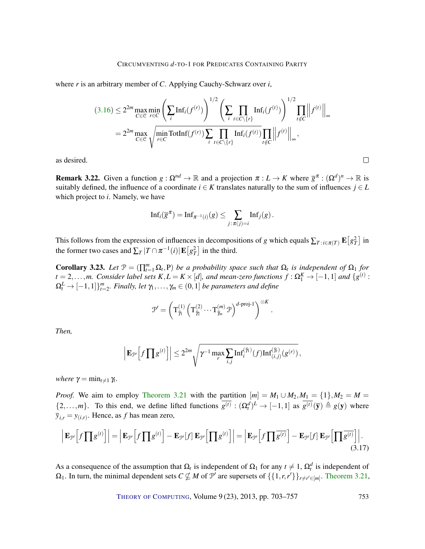where *r* is an arbitrary member of *C*. Applying Cauchy-Schwarz over *i*,

$$
(3.16) \le 2^{2m} \max_{C \in \mathcal{C}} \min_{r \in C} \left( \sum_{i} \mathrm{Inf}_{i}(f^{(r)}) \right)^{1/2} \left( \sum_{i} \prod_{t \in C \setminus \{r\}} \mathrm{Inf}_{i}(f^{(t)}) \right)^{1/2} \prod_{t \notin C} \left\| f^{(t)} \right\|_{\infty}
$$

$$
= 2^{2m} \max_{C \in \mathcal{C}} \sqrt{\min_{r \in C} \mathrm{TotInf}(f^{(r)}) \sum_{i} \prod_{t \in C \setminus \{r\}} \mathrm{Inf}_{i}(f^{(t)}) \prod_{t \notin C} \left\| f^{(t)} \right\|_{\infty}},
$$

as desired.

**Remark 3.22.** Given a function  $g: \Omega^{nd} \to \mathbb{R}$  and a projection  $\pi: L \to K$  where  $\overline{g}^{\pi}: (\Omega^d)^n \to \mathbb{R}$  is suitably defined, the influence of a coordinate  $i \in K$  translates naturally to the sum of influences  $j \in L$ which project to *i*. Namely, we have

 $\Box$ 

$$
\mathrm{Inf}_i(\overline{g}^{\pi}) = \mathrm{Inf}_{\pi^{-1}(i)}(g) \leq \sum_{j:\pi(j)=i} \mathrm{Inf}_j(g).
$$

This follows from the expression of influences in decompositions of *g* which equals  $\sum_{T}$ :*i*∈π(*T*)  $\mathbf{E}\left[g_T^2\right]$  in the former two cases and  $\sum_{T} |T \cap \pi^{-1}(i)| \mathbf{E}\left[g_T^2\right]$  in the third.

<span id="page-50-1"></span>**Corollary 3.23.** Let  $\mathcal{P} = (\prod_{t=1}^{m} \Omega_t, P)$  be a probability space such that  $\Omega_t$  is independent of  $\Omega_1$  for  $t = 2,...,m$ . Consider label sets  $K, L = K \times [d]$ , and mean-zero functions  $f : \Omega_1^K \to [-1,1]$  and  $\{g^{(t)}: g^{(t)}\}$  $\Omega_t^L \to [-1,1]\}_{t=2}^m$ . Finally, let  $\gamma_1,\ldots,\gamma_m\in (0,1]$  *be parameters and define* 

<span id="page-50-0"></span>
$$
\mathcal{P}' = \left(\mathbf{T}_{\widetilde{\mathcal{P}}_1}^{(1)}\left(\mathbf{T}_{\widetilde{\mathcal{P}}_2}^{(2)}\cdots \mathbf{T}_{\widetilde{\mathcal{P}}_m}^{(m)} \mathcal{P}\right)^{d\text{-proj-1}}\right)^{\otimes K}.
$$

*Then,*

$$
\left|\mathbf{E}_{\mathcal{P}'}\Big[f\prod g^{(t)}\Big]\right|\leq 2^{2m}\sqrt{\gamma^{-1}\max_{r}\sum_{i,j}\text{Inf}_{i}^{(\tilde{\gamma}_{i})}(f)\text{Inf}_{(i,j)}^{(\tilde{\gamma}_{r})}(g^{(r)})},
$$

*where*  $\gamma = \min_{t \neq 1} \gamma_t$ .

*Proof.* We aim to employ [Theorem 3.21](#page-47-2) with the partition  $[m] = M_1 \cup M_2, M_1 = \{1\}, M_2 = M =$  $\{2,\ldots,m\}$ . To this end, we define lifted functions  $\overline{g^{(t)}}: (\Omega_t^d)^L \to [-1,1]$  as  $\overline{g^{(t)}}(\overline{y}) \triangleq g(y)$  where  $\overline{y}_{i,r} = y_{(i,r)}$ . Hence, as *f* has mean zero,

$$
\left| \mathbf{E}_{\mathcal{P}} \left[ f \prod g^{(t)} \right] \right| = \left| \mathbf{E}_{\mathcal{P}} \left[ f \prod g^{(t)} \right] - \mathbf{E}_{\mathcal{P}} \left[ f \right] \mathbf{E}_{\mathcal{P}} \left[ \prod g^{(t)} \right] \right| = \left| \mathbf{E}_{\mathcal{P}} \left[ f \prod \overline{g^{(t)}} \right] - \mathbf{E}_{\mathcal{P}} \left[ f \right] \mathbf{E}_{\mathcal{P}} \left[ \prod \overline{g^{(t)}} \right] \right|.
$$
\n(3.17)

As a consequence of the assumption that  $\Omega_t$  is independent of  $\Omega_1$  for any  $t \neq 1$ ,  $\Omega_t^d$  is independent of  $\Omega_1$ . In turn, the minimal dependent sets  $C \nsubseteq M$  of  $\mathcal{P}'$  are supersets of  $\{\{1,r,r'\}\}_{r \neq r' \in [m]}$ . [Theorem 3.21,](#page-47-2)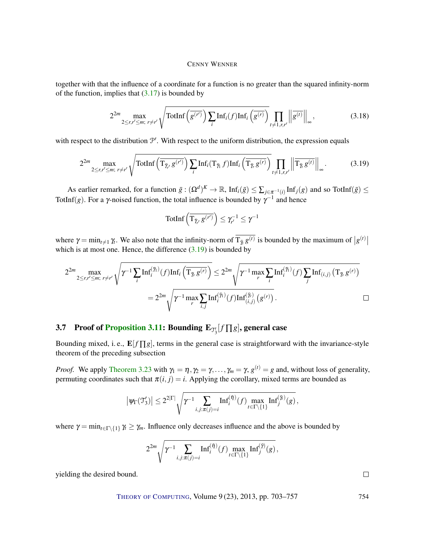together with that the influence of a coordinate for a function is no greater than the squared infinity-norm of the function, implies that  $(3.17)$  is bounded by

$$
2^{2m} \max_{2 \le r, r' \le m; \ r \ne r'} \sqrt{\text{TotInf}\left(\overline{g^{(r')}}\right) \sum_{i} \text{Inf}_i(f) \text{Inf}_i\left(\overline{g^{(r)}}\right)} \prod_{t \ne 1, r, r'} \left\| \overline{g^{(t)}} \right\|_{\infty},\tag{3.18}
$$

with respect to the distribution  $\mathcal{P}'$ . With respect to the uniform distribution, the expression equals

$$
2^{2m} \max_{2 \le r, r' \le m; \ r \ne r'} \sqrt{\text{TotInf}\left(\overline{\mathrm{T}_{\tilde{\gamma}_r} g^{(r')}}\right) \sum_{i} \mathrm{Inf}_i(\mathrm{T}_{\tilde{\gamma}_i} f) \mathrm{Inf}_i\left(\overline{\mathrm{T}_{\tilde{\gamma}_i} g^{(r)}}\right)} \prod_{t \ne 1, r, r'} \left\| \overline{\mathrm{T}_{\tilde{\gamma}_i} g^{(t)}} \right\|_{\infty} .
$$
 (3.19)

As earlier remarked, for a function  $\bar{g}: (\Omega^d)^K \to \mathbb{R}$ ,  $\text{Inf}_i(\bar{g}) \leq \sum_{j \in \pi^{-1}(i)} \text{Inf}_j(g)$  and so TotInf( $\bar{g}$ )  $\leq$ TotInf(*g*). For a  $\gamma$ -noised function, the total influence is bounded by  $\gamma^{-1}$  and hence

<span id="page-51-1"></span>
$$
\text{TotInf}\left(\overline{\mathrm{T}_{\tilde{\mathcal{I}}_{r'}}g^{(r')}}\right)\leq \gamma_{r'}^{-1}\leq \gamma^{-1}
$$

where  $\gamma = \min_{t \neq 1} \gamma_t$ . We also note that the infinity-norm of  $T_{\bar{\gamma}_t} g^{(t)}$  is bounded by the maximum of  $|g^{(t)}|$ which is at most one. Hence, the difference  $(3.19)$  is bounded by

$$
2^{2m} \max_{2 \le r, r' \le m; r \ne r'} \sqrt{\gamma^{-1} \sum_{i} \mathrm{Inf}_{i}^{(\tilde{\gamma}_{i})}(f) \mathrm{Inf}_{i} \left(\overline{\mathrm{T}_{\tilde{\gamma}_{i}} g^{(r)}}\right)} \le 2^{2m} \sqrt{\gamma^{-1} \max_{r} \sum_{i} \mathrm{Inf}_{i}^{(\tilde{\gamma}_{i})}(f) \sum_{j} \mathrm{Inf}_{(i,j)} \left(\mathrm{T}_{\tilde{\gamma}_{i}} g^{(r)}\right)} \\
= 2^{2m} \sqrt{\gamma^{-1} \max_{r} \sum_{i,j} \mathrm{Inf}_{i}^{(\tilde{\gamma}_{i})}(f) \mathrm{Inf}_{(i,j)}^{(\tilde{\gamma}_{i})} \left(g^{(r)}\right)}.
$$

# <span id="page-51-0"></span>3.7 Proof of [Proposition](#page-40-4) [3.11:](#page-40-4) Bounding  $\mathbf{E}_{\mathcal{T}_3'}[f \prod g]$ , general case

Bounding mixed, i.e.,  $\mathbf{E}[f \prod g]$ , terms in the general case is straightforward with the invariance-style theorem of the preceding subsection

*Proof.* We apply [Theorem 3.23](#page-50-1) with  $\gamma_1 = \eta$ ,  $\gamma_2 = \gamma$ , ...,  $\gamma_m = \gamma$ ,  $g^{(t)} = g$  and, without loss of generality, permuting coordinates such that  $\pi(i, j) = i$ . Applying the corollary, mixed terms are bounded as

$$
\left|\left. \psi_\Gamma(\mathfrak{T}_3')\right| \leq 2^{2|\Gamma|} \sqrt{\gamma^{-1} \sum_{i,j: \pi(j)=i} \mathrm{Inf}_i^{(\bar{\eta})}(f) \max_{t\in \Gamma\backslash\{1\}} \mathrm{Inf}_j^{(\bar{\eta})}(g)},
$$

where  $\gamma = \min_{t \in \Gamma \setminus \{1\}} \gamma_t \geq \gamma_m$ . Influence only decreases influence and the above is bounded by

$$
2^{2m}\sqrt{\gamma^{-1}\sum_{i,j:\pi(j)=i}\text{Inf}_{i}^{(\bar{\eta})}(f)\max_{t\in\Gamma\setminus\{1\}}\text{Inf}_{j}^{(\bar{\gamma})}(g)},
$$

yielding the desired bound.

THEORY OF C[OMPUTING](http://dx.doi.org/10.4086/toc), Volume 9 (23), 2013, pp. 703-757 754

 $\Box$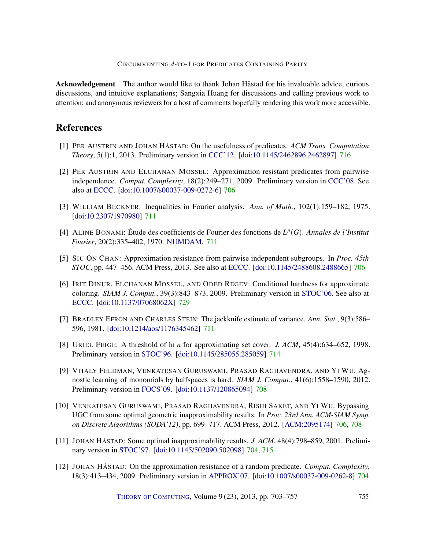Acknowledgement The author would like to thank Johan Håstad for his invaluable advice, curious discussions, and intuitive explanations; Sangxia Huang for discussions and calling previous work to attention; and anonymous reviewers for a host of comments hopefully rendering this work more accessible.

### References

- <span id="page-52-10"></span>[1] PER AUSTRIN AND JOHAN HÅSTAD: On the usefulness of predicates. *ACM Trans. Computation Theory*, 5(1):1, 2013. Preliminary version in [CCC'12.](http://dx.doi.org/10.1109/CCC.2012.18) [\[doi:10.1145/2462896.2462897\]](http://dx.doi.org/10.1145/2462896.2462897) [716](#page-13-1)
- <span id="page-52-2"></span>[2] PER AUSTRIN AND ELCHANAN MOSSEL: Approximation resistant predicates from pairwise independence. *Comput. Complexity*, 18(2):249–271, 2009. Preliminary version in [CCC'08.](http://dx.doi.org/10.1109/CCC.2008.20) See also at [ECCC.](http://eccc.hpi-web.de/report/2008/009/) [\[doi:10.1007/s00037-009-0272-6\]](http://dx.doi.org/10.1007/s00037-009-0272-6) [706](#page-3-0)
- <span id="page-52-8"></span>[3] WILLIAM BECKNER: Inequalities in Fourier analysis. *Ann. of Math.*, 102(1):159–182, 1975. [\[doi:10.2307/1970980\]](http://dx.doi.org/10.2307/1970980) [711](#page-8-2)
- <span id="page-52-7"></span>[4] ALINE BONAMI: Étude des coefficients de Fourier des fonctions de  $L^p(G)$ . *Annales de l'Institut Fourier*, 20(2):335–402, 1970. [NUMDAM.](http://www.numdam.org/item?id=AIF_1970__20_2_335_0) [711](#page-8-2)
- <span id="page-52-4"></span>[5] SIU ON CHAN: Approximation resistance from pairwise independent subgroups. In *Proc. 45th STOC*, pp. 447–456. ACM Press, 2013. See also at [ECCC.](http://eccc.hpi-web.de/report/2012/110) [\[doi:10.1145/2488608.2488665\]](http://dx.doi.org/10.1145/2488608.2488665) [706](#page-3-0)
- <span id="page-52-11"></span>[6] IRIT DINUR, ELCHANAN MOSSEL, AND ODED REGEV: Conditional hardness for approximate coloring. *SIAM J. Comput.*, 39(3):843–873, 2009. Preliminary version in [STOC'06.](http://dx.doi.org/10.1145/1132516.1132567) See also at [ECCC.](http://eccc.hpi-web.de/report/2005/039/) [\[doi:10.1137/07068062X\]](http://dx.doi.org/10.1137/07068062X) [729](#page-26-4)
- <span id="page-52-6"></span>[7] BRADLEY EFRON AND CHARLES STEIN: The jackknife estimate of variance. *Ann. Stat.*, 9(3):586– 596, 1981. [\[doi:10.1214/aos/1176345462\]](http://dx.doi.org/10.1214/aos/1176345462) [711](#page-8-2)
- <span id="page-52-9"></span>[8] URIEL FEIGE: A threshold of ln *n* for approximating set cover. *J. ACM*, 45(4):634–652, 1998. Preliminary version in [STOC'96.](http://dx.doi.org/10.1145/237814.237977) [\[doi:10.1145/285055.285059\]](http://dx.doi.org/10.1145/285055.285059) [714](#page-11-2)
- <span id="page-52-5"></span>[9] VITALY FELDMAN, VENKATESAN GURUSWAMI, PRASAD RAGHAVENDRA, AND YI WU: Agnostic learning of monomials by halfspaces is hard. *SIAM J. Comput.*, 41(6):1558–1590, 2012. Preliminary version in [FOCS'09.](http://dx.doi.org/10.1109/FOCS.2009.26) [\[doi:10.1137/120865094\]](http://dx.doi.org/10.1137/120865094) [708](#page-5-0)
- <span id="page-52-3"></span>[10] VENKATESAN GURUSWAMI, PRASAD RAGHAVENDRA, RISHI SAKET, AND YI WU: Bypassing UGC from some optimal geometric inapproximability results. In *Proc. 23rd Ann. ACM-SIAM Symp. on Discrete Algorithms (SODA'12)*, pp. 699–717. ACM Press, 2012. [\[ACM:2095174\]](http://portal.acm.org/citation.cfm?id=2095174) [706,](#page-3-0) [708](#page-5-0)
- <span id="page-52-0"></span>[11] JOHAN HÅSTAD: Some optimal inapproximability results. *J. ACM*, 48(4):798–859, 2001. Prelimi-nary version in [STOC'97.](http://dx.doi.org/10.1145/258533.258536) [\[doi:10.1145/502090.502098\]](http://dx.doi.org/10.1145/502090.502098) [704,](#page-1-0) [715](#page-12-0)
- <span id="page-52-1"></span>[12] JOHAN HÅSTAD: On the approximation resistance of a random predicate. *Comput. Complexity*, 18(3):413–434, 2009. Preliminary version in [APPROX'07.](http://dx.doi.org/10.1007/978-3-540-74208-1_11) [\[doi:10.1007/s00037-009-0262-8\]](http://dx.doi.org/10.1007/s00037-009-0262-8) [704](#page-1-0)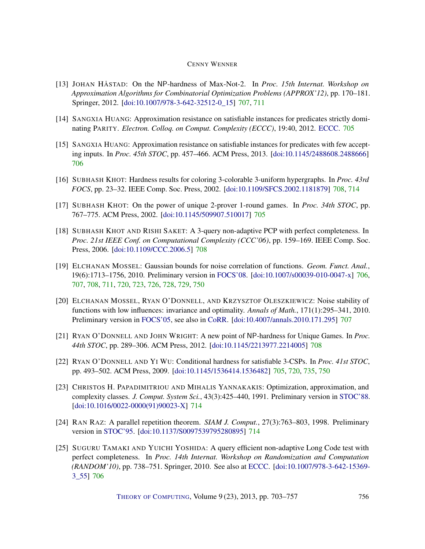- <span id="page-53-6"></span>[13] JOHAN HÅSTAD: On the NP-hardness of Max-Not-2. In *Proc. 15th Internat. Workshop on Approximation Algorithms for Combinatorial Optimization Problems (APPROX'12)*, pp. 170–181. Springer, 2012. [\[doi:10.1007/978-3-642-32512-0\\_15\]](http://dx.doi.org/10.1007/978-3-642-32512-0_15) [707,](#page-4-0) [711](#page-8-2)
- <span id="page-53-2"></span>[14] SANGXIA HUANG: Approximation resistance on satisfiable instances for predicates strictly dominating PARITY. *Electron. Colloq. on Comput. Complexity (ECCC)*, 19:40, 2012. [ECCC.](http://eccc.hpi-web.de/report/2012/040/) [705](#page-2-1)
- <span id="page-53-5"></span>[15] SANGXIA HUANG: Approximation resistance on satisfiable instances for predicates with few accepting inputs. In *Proc. 45th STOC*, pp. 457–466. ACM Press, 2013. [\[doi:10.1145/2488608.2488666\]](http://dx.doi.org/10.1145/2488608.2488666) [706](#page-3-0)
- <span id="page-53-9"></span>[16] SUBHASH KHOT: Hardness results for coloring 3-colorable 3-uniform hypergraphs. In *Proc. 43rd FOCS*, pp. 23–32. IEEE Comp. Soc. Press, 2002. [\[doi:10.1109/SFCS.2002.1181879\]](http://dx.doi.org/10.1109/SFCS.2002.1181879) [708,](#page-5-0) [714](#page-11-2)
- <span id="page-53-0"></span>[17] SUBHASH KHOT: On the power of unique 2-prover 1-round games. In *Proc. 34th STOC*, pp. 767–775. ACM Press, 2002. [\[doi:10.1145/509907.510017\]](http://dx.doi.org/10.1145/509907.510017) [705](#page-2-1)
- <span id="page-53-10"></span>[18] SUBHASH KHOT AND RISHI SAKET: A 3-query non-adaptive PCP with perfect completeness. In *Proc. 21st IEEE Conf. on Computational Complexity (CCC'06)*, pp. 159–169. IEEE Comp. Soc. Press, 2006. [\[doi:10.1109/CCC.2006.5\]](http://dx.doi.org/10.1109/CCC.2006.5) [708](#page-5-0)
- <span id="page-53-3"></span>[19] ELCHANAN MOSSEL: Gaussian bounds for noise correlation of functions. *Geom. Funct. Anal.*, 19(6):1713–1756, 2010. Preliminary version in [FOCS'08.](http://dx.doi.org/10.1109/FOCS.2008.44) [\[doi:10.1007/s00039-010-0047-x\]](http://dx.doi.org/10.1007/s00039-010-0047-x) [706,](#page-3-0) [707,](#page-4-0) [708,](#page-5-0) [711,](#page-8-2) [720,](#page-17-4) [723,](#page-20-4) [726,](#page-23-2) [728,](#page-25-0) [729,](#page-26-4) [750](#page-47-3)
- <span id="page-53-7"></span>[20] ELCHANAN MOSSEL, RYAN O'DONNELL, AND KRZYSZTOF OLESZKIEWICZ: Noise stability of functions with low influences: invariance and optimality. *Annals of Math.*, 171(1):295–341, 2010. Preliminary version in [FOCS'05,](http://dx.doi.org/10.1109/SFCS.2005.53) see also in [CoRR.](http://arxiv.org/abs/math/0503503) [\[doi:10.4007/annals.2010.171.295\]](http://dx.doi.org/10.4007/annals.2010.171.295) [707](#page-4-0)
- <span id="page-53-8"></span>[21] RYAN O'DONNELL AND JOHN WRIGHT: A new point of NP-hardness for Unique Games. In *Proc. 44th STOC*, pp. 289–306. ACM Press, 2012. [\[doi:10.1145/2213977.2214005\]](http://dx.doi.org/10.1145/2213977.2214005) [708](#page-5-0)
- <span id="page-53-1"></span>[22] RYAN O'DONNELL AND YI WU: Conditional hardness for satisfiable 3-CSPs. In *Proc. 41st STOC*, pp. 493–502. ACM Press, 2009. [\[doi:10.1145/1536414.1536482\]](http://dx.doi.org/10.1145/1536414.1536482) [705,](#page-2-1) [720,](#page-17-4) [735,](#page-32-1) [750](#page-47-3)
- <span id="page-53-11"></span>[23] CHRISTOS H. PAPADIMITRIOU AND MIHALIS YANNAKAKIS: Optimization, approximation, and complexity classes. *J. Comput. System Sci.*, 43(3):425–440, 1991. Preliminary version in [STOC'88.](http://dx.doi.org/10.1145/62212.62233) [\[doi:10.1016/0022-0000\(91\)90023-X\]](http://dx.doi.org/10.1016/0022-0000(91)90023-X) [714](#page-11-2)
- <span id="page-53-12"></span>[24] RAN RAZ: A parallel repetition theorem. *SIAM J. Comput.*, 27(3):763–803, 1998. Preliminary version in [STOC'95.](http://dx.doi.org/10.1145/225058.225181) [\[doi:10.1137/S0097539795280895\]](http://dx.doi.org/10.1137/S0097539795280895) [714](#page-11-2)
- <span id="page-53-4"></span>[25] SUGURU TAMAKI AND YUICHI YOSHIDA: A query efficient non-adaptive Long Code test with perfect completeness. In *Proc. 14th Internat. Workshop on Randomization and Computation (RANDOM'10)*, pp. 738–751. Springer, 2010. See also at [ECCC.](http://eccc.hpi-web.de/report/2009/074) [\[doi:10.1007/978-3-642-15369-](http://dx.doi.org/10.1007/978-3-642-15369-3_55) [3\\_55\]](http://dx.doi.org/10.1007/978-3-642-15369-3_55) [706](#page-3-0)